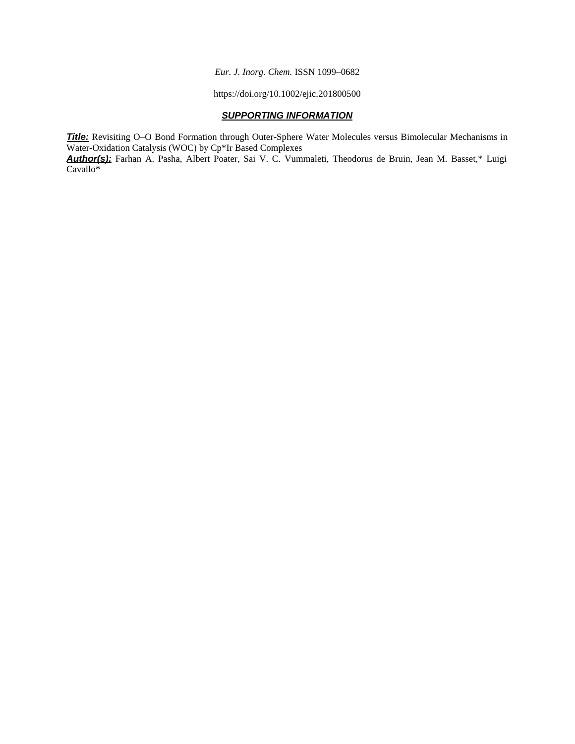*Eur. J. Inorg. Chem.* ISSN 1099–0682

https://doi.org/10.1002/ejic.201800500

## *SUPPORTING INFORMATION*

*Title:* Revisiting O–O Bond Formation through Outer-Sphere Water Molecules versus Bimolecular Mechanisms in Water-Oxidation Catalysis (WOC) by Cp\*Ir Based Complexes

*Author(s):* Farhan A. Pasha, Albert Poater, Sai V. C. Vummaleti, Theodorus de Bruin, Jean M. Basset,\* Luigi Cavallo\*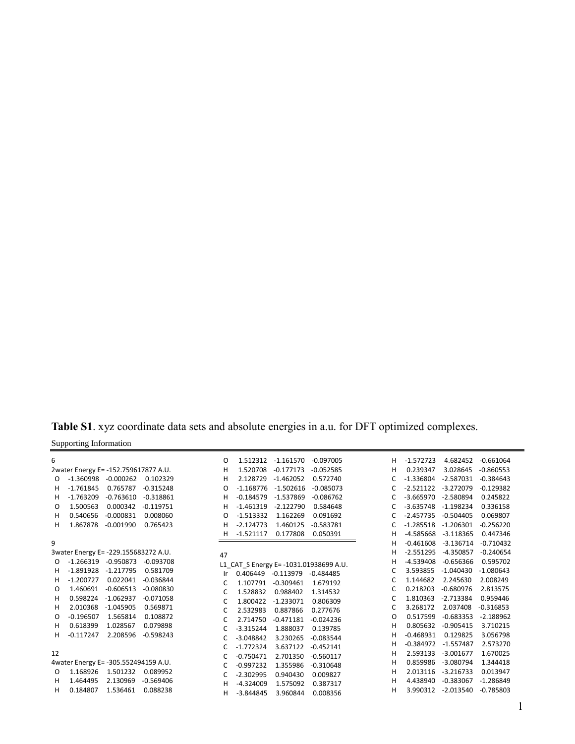**Table S1**. xyz coordinate data sets and absolute energies in a.u. for DFT optimized complexes.

| Supporting Information |  |
|------------------------|--|
|                        |  |

| 6        |                                           | O   | 1.512312           | -1.161570   | $-0.097005$                           | н | $-1.572723$ | 4.682452    | $-0.661064$ |
|----------|-------------------------------------------|-----|--------------------|-------------|---------------------------------------|---|-------------|-------------|-------------|
|          | 2water Energy E= -152.759617877 A.U.      | н   | 1.520708           | $-0.177173$ | $-0.052585$                           | н | 0.239347    | 3.028645    | $-0.860553$ |
| O        | $-0.000262$<br>0.102329<br>$-1.360998$    | н   | 2.128729           | $-1.462052$ | 0.572740                              | C | $-1.336804$ | $-2.587031$ | $-0.384643$ |
| H.       | $-1.761845$<br>0.765787<br>$-0.315248$    | O   | $-1.168776$        | $-1.502616$ | $-0.085073$                           | С | $-2.521122$ | $-3.272079$ | $-0.129382$ |
| H.       | $-1.763209$<br>$-0.763610$<br>$-0.318861$ | н   | $-0.184579$        | $-1.537869$ | $-0.086762$                           | C | $-3.665970$ | $-2.580894$ | 0.245822    |
| O        | 1.500563<br>0.000342<br>$-0.119751$       | н   | $-1.461319$        | $-2.122790$ | 0.584648                              | C | $-3.635748$ | $-1.198234$ | 0.336158    |
| H.       | $-0.000831$<br>0.008060<br>0.540656       | O   | $-1.513332$        | 1.162269    | 0.091692                              | C | $-2.457735$ | $-0.504405$ | 0.069807    |
| H.       | 1.867878<br>$-0.001990$<br>0.765423       | н   | $-2.124773$        | 1.460125    | $-0.583781$                           | С | $-1.285518$ | $-1.206301$ | $-0.256220$ |
|          |                                           | н   | $-1.521117$        | 0.177808    | 0.050391                              | н | $-4.585668$ | $-3.118365$ | 0.447346    |
| 9        |                                           |     |                    |             |                                       | н | $-0.461608$ | $-3.136714$ | $-0.710432$ |
|          | 3water Energy E= -229.155683272 A.U.      | 47  |                    |             |                                       | н | $-2.551295$ | $-4.350857$ | $-0.240654$ |
| O        | $-1.266319$<br>$-0.950873$<br>$-0.093708$ |     |                    |             | L1_CAT_S Energy E=-1031.01938699 A.U. | н | $-4.539408$ | $-0.656366$ | 0.595702    |
| H.       | $-1.891928$<br>$-1.217795$<br>0.581709    | Ir. | 0.406449 -0.113979 |             | $-0.484485$                           | С | 3.593855    | $-1.040430$ | $-1.080643$ |
| H.       | 0.022041<br>$-1.200727$<br>$-0.036844$    | C   | 1.107791           | $-0.309461$ | 1.679192                              | С | 1.144682    | 2.245630    | 2.008249    |
| O        | 1.460691<br>$-0.606513$<br>$-0.080830$    | C   | 1.528832           | 0.988402    | 1.314532                              | C | 0.218203    | $-0.680976$ | 2.813575    |
| H        | $-1.062937$<br>$-0.071058$<br>0.598224    | C   | 1.800422           | $-1.233071$ | 0.806309                              | С | 1.810363    | $-2.713384$ | 0.959446    |
| H.       | 2.010368<br>$-1.045905$<br>0.569871       | C   | 2.532983           | 0.887866    | 0.277676                              | С | 3.268172    | 2.037408    | $-0.316853$ |
| O        | $-0.196507$<br>1.565814<br>0.108872       | C   | 2.714750           | $-0.471181$ | $-0.024236$                           | O | 0.517599    | $-0.683353$ | $-2.188962$ |
| H.       | 0.618399<br>1.028567<br>0.079898          | C   | $-3.315244$        | 1.888037    | 0.139785                              | н | 0.805632    | $-0.905415$ | 3.710215    |
| H.       | 2.208596<br>$-0.117247$<br>$-0.598243$    | C   | $-3.048842$        | 3.230265    | $-0.083544$                           | н | $-0.468931$ | 0.129825    | 3.056798    |
|          |                                           | C   | $-1.772324$        | 3.637122    | $-0.452141$                           | н | $-0.384972$ | $-1.557487$ | 2.573270    |
| 12       |                                           |     | $-0.750471$        | 2.701350    | $-0.560117$                           | Η | 2.593133    | $-3.001677$ | 1.670025    |
|          | 4water Energy E= -305.552494159 A.U.      | C   | $-0.997232$        | 1.355986    | $-0.310648$                           | Н | 0.859986    | $-3.080794$ | 1.344418    |
| $\Omega$ | 1.168926<br>1.501232<br>0.089952          | C   |                    |             |                                       | н | 2.013116    | $-3.216733$ | 0.013947    |
| H.       | 1.464495<br>2.130969<br>$-0.569406$       | C   | $-2.302995$        | 0.940430    | 0.009827                              | Η | 4.438940    | $-0.383067$ | $-1.286849$ |
| H.       | 1.536461<br>0.184807<br>0.088238          | н   | $-4.324009$        | 1.575092    | 0.387317                              | Н | 3.990312    | $-2.013540$ | $-0.785803$ |
|          |                                           | н   | $-3.844845$        | 3.960844    | 0.008356                              |   |             |             |             |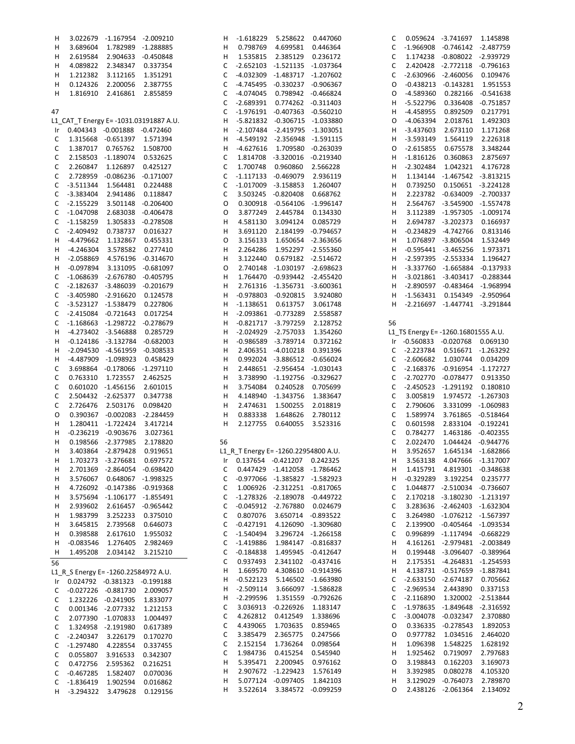| H    | 3.022679           | -1.167954 -2.009210                  |                                       | H  | -1.618229                            | 5.258622                            | 0.447060           | C  |                        | 0.059624 -3.741697                  | 1.145898           |
|------|--------------------|--------------------------------------|---------------------------------------|----|--------------------------------------|-------------------------------------|--------------------|----|------------------------|-------------------------------------|--------------------|
| н    | 3.689604           |                                      | 1.782989 -1.288885                    | н  | 0.798769                             | 4.699581                            | 0.446364           | C  | $-1.966908$            | -0.746142 -2.487759                 |                    |
| н    |                    | 2.619584 2.904633 -0.450848          |                                       | н  | 1.535815                             | 2.385129                            | 0.236172           | C  |                        | 1.174238 -0.808022 -2.939729        |                    |
|      | 4.089822           | 2.348347 0.337354                    |                                       | C  |                                      | -2.652103 -1.521135 -1.037364       |                    | C  |                        | 2.420428 -2.772118 -0.796163        |                    |
| н    |                    |                                      |                                       |    |                                      |                                     |                    |    |                        |                                     |                    |
| н    | 1.212382           | 3.112165                             | 1.351291                              | C  | $-4.032309$                          | -1.483717 -1.207602                 |                    | C  | $-2.630966$            | $-2.460056$                         | 0.109476           |
| н    | 0.124326           | 2.200056                             | 2.387755                              | С  | $-4.745495$                          | -0.330237 -0.906367                 |                    | 0  | $-0.438213$            | $-0.143281$                         | 1.951553           |
| н    | 1.816910           | 2.416861                             | 2.855859                              | C  | -4.074045                            |                                     | 0.798942 -0.466824 | 0  | -4.589360              | 0.282166                            | $-0.541638$        |
|      |                    |                                      |                                       | C  | $-2.689391$                          |                                     | 0.774262 -0.311403 | H  | $-5.522796$            | 0.336408                            | $-0.751857$        |
| 47   |                    |                                      |                                       | C  |                                      | $-1.976191$ $-0.407363$ $-0.560210$ |                    | н  | $-4.458955$            | 0.892509                            | 0.217791           |
|      |                    |                                      |                                       |    |                                      |                                     |                    |    |                        |                                     |                    |
|      |                    |                                      | L1_CAT_T Energy E=-1031.03191887 A.U. | н  |                                      | -5.821832 -0.306715 -1.033880       |                    | 0  | $-4.063394$            | 2.018761                            | 1.492303           |
| Ir I |                    | 0.404343 -0.001888 -0.472460         |                                       | н  |                                      | -2.107484 -2.419795 -1.303051       |                    | н  | $-3.437603$            | 2.673110                            | 1.171268           |
| C    |                    | 1.315668 -0.651397 1.571394          |                                       | н  |                                      | -4.549192 -2.356948 -1.591115       |                    | H  | $-3.593149$            | 1.564119                            | 2.226318           |
| C    |                    | 1.387017 0.765762                    | 1.508700                              | н  | $-4.627616$                          | 1.709580 -0.263039                  |                    | 0  | $-2.615855$            | 0.675578                            | 3.348244           |
|      |                    |                                      |                                       |    |                                      |                                     |                    |    |                        |                                     |                    |
| C    |                    | 2.158503 -1.189074                   | 0.532625                              | C  |                                      | 1.814708 -3.320016 -0.219340        |                    | H  | $-1.816126$            | 0.360863                            | 2.875697           |
| C    | 2.260847           | 1.126897                             | 0.425127                              | C  | 1.700748                             | 0.960860                            | 2.566228           | H  | $-2.302484$            | 1.042321                            | 4.176728           |
| C    | 2.728959           | -0.086236 -0.171007                  |                                       | С  |                                      | -1.117133 -0.469079                 | 2.936119           | н  | 1.134144               | -1.467542 -3.813215                 |                    |
| C    | $-3.511344$        | 1.564481  0.224488                   |                                       | C  |                                      | $-1.017009$ $-3.158853$             | 1.260407           | н  | 0.739250               | 0.150651 -3.224128                  |                    |
| C    | $-3.383404$        | 2.941486                             | 0.118847                              | С  |                                      | 3.503245 -0.820408                  | 0.668762           | н  |                        | 2.223782 -0.634009 -2.700337        |                    |
|      |                    |                                      |                                       |    |                                      |                                     |                    |    |                        |                                     |                    |
| C    | $-2.155229$        | 3.501148 -0.206400                   |                                       | O  |                                      | 0.300918 -0.564106 -1.996147        |                    | н  |                        | 2.564767 -3.545900                  | $-1.557478$        |
| C    | $-1.047098$        |                                      | 2.683038 -0.406478                    | O  | 3.877249                             | 2.445784                            | 0.134330           | н  |                        | 3.112389 -1.957305                  | $-1.009174$        |
| С    | $-1.158259$        |                                      | 1.305833 -0.278508                    | н  | 4.581130                             | 3.094124                            | 0.085729           | н  |                        | 2.694787 -3.202373                  | 0.166937           |
| C    | $-2.409492$        | 0.738737                             | 0.016327                              | н  | 3.691120                             |                                     | 2.184199 -0.794657 | н  | $-0.234829$            | $-4.742766$                         | 0.813146           |
| H    | -4.479662          | 1.132867                             | 0.455331                              | O  | 3.156133                             |                                     | 1.650654 -2.363656 | н  |                        | 1.076897 -3.806504                  | 1.532449           |
|      |                    |                                      |                                       |    |                                      |                                     |                    |    |                        |                                     |                    |
| H    | $-4.246304$        | 3.578582                             | 0.277410                              | Н  | 2.264286                             |                                     | 1.952297 -2.555360 | н  |                        | $-0.595441 -3.465256$               | 1.973371           |
| H    |                    | -2.058869  4.576196  -0.314670       |                                       | н  | 3.122440                             |                                     | 0.679182 -2.514672 | H  |                        | -2.597395 -2.553334                 | 1.196427           |
| H    | $-0.097894$        |                                      | 3.131095 -0.681097                    | O  | 2.740148                             | -1.030197 -2.698623                 |                    | H  |                        | -3.337760 -1.665884                 | $-0.137933$        |
| C    |                    | -1.068639 -2.676780 -0.405795        |                                       | н  |                                      | 1.764470 -0.939442 -2.455420        |                    | н  |                        | -3.021861 -3.403417                 | $-0.288344$        |
| С    |                    | -2.182637 -3.486039 -0.201679        |                                       | Н  |                                      | 2.761316 -1.356731 -3.600361        |                    | H  |                        | -2.890597 -0.483464                 | $-1.968994$        |
|      |                    |                                      |                                       |    |                                      |                                     |                    |    |                        |                                     |                    |
| С    |                    | -3.405980 -2.916620 0.124578         |                                       | Н  |                                      | -0.978803 -0.920815                 | 3.924080           | н  | $-1.563431$            | 0.154349                            | $-2.950964$        |
| C    |                    | -3.523127 -1.538479 0.227806         |                                       | н  | $-1.138651$                          | 0.613757                            | 3.061748           | н  |                        | -2.216697 -1.447741 -3.291844       |                    |
| C    |                    | $-2.415084$ $-0.721643$              | 0.017254                              | н  | -2.093861                            | $-0.773289$                         | 2.558587           |    |                        |                                     |                    |
| C    |                    | -1.168663 -1.298722 -0.278679        |                                       | Н  |                                      | $-0.821717 - 3.797259$              | 2.128752           | 56 |                        |                                     |                    |
|      |                    | -4.273402 -3.546888                  |                                       |    |                                      |                                     |                    |    |                        |                                     |                    |
| н    |                    |                                      | 0.285729                              | н  |                                      | -2.024929 -2.757033                 | 1.354260           |    |                        | L1_TS Energy E= -1260.16801555 A.U. |                    |
| H    |                    | $-0.124186 -3.132784 -0.682003$      |                                       | н  |                                      | -0.986589 -3.789714                 | 0.372162           |    | Ir -0.560833 -0.020768 |                                     | 0.069130           |
| н    |                    | -2.094530 -4.561959 -0.308533        |                                       | н  |                                      | 2.406351 -4.010218                  | 0.391396           | C  | -2.223784              | 0.516671 -1.263292                  |                    |
| H    |                    | -4.487909 -1.098923                  | 0.458429                              | н  |                                      | 0.992024 -3.886512 -0.656024        |                    | C  | $-2.606682$            | 1.030744                            | 0.034209           |
| C    |                    | 3.698864 -0.178066 -1.297110         |                                       | н  |                                      | 2.448651 -2.956454 -1.030143        |                    | C  |                        | -2.168376 -0.916954 -1.172727       |                    |
|      |                    |                                      |                                       |    |                                      |                                     |                    | C  |                        |                                     |                    |
| C    | 0.763310           | 1.723557                             | 2.462525                              | н  |                                      | 3.738990 -1.192756 -0.329627        |                    |    |                        | -2.702770 -0.078477                 | 0.913350           |
| C    |                    | 0.601020 -1.456156                   | 2.601015                              | н  |                                      | 3.754084 0.240528                   | 0.705699           | C  | $-2.450523$            | -1.291192                           | 0.180810           |
| C    |                    | 2.504432 -2.625377                   | 0.347738                              | Н  |                                      | 4.148940 -1.343756                  | 1.383647           | C  | 3.005819               | 1.974572 -1.267303                  |                    |
| C    | 2.726476           | 2.503176                             | 0.098420                              | н  | 2.474631                             | 1.500255                            | 2.018819           | C  | 2.790606               | 3.331099 -1.060983                  |                    |
| O    |                    | 0.390367 -0.002083 -2.284459         |                                       | н  | 0.883338                             | 1.648626                            | 2.780112           | C  | 1.589974               | 3.761865 -0.518464                  |                    |
| н    |                    | 1.280411 -1.722424                   | 3.417214                              | н  | 2.127755                             | 0.640055                            | 3.523316           | C  | 0.601598               | 2.833104                            | -0.192241          |
|      |                    |                                      |                                       |    |                                      |                                     |                    |    |                        |                                     |                    |
| н    |                    | $-0.236219$ $-0.903676$              | 3.027361                              |    |                                      |                                     |                    | C  | 0.784277               | 1.463186 -0.402355                  |                    |
| н    |                    | 0.198566 -2.377985                   | 2.178820                              | 56 |                                      |                                     |                    | C  | 2.022470               | 1.044424                            | $-0.944776$        |
| н    |                    | 3.403864 -2.879428                   | 0.919651                              |    | L1_R_T Energy E= -1260.22954800 A.U. |                                     |                    | н  | 3.952657               | 1.645134 -1.682866                  |                    |
| Η    |                    | 1.703273 -3.276681                   | 0.697572                              | Ir |                                      | 0.137654 -0.421207                  | 0.242325           | н  | 3.563138               | 4.047666 -1.317007                  |                    |
| н    |                    | 2.701369 -2.864054 -0.698420         |                                       | С  |                                      | 0.447429 -1.412058 -1.786462        |                    | н  | 1.415791               |                                     | 4.819301 -0.348638 |
|      |                    |                                      |                                       |    |                                      |                                     |                    |    |                        |                                     |                    |
| н    | 3.576067           |                                      | 0.648067 -1.998325                    | С  |                                      | -0.977066 -1.385827 -1.582923       |                    | н  | $-0.329289$            | 3.192254                            | 0.235777           |
| н    |                    | 4.726092 -0.147386 -0.919368         |                                       | С  |                                      | 1.006926 -2.312251 -0.817065        |                    | C  |                        | 1.044877 -2.510034 -0.736607        |                    |
| н    |                    | 3.575694 -1.106177 -1.855491         |                                       | С  | $-1.278326$                          | -2.189078 -0.449722                 |                    | С  |                        | 2.170218 -3.180230 -1.213197        |                    |
| н    | 2.939602           | 2.616457 -0.965442                   |                                       | С  |                                      | -0.045912 -2.767880                 | 0.024679           | С  |                        | 3.283636 -2.462403 -1.632304        |                    |
| н    | 1.983799           | 3.252233                             | 0.375010                              | С  | 0.807076                             | 3.650714 -0.893522                  |                    | C  |                        | 3.264980 -1.076212 -1.567397        |                    |
|      |                    |                                      |                                       |    |                                      |                                     |                    |    |                        | 2.139900 -0.405464 -1.093534        |                    |
| н    | 3.645815           | 2.739568                             | 0.646073                              | С  | -0.427191                            |                                     | 4.126090 -1.309680 | С  |                        |                                     |                    |
| н    | 0.398588           |                                      | 2.617610 1.955032                     | С  | $-1.540494$                          |                                     | 3.296724 -1.266158 | С  |                        | 0.996899 -1.117494 -0.668229        |                    |
| н    | $-0.083546$        | 1.276405                             | 2.982469                              | С  | $-1.419886$                          |                                     | 1.984147 -0.816837 | н  |                        | 4.161261 -2.979481 -2.003849        |                    |
| н    |                    | 1.495208 2.034142                    | 3.215210                              | С  | -0.184838                            |                                     | 1.495945 -0.412647 | H  |                        | 0.199448 -3.096407 -0.389964        |                    |
|      |                    |                                      |                                       | С  | 0.937493                             | 2.341102 -0.437416                  |                    | н  |                        | 2.175351 -4.264831 -1.254593        |                    |
| 56   |                    |                                      |                                       |    |                                      |                                     |                    |    |                        |                                     |                    |
|      |                    | L1 R S Energy E= -1260.22584972 A.U. |                                       | н  | 1.669570                             |                                     | 4.308610 -0.914396 | н  |                        | 4.138731 -0.517659 -1.887841        |                    |
| Ir.  |                    | 0.024792 -0.381323 -0.199188         |                                       | Н  | -0.522123                            |                                     | 5.146502 -1.663980 | С  |                        | -2.633150 -2.674187                 | 0.705662           |
| C    |                    | -0.027226 -0.881730 2.009057         |                                       | H  | $-2.509114$                          |                                     | 3.666097 -1.586828 | С  | $-2.969534$            | 2.443890                            | 0.337153           |
| C    |                    | 1.232226 -0.241905                   | 1.833077                              | н  | $-2.299596$                          |                                     | 1.351559 -0.792626 | С  | $-2.116890$            | 1.320002 -2.513844                  |                    |
|      |                    |                                      |                                       | С  |                                      | 3.036913 -0.226926                  | 1.183147           | С  |                        | -1.978635 -1.849648 -2.316592       |                    |
| C    |                    | 0.001346 -2.077332 1.212153          |                                       |    |                                      |                                     |                    |    |                        |                                     |                    |
| С    |                    | 2.077390 -1.070833                   | 1.004497                              | С  | 4.262812                             | 0.412549                            | 1.338696           | С  |                        | -3.004078 -0.032347                 | 2.370880           |
| C    |                    | 1.324958 -2.191980                   | 0.617389                              | С  | 4.439065                             | 1.703635                            | 0.859465           | O  | 0.336335               | $-0.278543$                         | 1.892053           |
| C    | -2.240347 3.226179 |                                      | 0.170270                              | С  | 3.385479                             | 2.365775                            | 0.247566           | O  | 0.977782               | 1.034516                            | 2.464020           |
| C    | $-1.297480$        | 4.228554                             | 0.337455                              | С  | 2.152154                             | 1.736264                            | 0.098564           | H  | 1.096398               | 1.548225                            | 1.628192           |
|      |                    |                                      |                                       | С  | 1.984736                             | 0.415254                            | 0.545940           | н  | 1.925462               | 0.719097                            | 2.797683           |
| C    | 0.055807           | 3.916533                             | 0.342307                              |    | 5.395471                             | 2.200945                            | 0.976162           | O  | 3.198843               | 0.162203                            |                    |
| C    | 0.472756           | 2.595362                             | 0.216251                              | Н  |                                      |                                     |                    |    |                        |                                     | 3.169073           |
| С    | $-0.467285$        | 1.582407                             | 0.070036                              | н  |                                      | 2.907672 -1.229423                  | 1.576149           | н  | 3.392985               | 0.080278                            | 4.105320           |
| C    | -1.836419 1.902594 |                                      | 0.016862                              | н  |                                      | 5.077124 -0.097405                  | 1.842103           | н  | 3.129029               | $-0.764073$                         | 2.789870           |
| H    | -3.294322          | 3.479628                             | 0.129156                              | н  |                                      | 3.522614 3.384572 -0.099259         |                    | O  |                        | 2.438126 -2.061364                  | 2.134092           |
|      |                    |                                      |                                       |    |                                      |                                     |                    |    |                        |                                     |                    |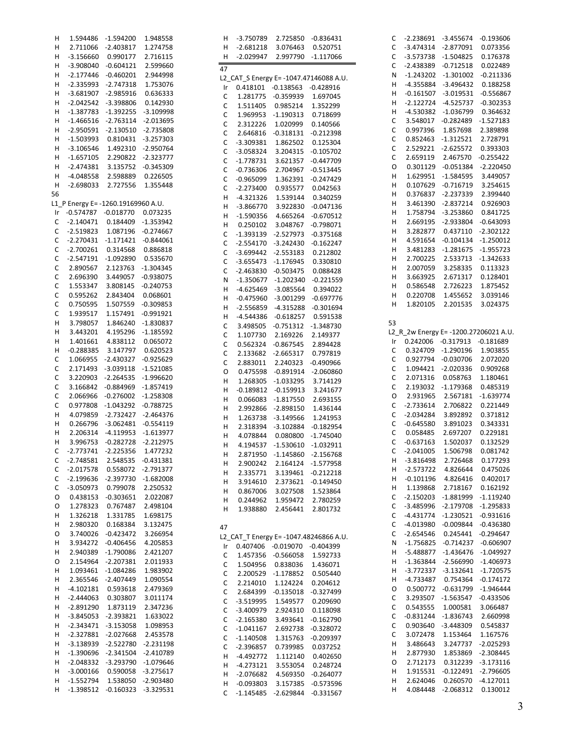| Н      | 1.594486                        | $-1.594200$                | 1.948558                   |
|--------|---------------------------------|----------------------------|----------------------------|
| н      | 2.711066                        | $-2.403817$                | 1.274758                   |
| Н      | $-3.156660$                     | 0.990177                   | 2.716115                   |
| Н      | $-3.908040$                     | $-0.604121$                | 2.599660                   |
| Н      | $-2.177446$                     | $-0.460201$                | 2.944998                   |
| Н      | $-2.335993$                     | $-2.747318$                | 1.753076                   |
| Н      | $-3.681907$                     | $-2.985916$                | 0.636333                   |
| Н      | $-2.042542$                     | $-3.398806$                | 0.142930                   |
| Н<br>Н | $-1.387783$                     | $-1.392255$<br>$-2.763114$ | $-3.109998$                |
| н      | -1.466516<br>$-2.950591$        | $-2.130510$                | $-2.013695$<br>$-2.735808$ |
| Н      | $-1.503993$                     | 0.810431                   | $-3.257303$                |
| Н      | $-3.106546$                     | 1.492310                   | $-2.950764$                |
| Н      | $-1.657105$                     | 2.290822                   | $-2.323777$                |
| Н      | $-2.474381$                     | 3.135752                   | $-0.345309$                |
| н      | $-4.048558$                     | 2.598889                   | 0.226505                   |
| Н      | $-2.698033$                     | 2.727556                   | 1.355448                   |
| 56     |                                 |                            |                            |
| L1     | P Energy E= -1260.19169960 A.U. |                            |                            |
| Ir     | $-0.574787$                     | $-0.018770$                | 0.073235                   |
| C      | $-2.140471$                     | 0.184409                   | $-1.353942$                |
| С      | $-2.519823$                     | 1.087196                   | $-0.274667$                |
| C      | $-2.270431$                     | $-1.171421$                | $-0.844061$                |
| C      | $-2.700261$                     | 0.314568                   | 0.886818                   |
| C      | $-2.547191$                     | $-1.092890$                | 0.535670                   |
| C      | 2.890567                        | 2.123763                   | $-1.304345$                |
| C      | 2.696390                        | 3.449057                   | $-0.938075$                |
| C      | 1.553347                        | 3.808145                   | $-0.240753$                |
| C      | 0.595262                        | 2.843404                   | 0.068601                   |
| C      | 0.750595                        | 1.507559                   | $-0.309853$                |
| C      | 1.939517                        | 1.157491                   | $-0.991921$                |
| H      | 3.798057                        | 1.846240                   | $-1.830837$                |
| Н      | 3.443201                        | 4.195296                   | $-1.185592$                |
| н      | 1.401661                        | 4.838112                   | 0.065072                   |
| н<br>C | $-0.288385$<br>1.066955         | 3.147797<br>$-2.430327$    | 0.620523                   |
| С      | 2.171493                        | $-3.039118$                | $-0.925629$<br>$-1.521085$ |
| C      | 3.220903                        | $-2.264535$                | $-1.996620$                |
| C      | 3.166842                        | $-0.884969$                | $-1.857419$                |
| C      | 2.066966                        | $-0.276002$                | $-1.258308$                |
| C      | 0.977808                        | $-1.043292$                | $-0.788725$                |
| H      | 4.079859                        | $-2.732427$                | $-2.464376$                |
| Н      | 0.266796                        | $-3.062481$                | $-0.554119$                |
| Н      | 2.206314                        | $-4.119953$                | $-1.613977$                |
| Н      | 3.996753                        | $-0.282728$                | $-2.212975$                |
| Ċ      | $-2.773741$                     | $-2.225356$                | 1.477232                   |
| C      | -2.748581                       | 2.548535                   | $-0.431381$                |
| C      | $-2.017578$                     | 0.558072                   | $-2.791377$                |
| C      | $-2.199636$                     | $-2.397730$                | $-1.682008$                |
| C      | $-3.050973$                     | 0.799078                   | 2.250532                   |
| O      | 0.438153                        | $-0.303651$                | 2.022087                   |
| O      | 1.278323                        | 0.767487                   | 2.498104                   |
| Η      | 1.326218                        | 1.331785                   | 1.698175                   |
| H      | 2.980320                        | 0.168384                   | 3.132475                   |
| O      | 3.740026<br>3.934272            | $-0.423472$                | 3.266954                   |
| H<br>Н |                                 | $-0.406456$<br>$-1.790086$ | 4.205853<br>2.421207       |
| O      | 2.940389<br>2.154964            | $-2.207381$                | 2.011933                   |
| Н      | 1.093461                        | $-1.084286$                | 1.983902                   |
| н      | 2.365546                        | $-2.407449$                | 1.090554                   |
| H      | $-4.102181$                     | 0.593618                   | 2.479369                   |
| н      | $-2.444063$                     | 0.303807                   | 3.011174                   |
| н      | $-2.891290$                     | 1.873119                   | 2.347236                   |
| н      | $-3.845053$                     | $-2.393821$                | 1.633022                   |
| н      | $-2.343471$                     | $-3.153058$                | 1.098953                   |
| н      | $-2.327881$                     | $-2.027668$                | 2.453578                   |
| н      | $-3.138939$                     | $-2.522780$                | $-2.231198$                |
| н      | $-1.390696$                     | $-2.341504$                | $-2.410789$                |
| Η      | $-2.048332$                     | $-3.293790$                | $-1.079646$                |
| н      | $-3.000166$                     | 0.590058                   | $-3.275617$                |
| н      | $-1.552794$                     | 1.538050                   | $-2.903480$                |
| н      | $-1.398512$                     | $-0.160323$                | $-3.329531$                |

| н            | -3.750789                             |                       | 2.725850 -0.836431                    |
|--------------|---------------------------------------|-----------------------|---------------------------------------|
| Н            | -2.681218                             | 3.076463              | 0.520751                              |
| н            | -2.029947                             | 2.997790              | $-1.117066$                           |
|              |                                       |                       |                                       |
| 47           |                                       |                       |                                       |
|              |                                       |                       | L2_CAT_S Energy E=-1047.47146088 A.U. |
| Ir           |                                       | 0.418101 -0.138563    | $-0.428916$                           |
| C            | 1.281775                              | $-0.359939$           | 1.697045                              |
| C            | 1.511405                              | 0.985214              | 1.352299                              |
|              |                                       |                       |                                       |
| C            | 1.969953                              | $-1.190313$           | 0.718699                              |
| C            | 2.312226                              | 1.020999              | 0.140566                              |
| C            | 2.646816                              | $-0.318131$           | $-0.212398$                           |
| C            | $-3.309381$                           | 1.862502              | 0.125304                              |
| C            | $-3.058324$                           | 3.204315              | $-0.105702$                           |
|              |                                       |                       |                                       |
| C            | -1.778731                             | 3.621357              | $-0.447709$                           |
| C            | $-0.736306$                           | 2.704967              | $-0.513445$                           |
| C            | $-0.965099$                           | 1.362391              | $-0.247429$                           |
| $\mathsf{C}$ | -2.273400                             | 0.935577              | 0.042563                              |
| Η            | $-4.321326$                           | 1.539144              | 0.340259                              |
|              |                                       |                       |                                       |
| Н            | $-3.866770$                           | 3.922830              | $-0.047136$                           |
| н            | $-1.590356$                           | 4.665264              | $-0.670512$                           |
| Н            | 0.250102                              | 3.048767              | $-0.798071$                           |
| C            | $-1.393139$                           | -2.527973             | $-0.375168$                           |
| C            | $-2.554170$                           | $-3.242430$           | $-0.162247$                           |
| C            | -3.699442                             | -2.553183             | 0.212802                              |
|              |                                       |                       |                                       |
| C            | -3.655473                             | $-1.176945$           | 0.330810                              |
| C            | $-2.463830$                           | $-0.503475$           | 0.088428                              |
| N            |                                       | $-1.350677 -1.202340$ | $-0.221559$                           |
| Н            |                                       | -4.625469 -3.085564   | 0.394022                              |
| Н            | -0.475960                             | $-3.001299$           | $-0.697776$                           |
|              |                                       |                       |                                       |
| Н            | $-2.556859$                           | -4.315288             | $-0.301694$                           |
| Η            | -4.544386                             | $-0.618257$           | 0.591538                              |
| C            | 3.498505                              | $-0.751312$           | $-1.348730$                           |
| C            | 1.107730                              | 2.169226              | 2.149377                              |
| C            | 0.562324                              | $-0.867545$           | 2.894428                              |
| C            | 2.133682                              | -2.665317             | 0.797819                              |
|              |                                       |                       |                                       |
| C            | 2.883011                              | 2.240323              | $-0.490966$                           |
| O            | 0.475598                              | $-0.891914$           | $-2.060860$                           |
| Н            | 1.268305                              | -1.033295             | 3.714129                              |
| Н            | $-0.189812$                           | $-0.159913$           | 3.241677                              |
| Н            | 0.066083                              | $-1.817550$           | 2.693155                              |
| Н            | 2.992866                              | -2.898150             | 1.436144                              |
|              |                                       |                       |                                       |
| н            | 1.263738                              | $-3.149566$           | 1.241953                              |
| Н            |                                       | 2.318394 -3.102884    | $-0.182954$                           |
| н            |                                       | 4.078844   0.080800   | $-1.745040$                           |
| Н            | 4.194537                              | $-1.530610$           | $-1.032911$                           |
| Н            | 2.871950                              | $-1.145860$           | $-2.156768$                           |
|              |                                       |                       | $-1.577958$                           |
| Н            | 2.900242                              | 2.164124              |                                       |
| Н            | 2.335771                              | 3.139461              | $-0.212218$                           |
| Н            | 3.914610                              | 2.373621              | $-0.149450$                           |
| Н            | 0.867006                              | 3.027508              | 1.523864                              |
| н            | 0.244962                              | 1.959472              | 2.780259                              |
| н            | 1.938880                              | 2.456441              | 2.801732                              |
|              |                                       |                       |                                       |
|              |                                       |                       |                                       |
| 47           |                                       |                       |                                       |
|              | L2_CAT_T Energy E=-1047.48246866 A.U. |                       |                                       |
| Ir           | 0.407406                              | $-0.019070$           | $-0.404399$                           |
| С            | 1.457356                              | $-0.566058$           | 1.592733                              |
| C            | 1.504956                              | 0.838036              | 1.436071                              |
|              |                                       |                       |                                       |
| C            | 2.200529                              | $-1.178852$           | 0.505440                              |
| C            | 2.214010                              | 1.124224              | 0.204612                              |
| C            | 2.684399                              | $-0.135018$           | $-0.327499$                           |
| C            | $-3.519995$                           | 1.549577              | 0.209690                              |
| C            | -3.400979                             | 2.924310              | 0.118098                              |
|              |                                       |                       |                                       |
| C            | $-2.165380$                           | 3.493641              | $-0.162790$                           |
| C            | $-1.041167$                           | 2.692738              | $-0.328072$                           |
| C            | $-1.140508$                           | 1.315763              | $-0.209397$                           |
| C            | $-2.396857$                           | 0.739985              | 0.037252                              |
| Н            | $-4.492772$                           | 1.112140              | 0.402650                              |
| н            | $-4.273121$                           | 3.553054              | 0.248724                              |
|              |                                       |                       |                                       |
| Н            | $-2.076682$                           | 4.569350              | $-0.264077$                           |
| Н            | $-0.093803$                           | 3.157385              | $-0.573596$                           |
| C            | $-1.145485$                           | $-2.629844$           | $-0.331567$                           |

| С       | $-2.238691$              | $-3.455674$                        | $-0.193606$                |
|---------|--------------------------|------------------------------------|----------------------------|
| C       | $-3.474314$              | $-2.877091$                        | 0.073356                   |
| C       | $-3.573738$              | $-1.504825$                        | 0.176378                   |
| С       | $-2.438389$              | $-0.712518$                        | 0.022489                   |
| N       | $-1.243202$              | $-1.301002$                        | $-0.211336$                |
| н       | -4.355884                | $-3.496432$                        | 0.188258                   |
| н       | $-0.161507$              | $-3.019531$                        | $-0.556867$                |
| н       | $-2.122724$              | $-4.525737$                        | $-0.302353$                |
| н       | $-4.530382$              | -1.036799                          | 0.364632                   |
| С       | 3.548017                 | $-0.282489$                        | $-1.527183$                |
| C       | 0.997396                 | 1.857698                           | 2.389898                   |
| C       | 0.852463                 | $-1.312521$                        | 2.728791                   |
| C       | 2.529221                 | $-2.625572$                        | 0.393303                   |
| C       | 2.659119<br>0.301129     | 2.467570                           | $-0.255422$                |
| O<br>н  | 1.629951                 | $-0.051384$<br>$-1.584595$         | $-2.220450$<br>3.449057    |
| н       | 0.107629                 | $-0.716719$                        | 3.254615                   |
| н       | 0.376837                 | $-2.237339$                        | 2.399440                   |
| н       | 3.461390                 | $-2.837214$                        | 0.926903                   |
| н       | 1.758794                 | $-3.253860$                        | 0.841725                   |
| н       | 2.669195                 | $-2.933804$                        | $-0.643093$                |
| Н       | 3.282877                 | 0.437110                           | $-2.302122$                |
| н       | 4.591654                 | $-0.104134$                        | $-1.250012$                |
| н       | 3.481283                 | $-1.281675$                        | $-1.955723$                |
| н       | 2.700225                 | 2.533713                           | $-1.342633$                |
| н       | 2.007059                 | 3.258335                           | 0.113323                   |
| н       | 3.663925                 | 2.671317                           | 0.128401                   |
| н       | 0.586548                 | 2.726223                           | 1.875452                   |
| Н       | 0.220708                 | 1.455652                           | 3.039146                   |
| Н       | 1.820105                 | 2.201535                           | 3.024375                   |
|         |                          |                                    |                            |
| 53      |                          |                                    |                            |
| L2      |                          | R 2w Energy E= -1200.27206021 A.U. |                            |
| Ir<br>C | 0.242006<br>0.324709     | $-0.317913$<br>$-1.290196$         | $-0.181689$<br>1.903855    |
| C       | 0.927794                 | $-0.030706$                        | 2.072020                   |
| C       | 1.094421                 | $-2.020336$                        | 0.909268                   |
| C       | 2.071316                 | 0.058763                           | 1.180461                   |
| C       | 2.193032                 | $-1.179368$                        | 0.485319                   |
| O       | 2.931965                 | 2.567181                           | $-1.639774$                |
| C       | $-2.733614$              | 2.706822                           | 0.221449                   |
| C       | $-2.034284$              | 3.892892                           | 0.371812                   |
| C       | $-0.645580$              | 3.891023                           | 0.343331                   |
| C       | 0.058485                 | 2.697207                           | 0.229181                   |
| C       | $-0.637163$              | 1.502037                           | 0.132529                   |
| Ċ       | $-2.041005$              | 1.506798                           | 0.081742                   |
| н       | $-3.816498$              | 2.726468                           | 0.177293                   |
| н       | $-2.573722$              | 4.826644                           | 0.475026                   |
| н       | $-0.101196$              | 4.826416                           | 0.402017                   |
| н       | 1.139868                 | 2.718167                           | 0.162192                   |
| С       | $-2.150203$              | $-1.881999$                        | $-1.119240$                |
| С       | $-3.485996$              | $-2.179708$                        | $-1.295833$                |
| C<br>C  | $-4.431774$<br>-4.013980 | $-1.230521$<br>$-0.009844$         | $-0.931616$<br>$-0.436380$ |
| C       | $-2.654546$              | 0.245441                           | $-0.294647$                |
| N       | $-1.756825$              | $-0.714237$                        | $-0.606907$                |
| н       | $-5.488877$              | $-1.436476$                        | $-1.049927$                |
| н       | $-1.363844$              | $-2.566990$                        | $-1.406973$                |
| н       | $-3.772337$              | $-3.132641$                        | $-1.720575$                |
| н       | -4.733487                | 0.754364                           | $-0.174172$                |
| Ο       | 0.500772                 | $-0.631799$                        | $-1.946444$                |
| C       | 3.293507                 | $-1.563547$                        | $-0.433506$                |
| C       | 0.543555                 | 1.000581                           | 3.066487                   |
| C       | $-0.831244$              | $-1.836743$                        | 2.660998                   |
| C       | 0.903640                 | $-3.448309$                        | 0.545837                   |
| C       | 3.072478                 | 1.153464                           | 1.167576                   |
| H       | 3.486643                 | 3.247737                           | $-2.025293$                |
| н       | 2.877930                 | 1.853869                           | $-2.308445$                |
| Ο       | 2.712173                 | 0.312239                           | $-3.173116$                |
| н       | 1.915531                 | $-0.122491$                        | $-2.796605$<br>$-4.127011$ |
| н<br>н  | 2.624046<br>4.084448     | 0.260570<br>$-2.068312$            | 0.130012                   |
|         |                          |                                    |                            |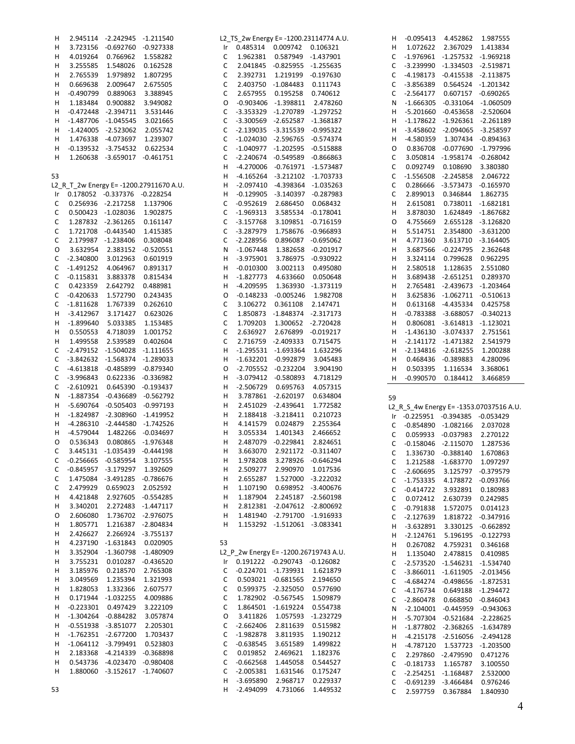| H  |                                 | 2.945114 -2.242945                  | -1.211540                              |        |                            |                                     | L2_TS_2w Energy E= -1200.23114774 A.U. | H            | $-0.095413$                      | 4.452862                            | 1.987555                                |
|----|---------------------------------|-------------------------------------|----------------------------------------|--------|----------------------------|-------------------------------------|----------------------------------------|--------------|----------------------------------|-------------------------------------|-----------------------------------------|
| H  |                                 | 3.723156 -0.692760 -0.927338        |                                        |        |                            | Ir 0.485314 0.009742 0.106321       |                                        | н            |                                  | 1.072622 2.367029                   | 1.413834                                |
| н  | 4.019264                        | 0.766962                            | 1.558282                               | C      |                            | 1.962381  0.587949  -1.437901       |                                        | C            | -1.976961 -1.257532 -1.969218    |                                     |                                         |
| H  | 3.255585                        | 1.548026                            | 0.162528                               | C      |                            | 2.041845 -0.825955 -1.255635        |                                        | C            |                                  | -3.239990 -1.334503 -2.519871       |                                         |
|    |                                 |                                     |                                        |        |                            |                                     |                                        |              |                                  |                                     |                                         |
| H  | 2.765539                        | 1.979892                            | 1.807295                               | C      |                            | 2.392731 1.219199 -0.197630         |                                        | C            |                                  | -4.198173 -0.415538 -2.113875       |                                         |
| H  | 0.669638                        | 2.009647                            | 2.675505                               | C      |                            | 2.403750 -1.084483 0.111743         |                                        | C            |                                  | -3.856389  0.564524  -1.201342      |                                         |
| н  | $-0.490799$                     | 0.889063                            | 3.388945                               | C      |                            | 2.657955  0.195258  0.740612        |                                        | C            |                                  | -2.564177  0.607157  -0.690265      |                                         |
| H  | 1.183484                        | 0.900882                            | 3.949082                               | 0      |                            | -0.903406 -1.398811 2.478260        |                                        | N            |                                  | $-1.666305 -0.331064 -1.060509$     |                                         |
| H  |                                 | $-0.472448$ $-2.394711$             | 3.531446                               | C      |                            | -3.353329 -1.270789 -1.297252       |                                        | н            |                                  | -5.201660 -0.453658 -2.520604       |                                         |
|    |                                 |                                     |                                        |        |                            |                                     |                                        |              |                                  |                                     |                                         |
| H  |                                 | -1.487706 -1.045545                 | 3.021665                               | C      |                            | -3.300569 -2.652587 -1.368187       |                                        | н            |                                  | $-1.178622$ $-1.926361$ $-2.261189$ |                                         |
| н  |                                 | -1.424005 -2.523062                 | 2.055742                               | C      |                            | -2.139035 -3.315539 -0.995322       |                                        | н            |                                  | -3.458602 -2.094065 -3.258597       |                                         |
| H  |                                 | 1.476338 -4.073697                  | 1.239307                               | C      |                            | $-1.024030 -2.596765 -0.574374$     |                                        | н            |                                  | -4.580359 1.307434 -0.894363        |                                         |
| H  |                                 | $-0.139532 -3.754532$               | 0.622534                               | C      |                            | -1.040977 -1.202595 -0.515888       |                                        | 0            |                                  | 0.836708 -0.077690 -1.797996        |                                         |
| H  |                                 | 1.260638 -3.659017 -0.461751        |                                        | C      |                            | -2.240674 -0.549589 -0.866863       |                                        | C            |                                  | 3.050814 -1.958174 -0.268042        |                                         |
|    |                                 |                                     |                                        |        |                            |                                     |                                        |              |                                  |                                     |                                         |
|    |                                 |                                     |                                        | H      |                            | -4.270006 -0.761971 -1.573487       |                                        | C            | 0.092749                         | 0.108690                            | 3.380380                                |
| 53 |                                 |                                     |                                        | н      |                            | -4.165264 -3.212102 -1.703733       |                                        | C            |                                  | -1.556508 -2.245858 2.046722        |                                         |
|    |                                 |                                     | L2_R_T_2w Energy E=-1200.27911670 A.U. | H      |                            | -2.097410 -4.398364 -1.035263       |                                        | C            |                                  | 0.286666 -3.573473 -0.165970        |                                         |
|    | Ir 0.178052 -0.337376 -0.228254 |                                     |                                        | н      |                            | $-0.129905$ $-3.140397$ $-0.287983$ |                                        | C            |                                  | 2.899013 0.346844                   | 1.862735                                |
| C  |                                 | 0.256936 -2.217258                  | 1.137906                               | C      | $-0.952619$                |                                     | 2.686450 0.068432                      | н            |                                  | 2.615081  0.738011  -1.682181       |                                         |
|    |                                 |                                     |                                        |        |                            |                                     |                                        |              |                                  |                                     |                                         |
| C  |                                 | 0.500423 -1.028036                  | 1.902875                               | C      | $-1.969313$                |                                     | 3.585534 -0.178041                     | н            | 3.878030                         | 1.624849 -1.867682                  |                                         |
| C  |                                 | 1.287832 -2.361265                  | 0.161147                               | C      | $-3.157768$                |                                     | 3.109851 -0.716159                     | 0            |                                  | 4.755669 2.655128 -3.126820         |                                         |
| C  |                                 | 1.721708 -0.443540                  | 1.415385                               | C      | $-3.287979$                |                                     | 1.758676 -0.966893                     | н            |                                  | 5.514751  2.354800  -3.631200       |                                         |
| С  |                                 | 2.179987 -1.238406                  | 0.308048                               | C      | $-2.228956$                |                                     | 0.896087 -0.695062                     | н            | 4.771360                         | 3.613710 -3.164405                  |                                         |
| O  | 3.632954                        | 2.383152 -0.520551                  |                                        | N      | $-1.067448$                |                                     | 1.382658 -0.201917                     | н            |                                  | 3.687566 -0.224795 2.362648         |                                         |
| C  | $-2.340800$                     | 3.012963                            | 0.601919                               | H.     | $-3.975901$                |                                     | 3.786975 -0.930922                     | н            |                                  | 3.324114  0.799628  0.962295        |                                         |
|    |                                 |                                     |                                        |        |                            |                                     |                                        |              |                                  |                                     |                                         |
| C  | $-1.491252$                     | 4.064967                            | 0.891317                               | н      | $-0.010300$                | 3.002113                            | 0.495080                               | н            | 2.580518                         | 1.128635 2.551080                   |                                         |
| C  | $-0.115831$                     | 3.883378                            | 0.815434                               | H      | $-1.827773$                |                                     | 4.633660 0.050648                      | н            |                                  | 3.689438 -2.651251 0.289370         |                                         |
| С  | 0.423359                        | 2.642792                            | 0.488981                               | н      | $-4.209595$                |                                     | 1.363930 -1.373119                     | н            |                                  | 2.765481 -2.439673 -1.203464        |                                         |
| С  | $-0.420633$                     | 1.572790                            | 0.243435                               | 0      |                            | $-0.148233 - 0.005246$              | 1.982708                               | н            |                                  | 3.625836 -1.062711 -0.510613        |                                         |
| C  | $-1.811628$                     | 1.767339                            | 0.262610                               | C      | 3.106272                   | 0.361108 2.147471                   |                                        | н            |                                  | 0.613168 -4.435334                  | 0.425758                                |
|    | $-3.412967$                     | 3.171427                            | 0.623026                               | C      |                            | 1.850873 -1.848374 -2.317173        |                                        | н            |                                  | -0.783388 -3.688057 -0.340213       |                                         |
| н  |                                 |                                     |                                        |        |                            |                                     |                                        |              |                                  |                                     |                                         |
| H  | $-1.899640$                     | 5.033385                            | 1.153485                               | C      | 1.709203                   | 1.300652 -2.720428                  |                                        | н            |                                  | 0.806081 -3.614813 -1.123021        |                                         |
| H  | 0.550553                        | 4.718039                            | 1.001752                               | C      |                            | 2.636927 2.676899 -0.019217         |                                        | н            |                                  | -1.436130 -3.074337 2.751561        |                                         |
| н  | 1.499558                        | 2.539589                            | 0.402604                               | C      |                            | 2.716759 -2.409333                  | 0.715475                               | н            |                                  | -2.141172 -1.471382 2.541979        |                                         |
| С  |                                 | -2.479152 -1.504028 -1.111655       |                                        | н      |                            | -1.295531 -1.693364                 | 1.632296                               | н            |                                  | $-2.134816 -2.618255$               | 1.200288                                |
| С  |                                 | -3.842632 -1.568374 -1.289033       |                                        | H      |                            | -1.632201 -0.992879                 | 3.045483                               | н            |                                  | 0.468436 -0.389883                  | 4.280096                                |
|    |                                 |                                     |                                        |        |                            | -2.705552 -0.232204                 |                                        |              |                                  |                                     |                                         |
| С  |                                 | -4.613818 -0.485899 -0.879340       |                                        | O      |                            |                                     | 3.904190                               | н            |                                  | 0.503395 1.116534                   | 3.368061                                |
| C  | $-3.996843$                     |                                     | 0.622336 -0.336982                     | н      |                            | -3.079412 -0.580893                 | 4.718129                               | H.           |                                  | -0.990570  0.184412                 | 3.466859                                |
| С  | $-2.610921$                     |                                     | 0.645390 -0.193437                     | н      | $-2.506729$                | 0.695763                            | 4.057315                               |              |                                  |                                     |                                         |
| N  |                                 | -1.887354 -0.436689 -0.562792       |                                        | н      |                            | 3.787861 -2.620197                  | 0.634804                               | 59           |                                  |                                     |                                         |
| H  |                                 | -5.690764 -0.505403 -0.997193       |                                        | н      |                            | 2.451029 -2.439641                  | 1.772582                               |              |                                  |                                     | L2_R_S_4w Energy E= -1353.07037516 A.U. |
| H  |                                 | $-1.824987$ $-2.308960$ $-1.419952$ |                                        | н      |                            | 2.188418 -3.218411                  | 0.210723                               |              | Ir -0.225951 -0.394385 -0.053429 |                                     |                                         |
|    |                                 |                                     |                                        |        |                            |                                     |                                        |              |                                  |                                     |                                         |
|    |                                 |                                     |                                        |        |                            |                                     |                                        |              |                                  |                                     |                                         |
| Н, |                                 |                                     | -4.286310 -2.444580 -1.742526          | н      | 4.141579                   | 0.024879                            | 2.255364                               | C            | -0.854890 -1.082166 2.037028     |                                     |                                         |
| H  | -4.579044                       | 1.482266 -0.034697                  |                                        | н      | 3.055334                   | 1.401343                            | 2.466652                               | C            |                                  | 0.059933 -0.037983 2.270122         |                                         |
| O  | 0.536343                        |                                     | 0.080865 -1.976348                     | н      | 2.487079                   | $-0.229841$                         | 2.824651                               | C            |                                  | $-0.158046$ $-2.115070$             | 1.287536                                |
| C  |                                 | 3.445131 -1.035439 -0.444198        |                                        | н      | 3.663070                   |                                     | 2.921172 -0.311407                     |              |                                  |                                     |                                         |
|    |                                 |                                     |                                        |        |                            |                                     |                                        | $\mathsf{C}$ |                                  | 1.336730 -0.388140                  | 1.670863                                |
| С  |                                 | -0.256665 -0.585954                 | 3.107555                               | н      | 1.978208                   |                                     | 3.278926 -0.646294                     | C            |                                  | 1.212588 -1.683770                  | 1.097297                                |
| C  |                                 | -0.845957 -3.179297                 | 1.392609                               | н      | 2.509277                   | 2.990970                            | 1.017536                               | C            | $-2.606695$                      |                                     | 3.125797 -0.379579                      |
| C  |                                 | 1.475084 -3.491285 -0.786676        |                                        | н      | 2.655287                   |                                     | 1.527000 -3.222032                     | C            | $-1.753335$                      | 4.178872 -0.093766                  |                                         |
| С  | 2.479929                        | 0.659023                            | 2.052592                               | н      | 1.107190                   |                                     | 0.698952 -3.400676                     | C            |                                  | $-0.414722$ 3.932891                | 0.180983                                |
| H  | 4.421848                        |                                     | 2.927605 -0.554285                     | н      | 1.187904                   |                                     | 2.245187 -2.560198                     |              |                                  |                                     |                                         |
|    |                                 |                                     |                                        |        |                            |                                     |                                        | C            |                                  | 0.072412 2.630739                   | 0.242985                                |
| H  | 3.340201                        |                                     | 2.272483 -1.447117                     | н      |                            | 2.812381 -2.047612 -2.800692        |                                        | C            | $-0.791838$                      | 1.572075                            | 0.014123                                |
| O  | 2.606080                        |                                     | 1.736702 -2.976075                     | н      |                            | 1.481940 -2.791700 -1.916933        |                                        | C            |                                  | -2.127639  1.818722  -0.347916      |                                         |
| H  | 1.805771                        |                                     | 1.216387 -2.804834                     | н      |                            | 1.153292 -1.512061 -3.083341        |                                        | H            |                                  | -3.632891 3.330125 -0.662892        |                                         |
| H  | 2.426627                        |                                     | 2.266924 -3.755137                     |        |                            |                                     |                                        | н            | $-2.124761$                      | 5.196195 -0.122793                  |                                         |
| H  |                                 | 4.237190 -1.631843                  | 0.020905                               | 53     |                            |                                     |                                        | н            | 0.267082                         | 4.759231                            | 0.346168                                |
| H  | 3.352904                        | -1.360798 -1.480909                 |                                        |        |                            |                                     | L2 P 2w Energy E= -1200.26719743 A.U.  |              |                                  |                                     |                                         |
|    |                                 |                                     |                                        |        |                            |                                     |                                        | н            | 1.135040                         | 2.478815                            | 0.410985                                |
| H  | 3.755231                        |                                     | 0.010287 -0.436520                     | Ir     |                            | 0.191222 -0.290743 -0.126082        |                                        | C            |                                  | -2.573520 -1.546231 -1.534740       |                                         |
| H  | 3.185976                        | 0.218570                            | 2.765308                               | C      |                            | -0.224701 -1.739931 1.621879        |                                        | C            |                                  | -3.866011 -1.611905 -2.013456       |                                         |
| H  | 3.049569                        | 1.235394                            | 1.321993                               | C      |                            | 0.503021 -0.681565                  | 2.194650                               | C            |                                  | -4.684274 -0.498656 -1.872531       |                                         |
| H  | 1.828053                        | 1.332366                            | 2.607577                               | C      |                            | 0.599375 -2.325050                  | 0.577690                               | C            |                                  | -4.176734  0.649188  -1.294472      |                                         |
| н  |                                 | 0.171944 -1.032255                  | 4.009886                               | C      |                            | 1.782902 -0.567545                  | 1.509879                               | C            |                                  | -2.860478  0.668850  -0.846043      |                                         |
| H  | $-0.223301$                     | 0.497429                            | 3.222109                               | С      |                            | 1.864501 -1.619224                  | 0.554738                               |              |                                  |                                     |                                         |
|    |                                 |                                     |                                        |        |                            |                                     |                                        | N            |                                  | $-2.104001$ $-0.445959$ $-0.943063$ |                                         |
| H  |                                 | $-1.304264$ $-0.884282$             | 3.057874                               | O      | 3.411826                   |                                     | 1.057593 -1.232729                     | Н            |                                  | -5.707304 -0.521684 -2.228625       |                                         |
| H  |                                 | $-0.551938$ $-3.851077$             | 2.205301                               | C      | $-2.662406$                | 2.811639                            | 0.515982                               | Н            |                                  | -1.877802 -2.368265 -1.634789       |                                         |
| H  |                                 | $-1.762351 - 2.677200$              | 1.703437                               | C      | $-1.982878$                | 3.811935                            | 1.190212                               | н            |                                  | -4.215178 -2.516056 -2.494128       |                                         |
| H  |                                 | $-1.064112$ $-3.799491$             | 0.523803                               | С      | $-0.638545$                | 3.651589                            | 1.499822                               | Н            | $-4.787120$                      | 1.537723 -1.203500                  |                                         |
| H  |                                 | 2.183368 -4.214339 -0.368898        |                                        | C      | 0.019852                   | 2.469621                            | 1.182376                               | C            |                                  | 2.297860 -2.479590                  | 0.471276                                |
| H  |                                 | 0.543736 -4.023470 -0.980408        |                                        | C      | $-0.662568$                | 1.445058                            | 0.544527                               |              |                                  |                                     |                                         |
| H  |                                 | 1.880060 -3.152617 -1.740607        |                                        | C      | $-2.005381$                | 1.631546                            | 0.175247                               | C            |                                  | $-0.181733$ $1.165787$              | 3.100550                                |
|    |                                 |                                     |                                        |        |                            |                                     |                                        | C            |                                  | $-2.254251 -1.168487$               | 2.532000                                |
| 53 |                                 |                                     |                                        | н<br>н | $-3.695890$<br>$-2.494099$ | 2.968717<br>4.731066                | 0.229337<br>1.449532                   | C<br>C       | 2.597759                         | $-0.691239 -3.466484$<br>0.367884   | 0.976246<br>1.840930                    |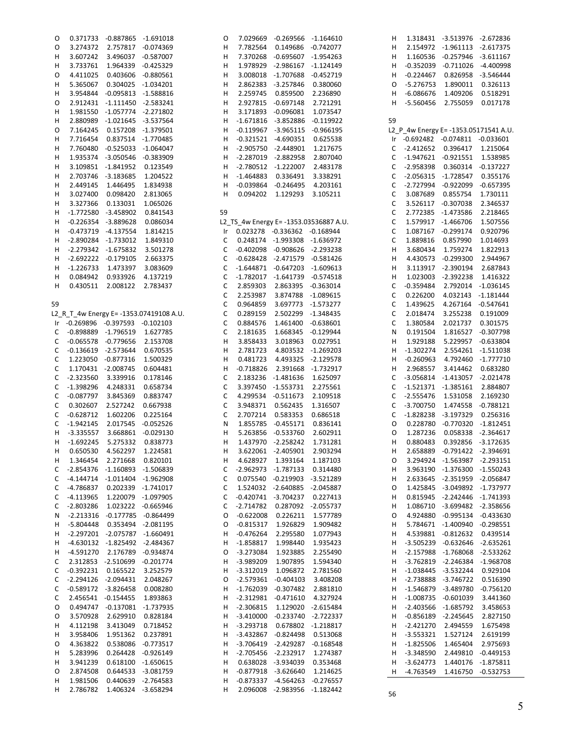| 0  |                                  | 0.371733 -0.887865 -1.691018   |                                         | O  |                                | 7.029669 -0.269566 -1.164610        |                                       | н  |                                       | 1.318431 -3.513976 -2.672836        |                    |
|----|----------------------------------|--------------------------------|-----------------------------------------|----|--------------------------------|-------------------------------------|---------------------------------------|----|---------------------------------------|-------------------------------------|--------------------|
| 0  | 3.274372                         | 2.757817 -0.074369             |                                         | н  | 7.782564                       | 0.149686                            | $-0.742077$                           | н  |                                       | 2.154972 -1.961113 -2.617375        |                    |
| н  | 3.607242                         | 3.496037 -0.587007             |                                         | н  | 7.370268                       | $-0.695607 -1.954263$               |                                       | н  |                                       | 1.160536 -0.257946 -3.611167        |                    |
|    |                                  |                                |                                         |    |                                |                                     |                                       |    |                                       |                                     |                    |
| H  | 3.733761                         |                                | 1.964339 -0.425329                      | Н  | 1.978929                       | -2.986167 -1.124149                 |                                       | н  |                                       | $-0.352039 -0.711026$               | -4.400998          |
| O  | 4.411025                         | 0.403606                       | $-0.880561$                             | н  | 3.008018                       | -1.707688                           | $-0.452719$                           | н  | $-0.224467$                           | 0.826958                            | $-3.546444$        |
| н  | 5.365067                         | 0.304025 -1.034201             |                                         | н  | 2.862383                       | -3.257846                           | 0.380060                              | O  | $-5.276753$                           | 1.890011                            | 0.326113           |
| н  | 3.954844                         | $-0.095813 -1.588816$          |                                         | Н  | 2.259745                       | 0.859500                            | 2.236890                              | н  | $-6.086676$                           | 1.409206                            | 0.518291           |
| 0  |                                  | 2.912431 -1.111450 -2.583241   |                                         | н  | 2.927815                       | $-0.697148$                         | 2.721291                              | н  |                                       |                                     | 0.017178           |
|    |                                  |                                |                                         |    |                                |                                     |                                       |    | -5.560456                             | 2.755059                            |                    |
| н  | 1.981550                         | -1.057774 -2.271802            |                                         | н  | 3.171893                       | $-0.096081$                         | 1.073547                              |    |                                       |                                     |                    |
| H  | 2.880989                         | -1.021645 -3.537564            |                                         | н  |                                | $-1.671816 - 3.852886$              | -0.119922                             | 59 |                                       |                                     |                    |
| O  | 7.164245                         | 0.157208 -1.379501             |                                         | н  |                                | $-0.119967$ $-3.965115$ $-0.966195$ |                                       |    | L2_P_4w Energy E= -1353.05171541 A.U. |                                     |                    |
| н  | 7.716454                         | 0.837514 -1.770485             |                                         | н  |                                | $-0.321521 -4.690351$               | 0.625538                              |    | Ir -0.692482 -0.074811 -0.033601      |                                     |                    |
|    |                                  |                                |                                         |    |                                |                                     |                                       |    |                                       |                                     |                    |
| н  | 7.760480                         | -0.525033 -1.064047            |                                         | н  | $-2.905750$                    | $-2.448901$                         | 1.217675                              | С  | $-2.412652$ 0.396417                  |                                     | 1.215064           |
| н  | 1.935374                         | -3.050546 -0.383909            |                                         | н  |                                | -2.287019 -2.882958                 | 2.807040                              | C  | $-1.947621 -0.921551$                 |                                     | 1.538985           |
| н  |                                  | 3.109851 -1.841952 0.123549    |                                         | н  |                                | $-2.780512 -1.222007$               | 2.483178                              | С  | $-2.958398$                           | 0.360314 -0.137227                  |                    |
| н  |                                  | 2.703746 -3.183685             | 1.204522                                | н  | $-1.464883$                    | 0.336491                            | 3.338291                              | C  | -2.056315 -1.728547                   |                                     | 0.355176           |
| н  | 2.449145                         | 1.446495                       | 1.834938                                | н  |                                | -0.039864 -0.246495                 | 4.203161                              | С  | -2.727994 -0.922099                   |                                     | $-0.657395$        |
|    |                                  |                                |                                         |    |                                |                                     |                                       |    |                                       |                                     |                    |
| H  | 3.027400                         | 0.098420                       | 2.813065                                | н  | 0.094202                       | 1.129293                            | 3.105211                              | С  | 3.087689                              | 0.855754                            | 1.730111           |
| н  | 3.327366                         | 0.133031                       | 1.065026                                |    |                                |                                     |                                       | C  |                                       | 3.526117 -0.307038                  | 2.346537           |
| н  |                                  | -1.772580 -3.458902            | 0.841543                                | 59 |                                |                                     |                                       | C  | 2.772385 -1.473586                    |                                     | 2.218465           |
| н  |                                  | $-0.226354 -3.889628$          | 0.086034                                |    |                                |                                     | L2_TS_4w Energy E=-1353.03536887 A.U. | C  | 1.579917 -1.466706                    |                                     | 1.507556           |
|    |                                  |                                |                                         |    |                                |                                     |                                       |    |                                       |                                     |                    |
| н  |                                  | $-0.473719$ $-4.137554$        | 1.814215                                | Ir |                                | 0.023278 -0.336362 -0.168944        |                                       | C  |                                       | 1.087167 -0.299174                  | 0.920796           |
| н  |                                  | -2.890284 -1.733012            | 1.849310                                | С  |                                | 0.248174 -1.993308 -1.636972        |                                       | C  | 1.889816                              | 0.857990                            | 1.014693           |
| н  |                                  | -2.279342 -1.675832            | 3.501278                                | С  | $-0.402098$                    | -0.908626 -2.293238                 |                                       | н  | 3.680434                              | 1.759274                            | 1.822913           |
| H  |                                  | -2.692222 -0.179105            | 2.663375                                | С  | $-0.628428$                    | -2.471579 -0.581426                 |                                       | н  |                                       | 4.430573 -0.299300                  | 2.944967           |
|    | -1.226733                        | 1.473397                       | 3.083609                                | С  | $-1.644871$                    | -0.647203 -1.609613                 |                                       | н  |                                       | 3.113917 -2.390194                  | 2.687843           |
| н  |                                  |                                |                                         |    |                                |                                     |                                       |    |                                       |                                     |                    |
| н  | 0.084942                         | 0.933926                       | 4.137219                                | С  |                                | -1.782017 -1.641739 -0.574518       |                                       | н  |                                       | 1.023003 -2.392238                  | 1.416322           |
| н  | 0.430511                         | 2.008122                       | 2.783437                                | C  | 2.859303                       | 2.863395 -0.363014                  |                                       | C  | $-0.359484$                           | 2.792014 -1.036145                  |                    |
|    |                                  |                                |                                         | С  | 2.253987                       | 3.874788                            | $-1.089615$                           | C  | 0.226200                              | 4.032143 -1.181444                  |                    |
| 59 |                                  |                                |                                         | С  | 0.964859                       | 3.697773                            | -1.573277                             | C  | 1.439625                              | 4.267164 -0.547641                  |                    |
|    |                                  |                                |                                         |    |                                |                                     |                                       |    |                                       |                                     |                    |
|    |                                  |                                | L2_R_T_4w Energy E= -1353.07419108 A.U. | C  | 0.289159                       | 2.502299                            | -1.348435                             | C  | 2.018474                              | 3.255238                            | 0.191009           |
|    | Ir -0.269896 -0.397593 -0.102103 |                                |                                         | С  | 0.884576                       | 1.461400                            | $-0.638601$                           | C  | 1.380584                              | 2.021737                            | 0.301575           |
| C  | -0.898889 -1.796519              |                                | 1.627785                                | C  | 2.181635                       | 1.668345                            | $-0.129944$                           | N  | 0.191504                              |                                     | 1.816527 -0.307798 |
| C  | $-0.065578$                      | -0.779656                      | 2.153708                                | Н  | 3.858433                       | 3.018963                            | 0.027951                              | н  | 1.929188                              |                                     | 5.229957 -0.633804 |
| C  |                                  |                                |                                         | н  |                                |                                     |                                       |    |                                       |                                     |                    |
|    | $-0.136619$ $-2.573644$          |                                | 0.670535                                |    | 2.781723                       | 4.803532 -1.269203                  |                                       | н  | $-1.302274$                           |                                     | 2.554261 -1.511038 |
| C  |                                  | 1.223050 -0.877316             | 1.500329                                | Н  | 0.481723                       |                                     | 4.493325 -2.129578                    | н  | $-0.260963$                           |                                     | 4.792460 -1.777710 |
| C  |                                  | 1.170431 -2.008745             | 0.604481                                | Н  | $-0.718826$                    | 2.391668                            | -1.732917                             | Н  | 2.968557                              | 3.414462                            | 0.683280           |
| C  | $-2.323560$                      | 3.339916                       | 0.178146                                | С  |                                | 2.183236 -1.481636                  | 1.625097                              | C  |                                       | $-3.056814$ $-1.413057$ $-2.021478$ |                    |
| C  | $-1.398296$                      | 4.248331                       | 0.658734                                | C  |                                | 3.397450 -1.553731                  | 2.275561                              | С  | $-1.521371 -1.385161$                 |                                     | 2.884807           |
|    |                                  |                                |                                         |    |                                |                                     |                                       |    |                                       |                                     |                    |
| C  | $-0.087797$                      | 3.845369                       | 0.883747                                | С  | 4.299534                       | $-0.511673$                         | 2.109518                              | С  | $-2.555476$                           | 1.531058                            | 2.169230           |
| C  | 0.302607                         | 2.527242                       | 0.667938                                | C  | 3.948371                       | 0.562435                            | 1.316507                              | C  | $-3.700750$                           |                                     | 1.474558 -0.788121 |
| C  | $-0.628712$                      | 1.602206                       | 0.225164                                | С  | 2.707214                       | 0.583353                            | 0.686518                              | С  | -1.828238                             | -3.197329                           | 0.256316           |
| C  | $-1.942145$                      | 2.017545                       | -0.052526                               | Ν  | 1.855785                       | -0.455171                           | 0.836141                              | O  | 0.228780                              | -0.770320                           | -1.812451          |
| н  | $-3.335557$                      |                                | 3.668861 -0.029130                      | н  | 5.263856                       | -0.533760                           | 2.602911                              | 0  | 1.287236                              |                                     | 0.058338 -2.364617 |
|    |                                  |                                |                                         |    |                                |                                     |                                       |    |                                       |                                     |                    |
| н  | $-1.692245$                      | 5.275332                       | 0.838773                                | н  |                                | 1.437970 -2.258242                  | 1.731281                              | н  | 0.880483                              |                                     | 0.392856 -3.172635 |
| H. |                                  | 0.650530  4.562297  1.224581   |                                         | H  |                                | 3.622061 -2.405901 2.903294         |                                       | н  |                                       | 2.658889 -0.791422 -2.394691        |                    |
| H  |                                  | 1.346454 2.271668 0.820101     |                                         | н  |                                | 4.628927 1.393164 1.187103          |                                       | O  |                                       | 3.294924 -1.563987 -2.293151        |                    |
| C  |                                  | -2.854376 -1.160893 -1.506839  |                                         | C  | -2.962973 -1.787133 0.314480   |                                     |                                       | H  |                                       | 3.963190 -1.376300 -1.550243        |                    |
|    |                                  | -4.144714 -1.011404 -1.962908  |                                         |    |                                |                                     |                                       |    |                                       |                                     |                    |
| C  |                                  |                                |                                         | С  |                                | 0.075540 -0.219903 -3.521289        |                                       | н  |                                       | 2.633645 -2.351959 -2.056847        |                    |
| C  | -4.786837                        | 0.202339 -1.741017             |                                         | С  |                                | 1.524032 -2.640885 -2.045887        |                                       | 0  |                                       | 1.425845 -3.049892 -1.737977        |                    |
| C  |                                  | -4.113965 1.220079 -1.097905   |                                         | С  |                                | $-0.420741$ $-3.704237$ 0.227413    |                                       | н  |                                       | 0.815945 -2.242446 -1.741393        |                    |
| C  |                                  | -2.803286 1.023222 -0.665946   |                                         | C  |                                | -2.714782  0.287092  -2.055737      |                                       | н  |                                       | 1.086710 -3.699482 -2.358656        |                    |
| N  |                                  | -2.213316 -0.177785 -0.864499  |                                         | O  | $-0.622008$                    | 0.226211                            | 1.577789                              | O  |                                       | 4.924880 -0.995134 -0.433630        |                    |
|    |                                  |                                |                                         |    |                                |                                     |                                       |    |                                       |                                     |                    |
| Н. |                                  | -5.804448  0.353494  -2.081195 |                                         | O  |                                | -0.815317  1.926829  1.909482       |                                       | н  |                                       | 5.784671 -1.400940 -0.298551        |                    |
| H  |                                  | -2.297201 -2.075787 -1.660491  |                                         | н  |                                | -0.476264 2.295580                  | 1.077943                              | н  |                                       | 4.539881 -0.812632 0.439514         |                    |
| н  |                                  | -4.630132 -1.825492 -2.484367  |                                         | н  |                                | -1.858817 1.998440                  | 1.935423                              | н  |                                       | -3.505239 -0.632646 -2.635261       |                    |
| H  |                                  | -4.591270 2.176789 -0.934874   |                                         | 0  |                                | -3.273084 1.923885 2.255490         |                                       | н  |                                       | -2.157988 -1.768068 -2.533262       |                    |
| C  |                                  | 2.312853 -2.510699 -0.201774   |                                         | н  | $-3.989209$                    | 1.907895 1.594340                   |                                       | н  |                                       | -3.762819 -2.246384 -1.968708       |                    |
|    |                                  |                                |                                         |    |                                |                                     |                                       |    |                                       |                                     |                    |
| C  |                                  | -0.392231  0.165522  3.252579  |                                         | н  | $-3.312019$                    | 1.096872 2.781560                   |                                       | н  |                                       | -1.038445 -3.532244                 | 0.929104           |
| С  |                                  | -2.294126 -2.094431 2.048267   |                                         | O  |                                | -2.579361 -0.404103 3.408208        |                                       | н  |                                       | -2.738888 -3.746722                 | 0.516390           |
| С  |                                  | -0.589172 -3.826458 0.008280   |                                         | н  |                                | -1.762039 -0.307482 2.881810        |                                       | н  |                                       | -1.546879 -3.489780                 | $-0.756120$        |
| C  |                                  | 2.456541 -0.154455 1.893863    |                                         | H. | -2.312981 -0.471610 4.327924   |                                     |                                       | н  |                                       | $-1.008735 -0.601039$               | 3.441360           |
|    |                                  |                                |                                         |    |                                |                                     |                                       |    |                                       |                                     |                    |
| O  |                                  | 0.494747 -0.137081 -1.737935   |                                         | н  | -2.306815                      | 1.129020 -2.615484                  |                                       | н  |                                       | -2.403566 -1.685792                 | 3.458653           |
| O  | 3.570928                         | 2.629910  0.828184             |                                         | н  |                                | -3.410000 -0.233740 -2.722337       |                                       | н  | $-0.856189$ $-2.245645$               |                                     | 2.827150           |
| н  |                                  | 4.112198 3.413049 0.718452     |                                         | H. | -3.293718  0.678802  -1.218817 |                                     |                                       | н  | -2.421270 2.494559                    |                                     | 1.675498           |
| н  | 3.958406                         | 1.951362  0.237891             |                                         | н  |                                | -3.432867 -0.824498 0.513068        |                                       | н  | $-3.553321$                           | 1.527124                            | 2.619199           |
| 0  |                                  | 4.363822  0.538086  -0.773517  |                                         | н  |                                | -3.706419 -2.429287 -0.168548       |                                       | н  | $-1.825506$                           | 1.465404                            | 2.975693           |
|    |                                  |                                |                                         |    |                                |                                     |                                       |    |                                       |                                     |                    |
| H  | 5.283996                         | 0.264428 -0.926149             |                                         | H  | -2.705456 -2.232917 1.274387   |                                     |                                       | H  | -3.348590                             |                                     | 2.449810 -0.449153 |
| н  | 3.941239                         | 0.618100 -1.650615             |                                         | н  |                                | 0.638028 -3.934039 0.353468         |                                       | н  | $-3.624773$                           |                                     | 1.440176 -1.875811 |
| 0  | 2.874508                         | 0.644533 -3.081759             |                                         | H  | -0.877918 -3.626640 1.214625   |                                     |                                       |    | H -4.763549                           |                                     | 1.416750 -0.532753 |
| H  | 1.981506                         | 0.440639 -2.764583             |                                         | н  |                                | -0.873337 -4.564263 -0.276557       |                                       |    |                                       |                                     |                    |
| H  | 2.786782                         | 1.406324 -3.658294             |                                         | H  |                                | 2.096008 -2.983956 -1.182442        |                                       |    |                                       |                                     |                    |
|    |                                  |                                |                                         |    |                                |                                     |                                       | 56 |                                       |                                     |                    |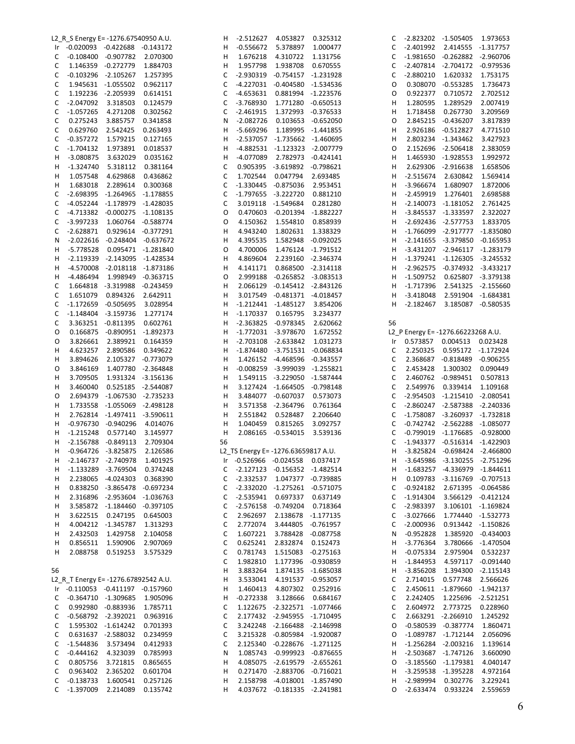|    | L2_R_S Energy E= -1276.67540950 A.U. |                                 |                    | н  | -2.512627                           | 4.053827                         | 0.325312           | C  | -2.823202 -1.505405 |                                     | 1.973653           |
|----|--------------------------------------|---------------------------------|--------------------|----|-------------------------------------|----------------------------------|--------------------|----|---------------------|-------------------------------------|--------------------|
|    | Ir -0.020093 -0.422688 -0.143172     |                                 |                    | н  |                                     | -0.556672    5.378897            | 1.000477           | С  |                     | -2.401992  2.414555  -1.317757      |                    |
| C  | $-0.108400$ $-0.907782$ 2.070300     |                                 |                    | н  | 1.676218                            | 4.310722 1.131756                |                    | C  |                     | -1.981650 -0.262882 -2.960706       |                    |
| C  | 1.146359 -0.272779                   |                                 | 1.884703           | н  | 1.957798                            | 1.938708                         | 0.670555           | С  |                     | -2.407814 -2.704172 -0.979536       |                    |
| C  | $-0.103296 - 2.105267$               |                                 | 1.257395           | С  | $-2.930319$                         | -0.754157 -1.231928              |                    | C  | $-2.880210$         | 1.620332                            | 1.753175           |
| C  |                                      | 1.945631 -1.055502              | 0.962117           | С  |                                     | -4.227031 -0.404580 -1.534536    |                    | 0  |                     | 0.308070 -0.553285                  | 1.736473           |
|    |                                      |                                 |                    |    |                                     |                                  |                    |    |                     |                                     |                    |
| C  |                                      | 1.192236 -2.205939              | 0.614151           | С  |                                     | -4.653631  0.881994  -1.223576   |                    | 0  | 0.922377            | 0.710572                            | 2.702512           |
| C  | $-2.047092$                          | 3.318503                        | 0.124579           | С  | -3.768930                           | 1.771280 -0.650513               |                    | н  | 1.280595            | 1.289529                            | 2.007419           |
| C  | $-1.057265$                          | 4.271208                        | 0.302562           | С  | $-2.461915$                         | 1.372993 -0.376533               |                    | н  | 1.718458            | 0.267730                            | 3.209569           |
| C  | 0.275243                             | 3.885757                        | 0.341858           | Ν  | $-2.082726$                         |                                  | 0.103653 -0.652050 | 0  | 2.845215            | $-0.436207$                         | 3.817839           |
| C  | 0.629760                             | 2.542425                        | 0.263493           | н  | $-5.669296$                         | 1.189995 -1.441855               |                    | н  |                     | 2.926186 -0.512827                  | 4.771510           |
| C  | $-0.357272$                          | 1.579215                        | 0.127165           | н  |                                     | -2.537057 -1.735662 -1.460695    |                    | н  |                     | 2.803234 -1.343462                  | 3.427923           |
| C  | $-1.704132$                          | 1.973891                        | 0.018537           | н  |                                     | -4.882531 -1.123323 -2.007779    |                    | 0  |                     | 2.152696 -2.506418                  | 2.383059           |
|    |                                      |                                 |                    |    |                                     |                                  |                    |    |                     |                                     |                    |
| H  | $-3.080875$                          | 3.632029 0.035162               |                    | н  | -4.077089                           | 2.782973 -0.424141               |                    | н  |                     | 1.465930 -1.928553                  | 1.992972           |
| H  | $-1.324740$                          | 5.318112                        | 0.381164           | С  |                                     | 0.905395 -3.619892 -0.798621     |                    | н  |                     | 2.629306 -2.916638                  | 1.658506           |
| H  | 1.057548                             | 4.629868                        | 0.436862           | С  | 1.702544                            | 0.047794                         | 2.693485           | н  | $-2.515674$         | 2.630842                            | 1.569414           |
| H  | 1.683018                             | 2.289614 0.300368               |                    | C  |                                     | -1.330445 -0.875036 2.953451     |                    | н  | $-3.966674$         | 1.680907                            | 1.872006           |
| C  |                                      | -2.698395 -1.264965 -1.178855   |                    | C  | -1.797655 -3.222720                 |                                  | 0.881210           | H  | -2.459919           | 1.276401                            | 2.698588           |
| C  |                                      | -4.052244 -1.178979 -1.428035   |                    | C  |                                     | 3.019118 -1.549684 0.281280      |                    | н  |                     | $-2.140073$ $-1.181052$             | 2.761425           |
| C  |                                      | -4.713382 -0.000275 -1.108135   |                    | O  |                                     | 0.470603 -0.201394 -1.882227     |                    | н  |                     | $-3.845537 -1.333597$               | 2.322027           |
|    |                                      |                                 |                    |    |                                     |                                  |                    |    |                     |                                     |                    |
| C  | $-3.997233$                          | 1.060764 -0.588774              |                    | O  | 4.150362                            | 1.554810  0.858939               |                    | н  |                     | -2.692436 -2.577753                 | 1.833705           |
| C  |                                      | -2.628871  0.929614  -0.377291  |                    | н  | 4.943240                            | 1.802631 1.338329                |                    | н  |                     | -1.766099 -2.917777 -1.835080       |                    |
| N  |                                      | $-2.022616 -0.248404 -0.637672$ |                    | Н  | 4.395535                            | 1.582948 -0.092025               |                    | н  |                     | $-2.141655 - 3.379850 -0.165953$    |                    |
| H  |                                      | -5.778528  0.095471  -1.281840  |                    | O  | 4.700006                            | 1.476124 -1.791512               |                    | н  |                     | -3.431207 -2.946117 -1.283179       |                    |
| H  |                                      | -2.119339 -2.143095 -1.428534   |                    | н  |                                     | 4.869604 2.239160 -2.346374      |                    | н  |                     | $-1.379241$ $-1.126305$ $-3.245532$ |                    |
| н  |                                      | -4.570008 -2.018118 -1.873186   |                    | н  | 4.141171                            | 0.868500 -2.314118               |                    | H  |                     | -2.962575 -0.374932 -3.433217       |                    |
| H  | -4.486494                            | 1.998949 -0.363715              |                    | O  |                                     | 2.999188 -0.265852 -3.083513     |                    | н  | $-1.509752$         |                                     | 0.625807 -3.379138 |
| C  |                                      | 1.664818 -3.319988 -0.243459    |                    | н  |                                     | 2.066129 -0.145412 -2.843126     |                    | H  | $-1.717396$         |                                     | 2.541325 -2.155660 |
|    |                                      |                                 |                    |    |                                     |                                  |                    |    |                     |                                     |                    |
| C  | 1.651079 0.894326                    |                                 | 2.642911           | н  |                                     | 3.017549 -0.481371 -4.018457     |                    | н  | $-3.418048$         |                                     | 2.591904 -1.684381 |
| C  |                                      | -1.172659 -0.505695 3.028954    |                    | н  |                                     | $-1.212441$ $-1.485127$ 3.854206 |                    | н  | -2.182467           |                                     | 3.185087 -0.580535 |
| C  | $-1.148404$ $-3.159736$              |                                 | 1.277174           | н  |                                     | $-1.170337$ 0.165795             | 3.234377           |    |                     |                                     |                    |
| C  |                                      | 3.363251 -0.811395 0.602761     |                    | н  |                                     | -2.363825 -0.978345              | 2.620662           | 56 |                     |                                     |                    |
| O  |                                      | 0.166875 -0.890951 -1.892373    |                    | н  |                                     | -1.772031 -3.978670              | 1.672552           |    |                     | L2_P Energy E= -1276.66223268 A.U.  |                    |
| O  | 3.826661                             | 2.389921   0.164359             |                    | н  |                                     | -2.703108 -2.633842              | 1.031273           | Ir |                     | 0.573857  0.004513  0.023428        |                    |
| н  | 4.623257                             | 2.890586                        | 0.349622           | н  |                                     | -1.874480 -3.751531 -0.068834    |                    | C  |                     | 2.250325  0.595172  -1.172924       |                    |
|    |                                      |                                 |                    |    |                                     |                                  |                    |    |                     |                                     |                    |
| н  | 3.894626                             | 2.105327 -0.773079              |                    | н  |                                     | 1.426152 -4.468596 -0.343557     |                    | C  |                     | 2.368687 -0.818489 -0.906255        |                    |
| O  | 3.846169                             | 1.407780 -2.364848              |                    | н  |                                     | -0.008259 -3.999039 -1.255821    |                    | C  | 2.453428            | 1.300302                            | 0.090449           |
| н  | 3.709505                             | 1.931324 -3.156136              |                    | Н  |                                     | 1.549115 -3.229050 -1.587444     |                    | C  |                     | 2.460762 -0.989451                  | 0.507813           |
| н  | 3.460040                             |                                 | 0.525185 -2.544087 | Н  |                                     | 3.127424 -1.664505 -0.798148     |                    | C  | 2.549976            | 0.339414                            | 1.109168           |
| O  |                                      | 2.694379 -1.067530 -2.735233    |                    | н  |                                     | 3.484077 -0.607037 0.573073      |                    | C  |                     | -2.954503 -1.215410 -2.080541       |                    |
| н  |                                      | 1.733558 -1.055069 -2.498128    |                    | н  |                                     | 3.571358 -2.364796               | 0.761364           | С  |                     | -2.860247 -2.587388 -2.240336       |                    |
| н  |                                      | 2.762814 -1.497411 -3.590611    |                    |    |                                     | 2.551842 0.528487                | 2.206640           | С  |                     | -1.758087 -3.260937 -1.732818       |                    |
|    |                                      |                                 |                    |    |                                     |                                  |                    |    |                     |                                     |                    |
|    |                                      |                                 |                    | Н  |                                     |                                  |                    |    |                     |                                     |                    |
| H  |                                      | -0.976730 -0.940296 4.014076    |                    | н  | 1.040459                            | 0.815265                         | 3.092757           | C  |                     | -0.742742 -2.562288                 | $-1.085077$        |
| H  | -1.215248                            | 0.577140 3.145977               |                    | Н  |                                     | 2.086165 -0.534015               | 3.539136           | С  |                     | -0.799019 -1.176685 -0.928000       |                    |
| н  | $-2.156788$                          | -0.849113                       | 2.709304           | 56 |                                     |                                  |                    | С  |                     | $-1.943377 -0.516314 -1.422903$     |                    |
| н  | -0.964726 -3.825875                  |                                 | 2.126586           |    | L2 TS Energy E= -1276.63659817 A.U. |                                  |                    | H  |                     | -3.825824 -0.698424 -2.466800       |                    |
| H  | -2.146737 -2.740978                  |                                 | 1.401925           | Ir | -0.526966 -0.024558                 |                                  | 0.037417           | Н  |                     | -3.645986 -3.130255 -2.751296       |                    |
| н  |                                      | -1.133289 -3.769504             | 0.374248           | С  |                                     | -2.127123 -0.156352 -1.482514    |                    | н  |                     | -1.683257 -4.336979 -1.844611       |                    |
|    |                                      |                                 |                    |    | $-2.332537$                         |                                  |                    | н  |                     | 0.109783 -3.116769 -0.707513        |                    |
| н  |                                      | 2.238065 -4.024303              | 0.368390           | С  |                                     |                                  | 1.047377 -0.739885 |    |                     |                                     |                    |
| н  |                                      | 0.838250 -3.865478 -0.697234    |                    | С  |                                     | -2.332020 -1.275261 -0.571075    |                    | С  | $-0.924182$         |                                     | 2.671395 -0.064586 |
| н  |                                      | 2.316896 -2.953604 -1.036763    |                    | С  | $-2.535941$                         | 0.697337                         | 0.637149           | C  | $-1.914304$         |                                     | 3.566129 -0.412124 |
| н  |                                      | 3.585872 -1.184460 -0.397105    |                    | С  |                                     | -2.576158 -0.749204 0.718364     |                    | С  | $-2.983397$         |                                     | 3.106101 -1.169824 |
| н  | 3.622515                             | 0.247195 0.645003               |                    | С  | 2.962697                            | 2.138678                         | $-1.177135$        | С  | $-3.027666$         |                                     | 1.774440 -1.532773 |
| н  |                                      | 4.004212 -1.345787              | 1.313293           | С  | 2.772074                            | 3.444805                         | $-0.761957$        | C  | $-2.000936$         |                                     | 0.913442 -1.150826 |
| н  | 2.432503                             | 1.429758                        | 2.104058           | С  | 1.607221                            | 3.788428 -0.087758               |                    | N  | $-0.952828$         |                                     | 1.385920 -0.434003 |
| н  | 0.856511                             | 1.590906                        | 2.907069           | С  | 0.625241                            | 2.832874                         | 0.152473           | Н  | $-3.776364$         |                                     | 3.780666 -1.470504 |
|    |                                      |                                 |                    |    |                                     |                                  |                    |    |                     |                                     |                    |
| H  |                                      | 2.088758 0.519253               | 3.575329           | С  | 0.781743                            | 1.515083 -0.275163               |                    | н  | $-0.075334$         | 2.975904                            | 0.532237           |
|    |                                      |                                 |                    | С  | 1.982810                            | 1.177396                         | -0.930859          | H  | $-1.844953$         |                                     | 4.597117 -0.091440 |
| 56 |                                      |                                 |                    | н  | 3.883264                            | 1.874135 -1.685038               |                    | н  | $-3.856208$         |                                     | 1.394300 -2.115143 |
|    | L2 R T Energy E= -1276.67892542 A.U. |                                 |                    | н  | 3.533041                            | 4.191537 -0.953057               |                    | C  | 2.714015            | 0.577748                            | 2.566626           |
|    | Ir -0.110053 -0.411197 -0.157960     |                                 |                    | н  | 1.460413                            | 4.807302 0.252916                |                    | С  |                     | 2.450611 -1.879660 -1.942137        |                    |
| C  | $-0.364710 -1.309685$                |                                 | 1.905096           | н  | $-0.272338$                         | 3.128666 0.684167                |                    | C  | 2.242405            |                                     | 1.225696 -2.521251 |
| C  |                                      | 0.992980 -0.883936 1.785711     |                    | С  |                                     | 1.122675 -2.322571 -1.077466     |                    | C  | 2.604972            | 2.773725                            | 0.228960           |
| C  | $-0.568792$ $-2.392021$              |                                 | 0.963916           | С  |                                     | 2.177432 -2.945955 -1.710495     |                    | С  |                     | 2.663291 -2.266910                  | 1.245292           |
|    |                                      |                                 |                    |    |                                     |                                  |                    |    |                     |                                     |                    |
| C  |                                      | 1.595302 -1.614242 0.701393     |                    | С  |                                     | 3.242248 -2.166488 -2.146998     |                    | 0  |                     | -0.580539 -0.387774                 | 1.860471           |
| C  |                                      | 0.631637 -2.588032              | 0.234959           | С  |                                     | 3.215328 -0.805984 -1.920087     |                    | O  |                     | $-1.089787 -1.712144$               | 2.056096           |
| C  | $-1.544836$                          | 3.573494                        | 0.412933           | С  |                                     | 2.125340 -0.228676 -1.271125     |                    | н  |                     | $-1.256284$ $-2.003216$             | 1.139614           |
| C  |                                      | -0.444162 4.323039              | 0.785993           | Ν  |                                     | 1.085743 -0.999923 -0.876655     |                    | н  |                     | -2.503687 -1.747126                 | 3.660090           |
| C  | 0.805756                             | 3.721815                        | 0.865655           | Н  |                                     | 4.085075 -2.619579 -2.655261     |                    | O  |                     | -3.185560 -1.179381                 | 4.040147           |
| C  | 0.963402                             | 2.365202                        | 0.601704           | н  |                                     | 0.271470 -2.883706 -0.716021     |                    | н  |                     | -3.259538 -1.395228                 | 4.972164           |
| С  | $-0.138733$                          | 1.600541                        | 0.257126           | н  |                                     | 2.158798 -4.018001 -1.857490     |                    | н  | $-2.989994$         | 0.302776                            | 3.229241           |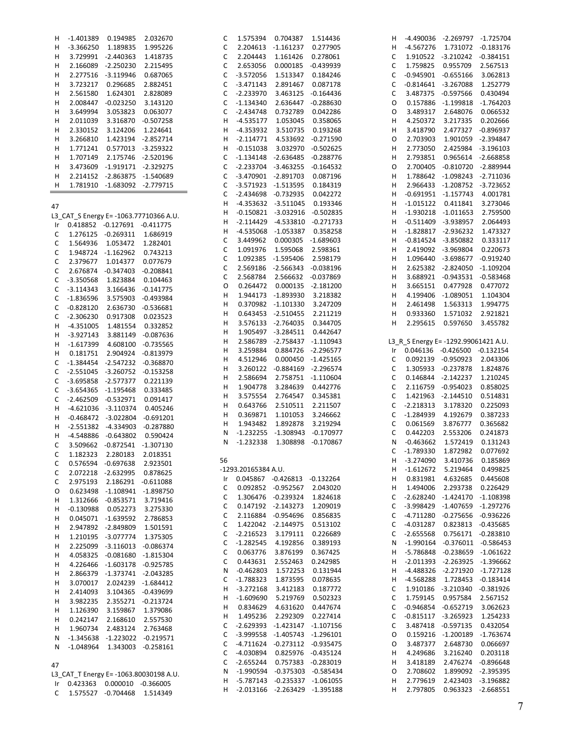| H,  |             | -1.401389 0.194985                  | 2.032670                              | С  |                     | 1.575394  0.704387  1.514436        |                    | H. |             | -4.490036 -2.269797 -1.725704        |                    |
|-----|-------------|-------------------------------------|---------------------------------------|----|---------------------|-------------------------------------|--------------------|----|-------------|--------------------------------------|--------------------|
| H   | $-3.366250$ | 1.189835                            | 1.995226                              | C  |                     | 2.204613 -1.161237 0.277905         |                    | н  |             | -4.567276 1.731072 -0.183176         |                    |
| H   |             | 3.729991 -2.440363 1.418735         |                                       | C  | 2.204443            | 1.161426                            | 0.278061           | C  |             | 1.910522 -3.210242 -0.384151         |                    |
| H   |             | 2.166089 -2.250230 2.215495         |                                       | C  | 2.653056            | 0.000185 -0.439939                  |                    | C  | 1.759825    | 0.955709                             | 2.567513           |
| н   |             | 2.277516 -3.119946                  | 0.687065                              | C  | $-3.572056$         | 1.513347 0.184246                   |                    | C  |             | $-0.945901 -0.655166$                | 3.062813           |
| H   |             | 3.723217  0.296685  2.882451        |                                       | C  | $-3.471143$         | 2.891467                            | 0.087178           | C  |             | $-0.814641 - 3.267088$               | 1.252779           |
| H   | 2.561580    | 1.624301                            | 2.828089                              | C  | $-2.233970$         |                                     | 3.463125 -0.164436 | C  |             | 3.487375 -0.597566                   | 0.430494           |
| н   |             | 2.008447 -0.023250 3.143120         |                                       | C  | $-1.134340$         |                                     | 2.636447 -0.288630 | O  |             | 0.157886 -1.199818                   | $-1.764203$        |
|     |             |                                     |                                       |    |                     |                                     |                    |    |             |                                      |                    |
| н   | 3.649994    | 3.053823                            | 0.063077                              | C  | $-2.434748$         | 0.732789                            | 0.042286           | O  | 3.489317    | 2.648076                             | 0.066532           |
| H   | 2.011039    | 3.316870 -0.507258                  |                                       | н  | $-4.535177$         | 1.053045                            | 0.358065           | н  | 4.250372    | 3.217335                             | 0.202666           |
| H   | 2.330152    | 3.124206                            | 1.224641                              | н  | $-4.353932$         | 3.510735                            | 0.193268           | н  | 3.418790    |                                      | 2.477327 -0.896937 |
| H   | 3.266810    | 1.423194 -2.852714                  |                                       | н  | -2.114771           |                                     | 4.533692 -0.271590 | O  | 2.703903    |                                      | 1.901059 -2.394847 |
| H   | 1.771241    | 0.577013 -3.259322                  |                                       | н  | $-0.151038$         |                                     | 3.032970 -0.502625 | н  | 2.773050    |                                      | 2.425984 -3.196103 |
| H   |             | 1.707149  2.175746  -2.520196       |                                       | C  |                     | $-1.134148$ $-2.636485$ $-0.288776$ |                    | н  | 2.793851    |                                      | 0.965614 -2.668858 |
| H   |             | 3.473609 -1.919171 -2.329275        |                                       | C  |                     | $-2.233704$ $-3.463255$ $-0.164532$ |                    | 0  | 2.700405    | -0.810720 -2.889944                  |                    |
| н   |             | 2.214152 -2.863875 -1.540689        |                                       | С  |                     | -3.470901 -2.891703                 | 0.087196           | н  |             | 1.788642 -1.098243 -2.711036         |                    |
| н   |             | 1.781910 -1.683092 -2.779715        |                                       | С  |                     | -3.571923 -1.513595                 | 0.184319           | н  |             | 2.966433 -1.208752 -3.723652         |                    |
|     |             |                                     |                                       | C  |                     | -2.434698 -0.732935                 | 0.042272           | н  |             | -0.691951 -1.157743                  | 4.001781           |
|     |             |                                     |                                       | Н  |                     | -4.353632 -3.511045                 | 0.193346           | н  |             | $-1.015122$ $0.411841$               | 3.273046           |
| 47  |             |                                     |                                       |    |                     |                                     |                    |    |             |                                      | 2.759500           |
|     |             |                                     | L3_CAT_S Energy E=-1063.77710366 A.U. | н  |                     | -0.150821 -3.032916 -0.502835       |                    | H  |             | $-1.930218$ $-1.011653$              |                    |
| Ir. |             | 0.418852 -0.127691 -0.411775        |                                       | н  |                     | $-2.114429$ $-4.533810$ $-0.271733$ |                    | н  |             | $-0.511409 -3.938957$                | 2.064493           |
| C   |             | 1.276125 -0.269311                  | 1.686919                              | н  |                     | -4.535068 -1.053387                 | 0.358258           | н  |             | $-1.828817 - 2.936232$               | 1.473327           |
| С   |             | 1.564936 1.053472 1.282401          |                                       | С  |                     | 3.449962  0.000305  -1.689603       |                    | н  |             | $-0.814524$ $-3.850882$              | 0.333117           |
| С   |             | 1.948724 -1.162962 0.743213         |                                       | С  | 1.091976            | 1.595068                            | 2.598361           | н  |             | 2.419092 -3.969804                   | 0.220673           |
| С   | 2.379677    | 1.014377  0.077679                  |                                       | С  |                     | 1.092385 -1.595406                  | 2.598179           | н  |             | 1.096440 -3.698677                   | $-0.919240$        |
| С   |             | 2.676874 -0.347403 -0.208841        |                                       | C  |                     | 2.569186 -2.566343 -0.038196        |                    | н  |             | 2.625382 -2.824050                   | $-1.109204$        |
| С   | $-3.350568$ | 1.823884                            | 0.104463                              | C  |                     | 2.568784 2.566632 -0.037869         |                    | н  |             | 3.688921 -0.943531 -0.583468         |                    |
|     |             |                                     |                                       | O  |                     | 0.264472  0.000135  -2.181200       |                    | н  | 3.665151    | 0.477928                             | 0.477072           |
| С   | $-3.114343$ | 3.166436 -0.141775                  |                                       | Н  |                     | 1.944173 -1.893930                  | 3.218382           | н  |             | 4.199406 -1.089051                   | 1.104304           |
| С   |             | -1.836596 3.575903 -0.493984        |                                       | н  |                     | 0.370982 -1.101330                  | 3.247209           | н  | 2.461498    | 1.563313                             | 1.994775           |
| С   | $-0.828120$ | 2.636730 -0.536681                  |                                       | Н  |                     | 0.643453 -2.510455                  | 2.211219           | н  | 0.933360    | 1.571032                             | 2.921821           |
| C   | $-2.306230$ | 0.917308 0.023523                   |                                       |    |                     |                                     |                    |    |             |                                      |                    |
| H.  | $-4.351005$ | 1.481554 0.332852                   |                                       | H  |                     | 3.576133 -2.764035                  | 0.344705           | н  | 2.295615    | 0.597650                             | 3.455782           |
| H.  | $-3.927143$ | 3.881149 -0.087636                  |                                       | Н  |                     | 1.905497 -3.284511                  | 0.442647           |    |             |                                      |                    |
| H   |             | -1.617399  4.608100  -0.735565      |                                       | Н  |                     | 2.586789 -2.758437 -1.110943        |                    |    |             | L3_R_S Energy E= -1292.99061421 A.U. |                    |
| H.  | 0.181751    | 2.904924 -0.813979                  |                                       | Н  | 3.259884            | 0.884726 -2.296577                  |                    |    |             | Ir 0.046136 -0.426500 -0.132154      |                    |
| C   |             | -1.384454 -2.547232 -0.368870       |                                       | Н  | 4.512946            |                                     | 0.000450 -1.425165 | C  |             | 0.092139 -0.950923                   | 2.043306           |
| С   |             | -2.551045 -3.260752 -0.153258       |                                       | Н  |                     | 3.260122 -0.884169 -2.296574        |                    | C  |             | 1.305933 -0.237878                   | 1.824876           |
|     |             | -3.695858 -2.577377 0.221139        |                                       | Н  | 2.586694            | 2.758751 -1.110604                  |                    | C  |             | 0.146844 -2.142237                   | 1.210245           |
| С   |             |                                     |                                       | Н  | 1.904778            | 3.284639 0.442776                   |                    | C  |             | 2.116759 -0.954023                   | 0.858025           |
| С   |             | -3.654365 -1.195468 0.333485        |                                       | Н  | 3.575554            | 2.764547 0.345381                   |                    | C  |             | 1.421963 -2.144510                   | 0.514831           |
| С   |             | -2.462509 -0.532971 0.091417        |                                       | н  | 0.643766            | 2.510511                            | 2.211507           | C  | $-2.218313$ | 3.178320                             | 0.225093           |
| H   |             | -4.621036 -3.110374                 | 0.405246                              | Н  | 0.369871            | 1.101053                            | 3.246662           | C  | $-1.284939$ | 4.192679                             | 0.387233           |
| H.  |             | $-0.468472 -3.022804 -0.691201$     |                                       |    |                     |                                     |                    |    |             |                                      |                    |
| H.  |             | -2.551382 -4.334903 -0.287880       |                                       | Н  | 1.943482            | 1.892878                            | 3.219294           | С  | 0.061569    | 3.876777                             | 0.365682           |
| H   |             | -4.548886 -0.643802                 | 0.590424                              | N  |                     | -1.232255 -1.308943 -0.170977       |                    | С  | 0.442203    | 2.553206                             | 0.241873           |
| C   |             | 3.509662 -0.872541 -1.307130        |                                       | N  | $-1.232338$         |                                     | 1.308898 -0.170867 | Ν  | $-0.463662$ | 1.572419                             | 0.131243           |
| C   |             | 1.182323 2.280183                   | 2.018351                              |    |                     |                                     |                    | C  | $-1.789330$ | 1.872982                             | 0.077692           |
| С   |             | 0.576594 -0.697638 2.923501         |                                       | 56 |                     |                                     |                    | H  | $-3.274090$ | 3.410736                             | 0.185869           |
| С   |             | 2.072218 -2.632995 0.878625         |                                       |    | -1293.20165384 A.U. |                                     |                    | н  | $-1.612672$ | 5.219464                             | 0.499825           |
|     |             | 2.975193 2.186291 -0.611088         |                                       | Ir |                     | 0.045867 -0.426813 -0.132264        |                    | н  | 0.831981    | 4.632685                             | 0.445608           |
| С   |             |                                     |                                       | С  |                     | 0.092852 -0.952567                  | 2.043020           | н  | 1.494006    | 2.293738                             | 0.226429           |
| O   |             | 0.623498 -1.108941 -1.898750        |                                       | С  |                     | 1.306476 -0.239324                  | 1.824618           | C  | $-2.628240$ | $-1.424170$                          | $-1.108398$        |
| н   |             | 1.312666 -0.853571 3.719416         |                                       | С  |                     | 0.147192 -2.143273                  | 1.209019           | С  |             | -3.998429 -1.407659 -1.297276        |                    |
| н   |             | -0.130988  0.052273                 | 3.275330                              |    |                     | 2.116884 -0.954696                  |                    |    |             | -4.711280 -0.275656 -0.936226        |                    |
| H   |             | 0.045071 -1.639592 2.786853         |                                       | С  |                     |                                     | 0.856835           | С  |             |                                      |                    |
| H   |             | 2.947892 -2.849809 1.501591         |                                       | C  |                     | 1.422042 -2.144975                  | 0.513102           | С  | -4.031287   |                                      | 0.823813 -0.435685 |
| H   |             | 1.210195 -3.077774 1.375305         |                                       | С  | $-2.216523$         | 3.179111                            | 0.226689           | С  | $-2.655568$ |                                      | 0.756171 -0.283810 |
| н   |             | 2.225099 -3.116013 -0.086374        |                                       | С  | -1.282545 4.192856  |                                     | 0.389193           | N  | $-1.990164$ | -0.376011 -0.586453                  |                    |
| н   |             | 4.058325 -0.081680 -1.815304        |                                       | C  | 0.063776            | 3.876199                            | 0.367425           | H  |             | -5.786848 -0.238659 -1.061622        |                    |
| H   |             | 4.226466 -1.603178 -0.925785        |                                       | C  | 0.443631            | 2.552463                            | 0.242985           | H  |             | -2.011393 -2.263925 -1.396662        |                    |
| H   |             | 2.866379 -1.373741 -2.043285        |                                       | N  |                     | $-0.462803$ 1.572253                | 0.131944           | H  |             | -4.488326 -2.271920                  | -1.727128          |
|     |             |                                     |                                       | C  | $-1.788323$         | 1.873595                            | 0.078635           | H  | -4.568288   | 1.728453                             | $-0.183414$        |
| H   |             | 3.070017 2.024239 -1.684412         |                                       | H  | -3.272168           | 3.412183                            | 0.187772           | C  |             | 1.910186 -3.210340 -0.381926         |                    |
| H   | 2.414093    | 3.104365 -0.439699                  |                                       | Н  | $-1.609690$         | 5.219769                            | 0.502323           | С  | 1.759145    | 0.957584                             | 2.567152           |
| H   | 3.982235    | 2.355271 -0.213724                  |                                       | н  | 0.834629            | 4.631620                            | 0.447674           | C  |             | -0.946854 -0.652719                  | 3.062623           |
| H   | 1.126390    | 3.159867                            | 1.379086                              |    |                     |                                     |                    |    |             |                                      |                    |
| H.  |             | 0.242147 2.168610 2.557530          |                                       | Н  | 1.495236            | 2.292309  0.227414                  |                    | С  |             | $-0.815117 -3.265923$                | 1.254233           |
| H   | 1.960734    | 2.483124 2.763468                   |                                       | C  |                     | -2.629393 -1.423147 -1.107156       |                    | С  |             | 3.487418 -0.597135                   | 0.432054           |
| N   |             | $-1.345638$ $-1.223022$ $-0.219571$ |                                       | C  |                     | -3.999558 -1.405743 -1.296101       |                    | O  |             | 0.159216 -1.200189                   | $-1.763674$        |
| N   |             | $-1.048964$ 1.343003 $-0.258161$    |                                       | С  |                     | -4.711624 -0.273112 -0.935475       |                    | O  | 3.487377    | 2.648730                             | 0.066697           |
|     |             |                                     |                                       | С  |                     | -4.030894  0.825976  -0.435124      |                    | н  | 4.249686    | 3.216240                             | 0.203118           |
|     |             |                                     |                                       | С  | -2.655244           | 0.757383 -0.283019                  |                    | н  | 3.418189    |                                      | 2.476274 -0.896648 |
| 47  |             |                                     |                                       | Ν  |                     | -1.990594 -0.375303 -0.585434       |                    | O  | 2.708602    |                                      | 1.899092 -2.395395 |
|     |             |                                     | L3 CAT T Energy E=-1063.80030198 A.U. | н  |                     | -5.787143 -0.235337 -1.061055       |                    | н  | 2.779619    |                                      | 2.423403 -3.196882 |
|     |             | Ir 0.423363 0.000010 -0.366005      |                                       |    |                     |                                     |                    |    |             |                                      |                    |
| C   |             | 1.575527 -0.704468 1.514349         |                                       | н  |                     | -2.013166 -2.263429 -1.395188       |                    | н  | 2.797805    |                                      | 0.963323 -2.668551 |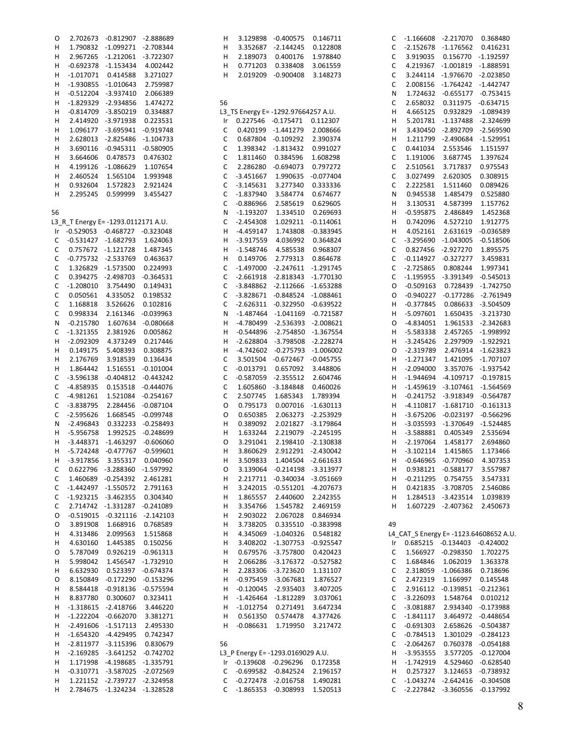| O  |                                     | 2.702673 -0.812907                                          | -2.888689           |
|----|-------------------------------------|-------------------------------------------------------------|---------------------|
| H. |                                     | 1.790832 -1.099271 -2.708344                                |                     |
| H. | 2.967265                            | $-1.212061$                                                 | $-3.722307$         |
| H. | $-0.692378$                         | $-1.153434$ $4.002442$                                      |                     |
| н  |                                     | -1.017071   0.414588                                        | 3.271027            |
| H. | -1.930855                           | $-1.010643$                                                 | 2.759987            |
| H. |                                     | -0.512204 -3.937410 2.066389                                |                     |
| н  | $-1.829329$                         | $-2.934856$                                                 | 1.474272            |
| н  | $-0.814709$                         | $-3.850219$                                                 | 0.334887            |
| н  | 2.414920                            | -3.971938                                                   | 0.223531            |
| н  | 1.096177                            | $-3.695941$                                                 | $-0.919748$         |
| н  | 2.628013                            | $-2.825486$                                                 | $-1.104733$         |
| н  | 3.690116                            | $-0.945311$                                                 | $-0.580905$         |
| H. | 3.664606                            | 0.478573                                                    | 0.476302            |
| H. | 4.199126                            | $-1.086629$                                                 | 1.107654            |
| н  | 2.460524                            |                                                             |                     |
| н  | 0.932604                            |                                                             |                     |
| Н  |                                     | 2.295245  0.599999  3.455427                                |                     |
|    |                                     |                                                             |                     |
| 56 |                                     |                                                             |                     |
|    |                                     |                                                             |                     |
|    | L3_R_T Energy E= -1293.0112171 A.U. | -0.529053 -0.468727 -0.323048                               |                     |
| Ir |                                     | -0.531427 -1.682793                                         | 1.624063            |
| С  |                                     |                                                             |                     |
| C  |                                     | 0.757672 -1.121728 1.487345<br>-0.775732 -2.533769 0.463637 |                     |
| C  |                                     |                                                             |                     |
| C  | 1.326829                            | -1.573500 0.224993                                          |                     |
| C  | 0.394275                            | $-2.498703$                                                 | $-0.364531$         |
| C  | $-1.208010$                         | 3.754490                                                    | 0.149431            |
| C  |                                     | 0.050561  4.335052  0.198532                                |                     |
| С  | 1.168818                            | 3.526626                                                    | 0.102816            |
| С  | 0.998334                            | 2.161346                                                    | $-0.039963$         |
| N  | $-0.215780$                         | 1.607634                                                    | $-0.080668$         |
| C  | -1.321355                           | 2.381926                                                    | 0.005862            |
| Н  | $-2.092309$                         | 4.373249                                                    | 0.217446            |
| Н  | 0.149175                            | 5.408393                                                    | 0.308875            |
| Н  | 2.176769                            | 3.918539                                                    | 0.136434            |
| Н  | 1.864442                            | 1.516551                                                    | $-0.101004$         |
| С  | $-3.596138$                         | $-0.404812$                                                 | $-0.443242$         |
| С  | -4.858935                           | 0.153518                                                    | $-0.444076$         |
| C  | $-4.981261$                         | 1.521084                                                    | $-0.254167$         |
| C  | $-3.838795$                         | 2.284456                                                    | $-0.087104$         |
| С  | -2.595626                           | 1.668545                                                    | $-0.099748$         |
| N  | -2.496843                           | 0.332233                                                    | $-0.258493$         |
| н  | -5.956758                           | 1.992525                                                    | $-0.248699$         |
| н  | $-3.448371$                         |                                                             | -1.463297 -0.606060 |
| н  | $-5.724248$                         | -0.477767                                                   | $-0.599601$         |
| Н  | $-3.917856$                         | 3.355317                                                    | 0.040960            |
| С  | 0.622796                            | -3.288360                                                   | -1.597992           |
| C  | 1.460689                            | $-0.254392$                                                 | 2.461281            |
| C  | $-1.442497$                         | $-1.550572$                                                 | 2.791163            |
| C  | $-1.923215$                         | $-3.462355$                                                 | 0.304340            |
| C  | 2.714742                            | $-1.331287$                                                 | $-0.241089$         |
| O  | $-0.519015$                         | $-0.321116$                                                 | $-2.142103$         |
| О  | 3.891908                            | 1.668916                                                    | 0.768589            |
| Н  | 4.313486                            | 2.099563                                                    | 1.515868            |
| Н  | 4.630160                            | 1.445385                                                    | 0.150256            |
| O  | 5.787049                            | 0.926219                                                    | $-0.961313$         |
| Н  | 5.998042                            | 1.456547                                                    | $-1.732910$         |
| Н  | 6.632930                            | 0.523397                                                    | $-0.674374$         |
| О  | 8.150849                            | $-0.172290$                                                 | $-0.153296$         |
| Н  | 8.584418                            | $-0.918136$                                                 | $-0.575594$         |
| Н  | 8.837780                            | 0.300607                                                    | 0.323411            |
| Н  | $-1.318615$                         | $-2.418766$                                                 | 3.446220            |
| Н  | $-1.222204$                         | $-0.662070$                                                 | 3.381271            |
| Н  | $-2.491606$                         | $-1.517113$                                                 | 2.495330            |
| Н  | $-1.654320$                         | $-4.429495$                                                 | 0.742347            |
| Н  | $-2.811977$                         | $-3.115396$                                                 | 0.830679            |
| Н  | $-2.169285$                         | $-3.641252$                                                 | $-0.742702$         |
| Н  | 1.171998                            | $-4.198685$                                                 | $-1.335791$         |
| Н  | $-0.310771$                         | $-3.587025$                                                 | $-2.072569$         |
| Н  | 1.221152                            | $-2.739727$                                                 | $-2.324958$         |
| н  | 2.784675                            | $-1.324234$                                                 | $-1.328528$         |
|    |                                     |                                                             |                     |

| н                                                                                                                 | 3.129898                                                                                                                                                                                                                                                                                                                                               | $-0.400575$                                                                                                                                                                                                                                                                                           | 0.146711                                                                                                                                                                                                                                                                                        |
|-------------------------------------------------------------------------------------------------------------------|--------------------------------------------------------------------------------------------------------------------------------------------------------------------------------------------------------------------------------------------------------------------------------------------------------------------------------------------------------|-------------------------------------------------------------------------------------------------------------------------------------------------------------------------------------------------------------------------------------------------------------------------------------------------------|-------------------------------------------------------------------------------------------------------------------------------------------------------------------------------------------------------------------------------------------------------------------------------------------------|
| н                                                                                                                 | 3.352687                                                                                                                                                                                                                                                                                                                                               | $-2.144245$                                                                                                                                                                                                                                                                                           | 0.122808                                                                                                                                                                                                                                                                                        |
| н                                                                                                                 | 2.189073                                                                                                                                                                                                                                                                                                                                               | 0.400176                                                                                                                                                                                                                                                                                              | 1.978840                                                                                                                                                                                                                                                                                        |
| н                                                                                                                 | 0.771203                                                                                                                                                                                                                                                                                                                                               | 0.338408                                                                                                                                                                                                                                                                                              | 3.061559                                                                                                                                                                                                                                                                                        |
| н                                                                                                                 | 2.019209                                                                                                                                                                                                                                                                                                                                               | $-0.900408$                                                                                                                                                                                                                                                                                           | 3.148273                                                                                                                                                                                                                                                                                        |
| 56<br>Ir<br>С<br>C<br>C<br>C<br>C<br>С<br>C<br>С<br>C<br>Ν<br>C<br>н<br>н<br>н<br>н<br>С<br>C<br>C<br>С<br>C<br>Ν | L3 TS Energy E= -1292.97664257 A.U.<br>0.227546<br>0.420199<br>0.687804<br>1.398342<br>1.811460<br>2.286280<br>$-3.451667$<br>$-3.145631$<br>-1.837940<br>$-0.886966$<br>$-1.193207$<br>$-2.454308$<br>$-4.459147$<br>$-3.917559$<br>$-1.548746$<br>0.149706<br>$-1.497000$<br>$-2.661918$<br>$-3.848862$<br>$-3.828671$<br>$-2.626311$<br>$-1.487464$ | $-0.175471$<br>$-1.441279$<br>$-0.109292$<br>$-1.813432$<br>0.384596<br>$-0.694073$<br>1.990635<br>3.277340<br>3.584774<br>2.585619<br>1.334510<br>1.029211<br>1.743808<br>4.036992<br>4.585538<br>2.779313<br>$-2.247611$<br>$-2.818343$<br>$-2.112666$<br>$-0.848524$<br>$-0.322950$<br>$-1.041169$ | 0.112307<br>2.008666<br>2.390374<br>0.991027<br>1.608298<br>0.797272<br>$-0.077404$<br>0.333336<br>0.674677<br>0.629605<br>0.269693<br>$-0.114061$<br>$-0.383945$<br>0.364824<br>0.968307<br>0.864678<br>$-1.291745$<br>$-1.770130$<br>$-1.653288$<br>$-1.088461$<br>$-0.639522$<br>$-0.721587$ |
| н                                                                                                                 | -4.780499                                                                                                                                                                                                                                                                                                                                              | $-2.536393$                                                                                                                                                                                                                                                                                           | $-2.008621$                                                                                                                                                                                                                                                                                     |
| н                                                                                                                 | $-0.544896$                                                                                                                                                                                                                                                                                                                                            | $-2.754850$                                                                                                                                                                                                                                                                                           | $-1.367554$                                                                                                                                                                                                                                                                                     |
| н                                                                                                                 | $-2.628804$                                                                                                                                                                                                                                                                                                                                            | $-3.798508$                                                                                                                                                                                                                                                                                           | $-2.228274$                                                                                                                                                                                                                                                                                     |
| н                                                                                                                 | $-4.742602$                                                                                                                                                                                                                                                                                                                                            | $-0.275793$                                                                                                                                                                                                                                                                                           | $-1.006002$                                                                                                                                                                                                                                                                                     |
| C                                                                                                                 | 3.501504                                                                                                                                                                                                                                                                                                                                               | $-0.672467$                                                                                                                                                                                                                                                                                           | $-0.045755$                                                                                                                                                                                                                                                                                     |
| C                                                                                                                 | $-0.013791$                                                                                                                                                                                                                                                                                                                                            | 0.657092                                                                                                                                                                                                                                                                                              | 3.448806                                                                                                                                                                                                                                                                                        |
| C                                                                                                                 | $-0.587059$                                                                                                                                                                                                                                                                                                                                            | $-2.355512$                                                                                                                                                                                                                                                                                           | 2.604746                                                                                                                                                                                                                                                                                        |
| С                                                                                                                 | 1.605860                                                                                                                                                                                                                                                                                                                                               | $-3.184848$                                                                                                                                                                                                                                                                                           | 0.460026                                                                                                                                                                                                                                                                                        |
| C                                                                                                                 | 2.507745                                                                                                                                                                                                                                                                                                                                               | 1.685343                                                                                                                                                                                                                                                                                              | 1.789394                                                                                                                                                                                                                                                                                        |
| 0                                                                                                                 | 0.795173                                                                                                                                                                                                                                                                                                                                               | 0.007016                                                                                                                                                                                                                                                                                              | $-1.630113$                                                                                                                                                                                                                                                                                     |
| 0                                                                                                                 | 0.650385                                                                                                                                                                                                                                                                                                                                               | 2.063273                                                                                                                                                                                                                                                                                              | $-2.253929$                                                                                                                                                                                                                                                                                     |
| Н                                                                                                                 | 0.389092                                                                                                                                                                                                                                                                                                                                               | 2.021827                                                                                                                                                                                                                                                                                              | $-3.179864$                                                                                                                                                                                                                                                                                     |
| Н                                                                                                                 | 1.633244                                                                                                                                                                                                                                                                                                                                               | 2.219079                                                                                                                                                                                                                                                                                              | $-2.245195$                                                                                                                                                                                                                                                                                     |
| О                                                                                                                 | 3.291041                                                                                                                                                                                                                                                                                                                                               | 2.198410                                                                                                                                                                                                                                                                                              | $-2.130838$                                                                                                                                                                                                                                                                                     |
| H<br>H.<br>0<br>H.<br>H.<br>H.<br>H<br>H                                                                          | 3.860629<br>3.139064<br>2.217711<br>3.242015<br>1.865557<br>3.354766<br>2.903022                                                                                                                                                                                                                                                                       | 2.912291<br>3.509833 1.404504 -2.661633<br>$-0.214198$<br>$-0.340034$<br>$-0.551201 -4.207673$<br>2.440600<br>1.545782                                                                                                                                                                                | $-2.430042$<br>$-3.313977$<br>$-3.051669$<br>2.242355<br>2.469159<br>2.067028 0.846934                                                                                                                                                                                                          |
| H.                                                                                                                | 3.738205                                                                                                                                                                                                                                                                                                                                               | 0.335510                                                                                                                                                                                                                                                                                              | $-0.383998$                                                                                                                                                                                                                                                                                     |
| H                                                                                                                 | 4.345069                                                                                                                                                                                                                                                                                                                                               | $-1.040326$                                                                                                                                                                                                                                                                                           | 0.548182                                                                                                                                                                                                                                                                                        |
| H.                                                                                                                | 3.408202                                                                                                                                                                                                                                                                                                                                               | $-1.307753$                                                                                                                                                                                                                                                                                           | $-0.925547$                                                                                                                                                                                                                                                                                     |
| H.                                                                                                                | 0.679576                                                                                                                                                                                                                                                                                                                                               | -3.757800                                                                                                                                                                                                                                                                                             | 0.420423                                                                                                                                                                                                                                                                                        |
| H.                                                                                                                | 2.066286                                                                                                                                                                                                                                                                                                                                               | -3.176372                                                                                                                                                                                                                                                                                             | $-0.527582$                                                                                                                                                                                                                                                                                     |
| H.                                                                                                                | 2.283306                                                                                                                                                                                                                                                                                                                                               | $-3.723620$                                                                                                                                                                                                                                                                                           | 1.131107                                                                                                                                                                                                                                                                                        |
| H                                                                                                                 | -0.975459                                                                                                                                                                                                                                                                                                                                              | -3.067681                                                                                                                                                                                                                                                                                             | 1.876527                                                                                                                                                                                                                                                                                        |
| H.<br>H.<br>H.<br>H.<br>н<br>56                                                                                   | $-0.120045$<br>$-1.426464$<br>$-1.012754$<br>0.561350<br>$-0.086631$                                                                                                                                                                                                                                                                                   | -2.935403<br>$-1.812289$<br>0.271491<br>0.574478 4.377426<br>1.719950                                                                                                                                                                                                                                 | 3.407205<br>3.037061<br>3.647234<br>3.217472                                                                                                                                                                                                                                                    |
| С<br>С                                                                                                            | L3_P Energy E= -1293.0169029 A.U.<br>Ir -0.139608 -0.296296 0.172358<br>-0.699582                                                                                                                                                                                                                                                                      | -0.842524<br>$-0.272478$ $-2.016758$                                                                                                                                                                                                                                                                  | 2.196157<br>1.490281                                                                                                                                                                                                                                                                            |

C -1.865353 -0.308993 1.520513

| C  | $-1.166608$ | $-2.217070$ | 0.368480                               |
|----|-------------|-------------|----------------------------------------|
| С  | $-2.152678$ | -1.176562   | 0.416231                               |
| C  | 3.919035    | 0.156770    | -1.192597                              |
| C  | 4.219367    | -1.001819   | $-1.888591$                            |
| C  | 3.244114    | $-1.976670$ | $-2.023850$                            |
| С  | 2.008156    | $-1.764242$ | $-1.442747$                            |
| N  | 1.724632    | $-0.655177$ | $-0.753415$                            |
| C  | 2.658032    | 0.311975    | $-0.634715$                            |
| Н  | 4.665125    | 0.932829    | $-1.089439$                            |
| Н  | 5.201781    | $-1.137488$ | $-2.324699$                            |
| Н  | 3.430450    | -2.892709   | -2.569590                              |
|    | 1.211799    | $-2.490684$ |                                        |
| Н  |             |             | -1.529951                              |
| С  | 0.441034    | 2.553546    | 1.151597                               |
| C  | 1.191006    | 3.687745    | 1.397624                               |
| C  | 2.510561    | 3.717837    | 0.975543                               |
| C  | 3.027499    | 2.620305    | 0.308915                               |
| С  | 2.222581    | 1.511460    | 0.089426                               |
| Ν  | 0.945538    | 1.485479    | 0.525880                               |
| Н  | 3.130531    | 4.587399    | 1.157762                               |
| Н  | $-0.595875$ | 2.486849    | 1.452368                               |
| Н  | 0.742096    | 4.527210    | 1.912775                               |
| Н  | 4.052161    | 2.631619    | $-0.036589$                            |
| C  | $-3.295690$ | $-1.043005$ | $-0.518506$                            |
| C  | 0.827456    | $-2.927270$ | 1.895575                               |
| C  | $-0.114927$ | $-0.327277$ | 3.459831                               |
|    |             |             | 1.997341                               |
| C  | $-2.725865$ | 0.808244    |                                        |
| C  | $-1.195955$ | -3.391349   | $-0.545013$                            |
| О  | $-0.509163$ | 0.728439    | $-1.742750$                            |
| О  | $-0.940227$ | $-0.177286$ | $-2.761949$                            |
| Н  | $-0.377845$ | 0.086633    | $-3.504509$                            |
| Н  | -5.097601   | 1.650435    | -3.213730                              |
| Ο  | $-4.834051$ | 1.961533    | $-2.342683$                            |
| Н  | $-5.583338$ | 2.457265    | -1.998992                              |
| Н  | $-3.245426$ | 2.297909    | -1.922921                              |
| O  | $-2.319789$ | 2.476914    | $-1.623823$                            |
| Н  | $-1.271347$ | 1.421095    | $-1.707107$                            |
| Н  | $-2.094000$ | 3.357076    | -1.937542                              |
| н  | $-1.944694$ | $-4.109717$ | $-0.197815$                            |
|    |             |             |                                        |
| Н  | -1.459619   | $-3.107461$ | $-1.564569$                            |
| Н  | $-0.241752$ | $-3.918349$ | $-0.564787$                            |
| Н  | $-4.110817$ | $-1.681710$ | $-0.161313$                            |
| н  | $-3.675206$ | $-0.023197$ | $-0.566296$                            |
| Н  | $-3.035593$ | -1.370649   | $-1.524485$                            |
| Н  | $-3.588881$ | 0.405349    | 2.535694                               |
| Н  | $-2.197064$ | 1.458177    | 2.694860                               |
| Н  | $-3.102114$ | 1.415865    | 1.173466                               |
| Н  | $-0.646965$ | $-0.770960$ | 4.307353                               |
| Н  | 0.938121    | $-0.588177$ | 3.557987                               |
| н  | $-0.211295$ | 0.754755    | 3.547331                               |
| Н  | 0.421835    | -3.708705   | 2.546086                               |
| Н  | 1.284513    | -3.423514   | 1.039839                               |
| н  | 1.607229    | $-2.407362$ | 2.450673                               |
|    |             |             |                                        |
|    |             |             |                                        |
| 49 |             |             |                                        |
|    |             |             | L4 CAT S Energy E= -1123.64608652 A.U. |
| Ir | 0.685215    | $-0.134403$ | $-0.424002$                            |
| C  | 1.566927    | $-0.298350$ | 1.702275                               |
| C  | 1.684846    | 1.062019    | 1.363378                               |
| C  | 2.318059    | $-1.066386$ | 0.718696                               |
| C  | 2.472319    | 1.166997    | 0.145548                               |
| C  | 2.916112    | $-0.139851$ | $-0.212361$                            |
| C  | $-3.226093$ | 1.548764    | 0.010212                               |
| C  | $-3.081887$ | 2.934340    | $-0.173988$                            |
| C  | $-1.841117$ | 3.464972    | $-0.448654$                            |
| C  | $-0.691303$ | 2.658626    | $-0.504387$                            |
|    |             |             |                                        |
| C  | $-0.784513$ | 1.301029    | $-0.284123$                            |
| C  | $-2.064267$ | 0.760378    | $-0.054188$                            |
| Н  | $-3.953555$ | 3.577205    | $-0.127004$                            |
| Н  | $-1.742919$ | 4.529460    | $-0.628540$                            |
| Н  | 0.257327    | 3.124653    | $-0.738932$                            |
| С  | $-1.043274$ | $-2.642416$ | $-0.304508$                            |
| Ċ  | -2.227842   | $-3.360556$ | $-0.137992$                            |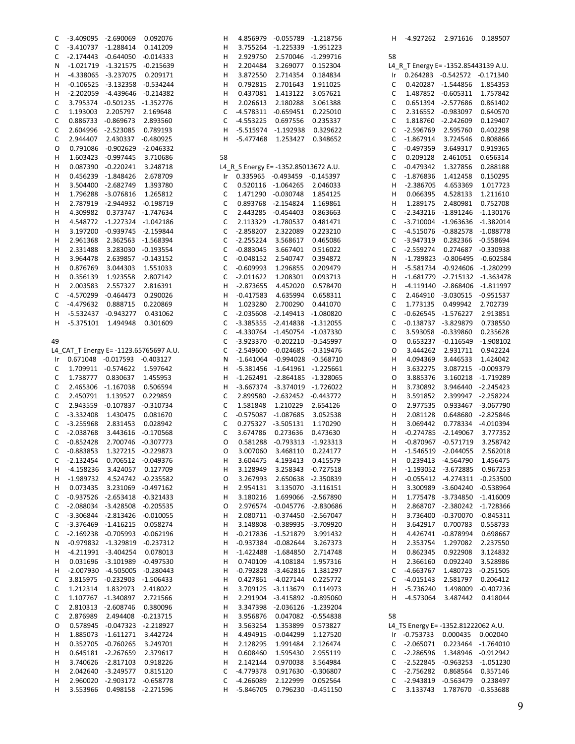| С           | $-3.409095$ | $-2.690069$        | 0.092076                               | Н           | 4.856979                 | $-0.05578$ |
|-------------|-------------|--------------------|----------------------------------------|-------------|--------------------------|------------|
| C           | $-3.410737$ | $-1.288414$        | 0.141209                               | н           | 3.755264                 | $-1.22533$ |
| C           | $-2.174443$ | $-0.644050$        | $-0.014333$                            | Н           | 2.929750                 | 2.57004    |
| Ν           | $-1.021719$ | $-1.321575$        | $-0.215639$                            | н           | 2.204484                 | 3.26907    |
| Н           | $-4.338065$ | $-3.237075$        | 0.209171                               | Н           | 3.872550                 | 2.71435    |
| Н           | $-0.106525$ | $-3.132358$        | $-0.534244$                            | Н           | 0.792815                 | 2.70164    |
| Н           | $-2.202059$ | -4.439646          | $-0.214382$                            | Н           | 0.437081                 | 1.41312    |
| C           | 3.795374    | $-0.501235$        | $-1.352776$                            | н           | 2.026613                 | 2.18028    |
| $\mathsf C$ | 1.193003    | 2.205797           | 2.169648                               | $\mathsf C$ | $-4.578311$              | $-0.65945$ |
| $\mathsf C$ | 0.886733    | $-0.869673$        | 2.893560                               | $\mathsf C$ | -4.553225                | 0.69755    |
|             |             | $-2.523085$        |                                        | н           |                          | $-1.19293$ |
| C           | 2.604996    |                    | 0.789193                               |             | $-5.515974$              |            |
| C           | 2.944407    | 2.430337           | $-0.480925$                            | н           | $-5.477468$              | 1.25342    |
| O           | 0.791086    |                    | $-0.902629$ $-2.046332$                |             |                          |            |
| Н           | 1.603423    | $-0.997445$        | 3.710686                               | 58          |                          |            |
| Н           | 0.087390    | $-0.220241$        | 3.248718                               |             | L4_R_S Energy E= -1352.8 |            |
| Н           | 0.456239    | $-1.848426$        | 2.678709                               | Ir          | 0.335965                 | $-0.49345$ |
| Н           | 3.504400    | $-2.682749$        | 1.393780                               | $\mathsf C$ | 0.520116                 | $-1.06426$ |
| Н           | 1.796288    | $-3.076816$        | 1.265812                               | $\mathsf C$ | 1.471290                 | $-0.03074$ |
| Н           | 2.787919    | $-2.944932$        | $-0.198719$                            | $\mathsf C$ | 0.893768                 | $-2.15482$ |
| Н           | 4.309982    | 0.373747           | $-1.747634$                            | C           | 2.443285                 | $-0.45440$ |
| н           | 4.548772    | -1.227324          | $-1.042186$                            | $\mathsf C$ | 2.113329                 | $-1.78053$ |
| Н           | 3.197200    | $-0.939745$        | $-2.159844$                            | С           | $-2.858207$              | 2.32208    |
| Н           | 2.961368    | 2.362563           | $-1.568394$                            | C           | $-2.255224$              | 3.56861    |
| Н           | 2.331488    | 3.283030           | $-0.193554$                            | $\mathsf C$ | $-0.883045$              | 3.66740    |
| Н           | 3.964478    | 2.639857           | $-0.143152$                            | $\mathsf C$ | $-0.048152$              | 2.54074    |
| н           | 0.876769    | 3.044303           | 1.551033                               | $\mathsf C$ | $-0.609993$              | 1.29685    |
| Н           | 0.356139    | 1.923558           | 2.807142                               | $\mathsf C$ | $-2.011622$              | 1.20830    |
| Н           | 2.003583    | 2.557327           | 2.816391                               | н           | $-2.873655$              | 4.45202    |
|             |             |                    |                                        |             |                          |            |
| C           | $-4.570299$ | $-0.464473$        | 0.290026                               | Н           | $-0.417583$              | 4.63599    |
| C           | -4.479632   | 0.888715           | 0.220869                               | Н           | 1.023280                 | 2.70029    |
| н           | -5.532437   | -0.943277          | 0.431062                               | С           | $-2.035608$              | $-2.14941$ |
| н           | $-5.375101$ | 1.494948           | 0.301609                               | $\mathsf C$ | $-3.385355$              | $-2.41483$ |
|             |             |                    |                                        | С           | -4.330764                | $-1.45075$ |
| 49          |             |                    |                                        | С           | -3.923370                | $-0.20221$ |
|             |             |                    | L4_CAT_T Energy E= -1123.65765697 A.U. | $\mathsf C$ | $-2.549600$              | $-0.02468$ |
| Ir          | 0.671048    | $-0.017593$        | $-0.403127$                            | N           | $-1.641064$              | $-0.99402$ |
| C           | 1.709911    | $-0.574622$        | 1.597642                               | н           | $-5.381456$              | $-1.64196$ |
| C           | 1.738777    | 0.830637           | 1.455953                               | Н           | $-1.262491$              | $-2.86418$ |
| C           | 2.465306    | $-1.167038$        | 0.506594                               | Н           | $-3.667374$              | $-3.3740$  |
| $\mathsf C$ | 2.450791    | 1.139527           | 0.229859                               | $\mathsf C$ | 2.899580                 | $-2.63245$ |
| $\mathsf C$ | 2.943559    | $-0.107837$        | $-0.310734$                            | $\mathsf C$ | 1.581848                 | 1.21022    |
| $\mathsf C$ | $-3.332408$ | 1.430475           | 0.081670                               | $\mathsf C$ | $-0.575087$              | $-1.08768$ |
| C           | $-3.255968$ | 2.831453           | 0.028942                               | С           | 0.275327                 | $-3.50513$ |
| C           | $-2.038768$ | 3.443616           | $-0.170568$                            | C           | 3.674786                 | 0.27363    |
| $\mathsf C$ | $-0.852428$ | 2.700746           | $-0.307773$                            | O           | 0.581288                 | $-0.79331$ |
|             |             |                    |                                        |             | 3.007060                 |            |
| C           |             | -0.883853 1.327215 | $-0.229873$                            | O           |                          | 3.46811    |
| С           | $-2.132454$ | 0.706512           | $-0.049376$                            | Н           | 3.604475                 | 4.19341    |
| н           | $-4.158236$ | 3.424057           | 0.127709                               | Н           | 3.128949                 | 3.25834    |
| Н           | $-1.989732$ | 4.524742           | $-0.235582$                            | О           | 3.267993                 | 2.65063    |
| н           | 0.073435    | 3.231069           | $-0.497162$                            | н           | 2.954131                 | 3.13507    |
| С           | $-0.937526$ | $-2.653418$        | $-0.321433$                            | н           | 3.180216                 | 1.69906    |
| C           | $-2.088034$ | $-3.428508$        | $-0.205535$                            | О           | 2.976574                 | $-0.0457$  |
| $\mathsf C$ | $-3.306844$ | $-2.813426$        | $-0.010055$                            | н           | 2.080711                 | $-0.37445$ |
| C           | $-3.376469$ | $-1.416215$        | 0.058274                               | Н           | 3.148808                 | $-0.38993$ |
| C           | $-2.169238$ | $-0.705993$        | $-0.062196$                            | Н           | $-0.217836$              | $-1.5218$  |
| Ν           | $-0.979832$ | $-1.329819$        | $-0.237312$                            | Н           | $-0.937384$              | $-0.08264$ |
| Н           | $-4.211991$ | $-3.404254$        | 0.078013                               | Н           | $-1.422488$              | $-1.68485$ |
| Н           | 0.031696    | $-3.101989$        | $-0.497530$                            | н           | 0.740109                 | $-4.10818$ |
| Н           | $-2.007930$ | $-4.505005$        | $-0.280443$                            | Н           | $-0.792828$              | $-3.46282$ |
| C           | 3.815975    | $-0.232903$        | $-1.506433$                            | Н           | 0.427861                 | $-4.02714$ |
| C           | 1.212314    | 1.832973           | 2.418022                               | н           | 3.709125                 | $-3.11367$ |
| C           | 1.107767    | $-1.340897$        | 2.721566                               | н           | 2.291904                 | $-3.41589$ |
| C           | 2.810313    | $-2.608746$        | 0.380096                               | Н           | 3.347398                 | $-2.03612$ |
| $\mathsf C$ | 2.876989    | 2.494408           | $-0.213715$                            | Н           | 3.956876                 | 0.04708    |
|             |             |                    |                                        |             |                          |            |
| 0           | 0.578945    | $-0.047323$        | $-2.218927$                            | н           | 3.563254                 | 1.35389    |
| н           | 1.885073    | $-1.611271$        | 3.442724                               | Н           | 4.494915                 | $-0.04429$ |
| Н           | 0.352705    | $-0.760265$        | 3.249701                               | Н           | 2.128295                 | 1.99148    |
| Н           | 0.645181    | $-2.267659$        | 2.379617                               | Н           | 0.608460                 | 1.59543    |
| Н           | 3.740626    | $-2.817103$        | 0.918226                               | Н           | 2.142144                 | 0.97003    |
| Н           | 2.042640    | $-3.249577$        | 0.815120                               | C           | -4.779378                | 0.91763    |
| н           | 2.960020    | $-2.903172$        | $-0.658778$                            | С           | -4.266089                | 2.12299    |
| Н           | 3.553966    | 0.498158           | $-2.271596$                            | н           | -5.846705                | 0.79623    |
|             |             |                    |                                        |             |                          |            |

| .856979  | $-0.055789$                   | $-1.218756$ | н           | -4.927262                            | 2.971616    | 0.189507    |
|----------|-------------------------------|-------------|-------------|--------------------------------------|-------------|-------------|
| 1.755264 | $-1.225339$                   | $-1.951223$ |             |                                      |             |             |
| .929750  | 2.570046                      | -1.299716   | 58          |                                      |             |             |
| .204484  | 3.269077                      | 0.152304    |             | L4_R_T Energy E= -1352.85443139 A.U. |             |             |
| .872550  | 2.714354                      | 0.184834    | Ir          | 0.264283                             | $-0.542572$ | $-0.171340$ |
| 1.792815 | 2.701643                      | 1.911025    | С           | 0.420287                             | $-1.544856$ | 1.854353    |
| 1.437081 | 1.413122                      | 3.057621    | С           | 1.487852                             | $-0.605311$ | 1.757842    |
| .026613  | 2.180288                      | 3.061388    | С           | 0.651394                             | $-2.577686$ | 0.861402    |
| .578311  | $-0.659451$                   | 0.225010    | С           | 2.316552                             | $-0.983097$ | 0.640570    |
| .553225  | 0.697556                      | 0.235337    | С           | 1.818760                             | $-2.242609$ | 0.129407    |
| 5.515974 | -1.192938                     | 0.329622    | С           | -2.596769                            | 2.595760    | 0.402298    |
| 5.477468 | 1.253427                      | 0.348652    | $\mathsf C$ | -1.867914                            | 3.724546    | 0.808866    |
|          |                               |             | С           | -0.497359                            | 3.649317    | 0.919365    |
|          |                               |             | С           | 0.209128                             | 2.461051    | 0.656314    |
|          | Energy E= -1352.85013672 A.U. |             | С           | -0.479342                            | 1.327856    | 0.288188    |
| 335965   | $-0.493459$                   | $-0.145397$ | C           | -1.876836                            | 1.412458    | 0.150295    |
| .520116  | $-1.064265$                   | 2.046033    | н           | -2.386705                            | 4.653369    | 1.017723    |
| .471290  | $-0.030748$                   | 1.854125    | н           | 0.066395                             | 4.528133    | 1.211610    |
| .893768  | $-2.154824$                   | 1.169861    | н           | 1.289175                             | 2.480981    | 0.752708    |
| .443285  | $-0.454403$                   | 0.863663    | С           | -2.343216                            | -1.891246   | -1.130176   |
| .113329  | $-1.780537$                   | 0.481471    | С           | $-3.710004$                          | $-1.963636$ | -1.382014   |
| .858207  | 2.322089                      | 0.223210    | С           | $-4.515076$                          | $-0.882578$ | $-1.088778$ |
| .255224  | 3.568617                      | 0.465086    | С           | -3.947319                            | 0.282366    | $-0.558694$ |
| 1.883045 | 3.667401                      | 0.516022    | C           | $-2.559274$                          | 0.274687    | $-0.330938$ |
| 0.048152 | 2.540747                      | 0.394872    | Ν           | -1.789823                            | $-0.806495$ | $-0.602584$ |
| 1.609993 | 1.296855                      | 0.209479    | н           | $-5.581734$                          | $-0.924606$ | $-1.280299$ |
| .011622  | 1.208301                      | 0.093713    | н           | $-1.681779$                          | -2.715132   | $-1.363478$ |
| 2.873655 | 4.452020                      | 0.578470    | Н           | $-4.119140$                          | $-2.868406$ | -1.811997   |
| 0.417583 | 4.635994                      | 0.658311    | С           | 2.464910                             | $-3.030515$ | $-0.951537$ |
| .023280  | 2.700290                      | 0.441070    | С           | 1.773135                             | 0.499942    | 2.702739    |
| .035608  | $-2.149413$                   | -1.080820   | С           | $-0.626545$                          | -1.576227   | 2.913851    |
| :385355  | $-2.414838$                   | $-1.312055$ | C           | $-0.138737$                          | -3.829879   | 0.738550    |
| .330764  | $-1.450754$                   | $-1.037330$ | С           | 3.593058                             | $-0.339860$ | 0.235628    |
| :923370  | $-0.202210$                   | -0.545997   | 0           | 0.653237                             | $-0.116549$ | $-1.908102$ |
| .549600  | $-0.024685$                   | -0.319476   | Ο           | 3.444262                             | 2.931711    | 0.942224    |
| L.641064 | $-0.994028$                   | $-0.568710$ | н           | 4.094369                             | 3.446533    | 1.424042    |
| 5.381456 | $-1.641961$                   | $-1.225661$ | н           | 3.632275                             | 3.087215    | $-0.009379$ |
| l.262491 | -2.864185                     | $-1.328065$ | Ο           | 3.885376                             | 3.160218    | -1.719289   |
| 3.667374 | -3.374019                     | $-1.726022$ | н           | 3.730892                             | 3.946440    | -2.245423   |
| .899580  | $-2.632452$                   | $-0.443772$ | н           | 3.591852                             | 2.399947    | -2.258224   |
| .581848  | 1.210229                      | 2.654126    | Ο           | 2.977535                             | 0.933467    | $-3.067790$ |
| 1.575087 | -1.087685                     | 3.052538    | н           | 2.081128                             | 0.648680    | -2.825846   |
| .275327  | $-3.505131$                   | 1.170290    | н           | 3.069442                             | 0.778334    | $-4.010394$ |
| .674786  | 0.273636                      | 0.473630    | н           | $-0.274785$                          | -2.149067   | 3.777352    |
| 1.581288 | $-0.793313$                   | $-1.923313$ | н           | $-0.870967$                          | $-0.571719$ | 3.258742    |
| 007060.١ | 3.468110                      | 0.224177    | н           | -1.546519                            | $-2.044055$ | 2.562018    |
| .604475  | 4.193413                      | 0.415579    | Н           | 0.239413                             | $-4.564790$ | 1.456475    |
| 128949.  | 3.258343                      | $-0.727518$ | н           | $-1.193052$                          | $-3.672885$ | 0.967253    |
| 1.267993 | 2.650638                      | $-2.350839$ | н           | $-0.055412$                          | $-4.274311$ | $-0.253500$ |
| .954131  | 3.135070                      | $-3.116151$ | н           | 3.300989                             | $-3.604240$ | $-0.538964$ |
| 180216.  | 1.699066                      | $-2.567890$ | н           | 1.775478                             | $-3.734850$ | $-1.416009$ |
| .976574  | $-0.045776$                   | -2.830686   | н           | 2.868707                             | -2.380242   | -1.728366   |
| .080711  | $-0.374450$                   | $-2.567047$ | н           | 3.736400                             | $-0.370070$ | $-0.845311$ |
| 148808   | $-0.389935$                   | $-3.709920$ | н           | 3.642917                             | 0.700783    | 0.558733    |
| 1.217836 | $-1.521879$                   | 3.991432    | н           | 4.426741                             | $-0.878994$ | 0.698667    |
| 0.937384 | $-0.082644$                   | 3.267373    | н           | 2.353754                             | 1.297082    | 2.237550    |
| 1.422488 | $-1.684850$                   | 2.714748    | н           | 0.862345                             | 0.922908    | 3.124832    |
| 1.740109 | $-4.108184$                   | 1.957316    | н           | 2.366160                             | 0.092240    | 3.528986    |
| 1.792828 | $-3.462816$                   | 1.381297    | С           | $-4.663767$                          | 1.480723    | $-0.251505$ |
| 1.427861 | $-4.027144$                   | 0.225772    | С           | $-4.015143$                          | 2.581797    | 0.206412    |
| .709125  | $-3.113679$                   | 0.114973    | н           | $-5.736240$                          | 1.498009    | $-0.407236$ |
| .291904  | $-3.415892$                   | $-0.895060$ | н           | $-4.573064$                          | 3.487442    | 0.418044    |
| .347398  | $-2.036126$                   | $-1.239204$ |             |                                      |             |             |
| :956876  | 0.047082                      | $-0.554838$ | 58          |                                      |             |             |
| 1.563254 | 1.353899                      | 0.573827    |             | L4_TS Energy E= -1352.81222062 A.U.  |             |             |
| .494915  | $-0.044299$                   | 1.127520    | Ir          | $-0.753733$                          | 0.000435    | 0.002040    |
| .128295  | 1.991484                      | 2.126474    | С           | $-2.065071$                          | 0.223464    | $-1.764010$ |
| 1.608460 | 1.595430                      | 2.955119    | С           | $-2.286596$                          | 1.348946    | $-0.912942$ |
| .142144  | 0.970038                      | 3.564984    | С           | -2.522845                            | $-0.963253$ | $-1.051230$ |
| .779378  | 0.917630                      | $-0.306807$ | С           | $-2.756282$                          | 0.868564    | 0.357146    |
| .266089  | 2.122999                      | 0.052564    | С           | $-2.943819$                          | $-0.563479$ | 0.238497    |
| 5.846705 | 0.796230                      | $-0.451150$ | С           | 3.133743                             | 1.787670    | $-0.353688$ |
|          |                               |             |             |                                      |             |             |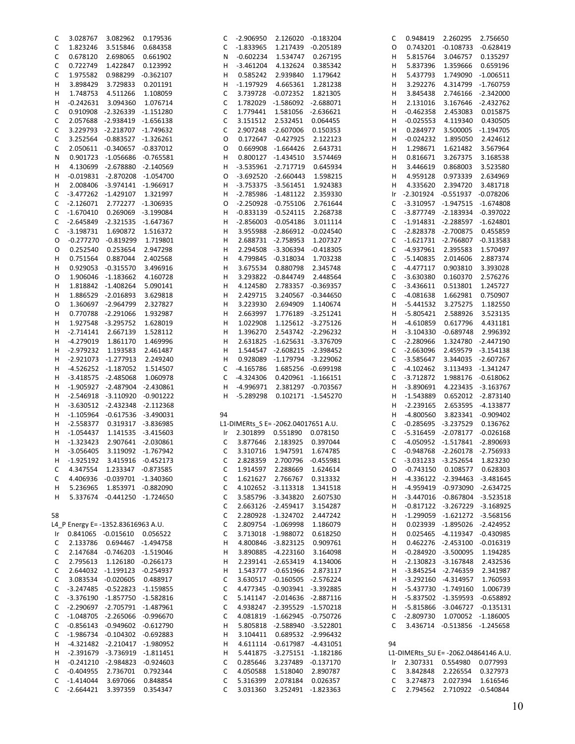| C  | 3.028767           | 3.082962                            | 0.179536           | C  | $-2.906950$                         | 2.126020                      | -0.183204          | С  | 0.948419                             | 2.260295                       | 2.756650            |
|----|--------------------|-------------------------------------|--------------------|----|-------------------------------------|-------------------------------|--------------------|----|--------------------------------------|--------------------------------|---------------------|
| C  | 1.823246           | 3.515846                            | 0.684358           | С  | $-1.833965$                         | 1.217439                      | $-0.205189$        | O  | 0.743201                             |                                | -0.108733 -0.628419 |
| С  | 0.678120           | 2.698065                            | 0.661902           | Ν  | $-0.602234$                         | 1.534747                      | 0.267195           | н  | 5.815764                             | 3.046757                       | 0.135297            |
| C  | 0.722749           | 1.422847                            | 0.123992           | н  | $-3.461204$                         | 4.132624                      | 0.385342           | н  | 5.837396                             | 1.359666                       | 0.659196            |
|    |                    |                                     |                    |    |                                     |                               |                    |    |                                      |                                |                     |
| С  | 1.975582           | 0.988299                            | $-0.362107$        | н  | 0.585242                            | 2.939840                      | 1.179642           | н  | 5.437793                             |                                | 1.749090 -1.006511  |
| н  | 3.898429           | 3.729833                            | 0.201191           | н  | $-1.197929$                         | 4.665361                      | 1.281238           | н  | 3.292276                             |                                | 4.314799 -1.760759  |
| н  | 1.748753           | 4.511266                            | 1.108059           | C  | 3.739728                            | -0.072352                     | 1.821305           | н  | 3.845438                             |                                | 2.746166 -2.342000  |
| н  | $-0.242631$        | 3.094360                            | 1.076714           | С  | 1.782029                            | -1.586092 -2.688071           |                    | н  | 2.131016                             |                                | 3.167646 -2.432762  |
| C  |                    | 0.910908 -2.326339 -1.151280        |                    | C  | 1.779441                            | 1.581056                      | -2.636621          | н  | $-0.462358$                          | 2.453083                       | 0.015875            |
|    |                    |                                     |                    |    |                                     |                               |                    |    |                                      |                                |                     |
| C  |                    | 2.057688 -2.938419 -1.656138        |                    | С  | 3.151512                            | 2.532451                      | 0.064455           | н  | $-0.025553$                          | 4.119340                       | 0.430505            |
| С  |                    | 3.229793 -2.218707 -1.749632        |                    | C  |                                     | 2.907248 -2.607006            | 0.150353           | н  | 0.284977                             |                                | 3.500005 -1.194705  |
| С  |                    | 3.252564 -0.883527 -1.326261        |                    | O  |                                     | 0.172647 -0.427925            | 2.122123           | н  | -0.024232                            | 1.895050                       | 2.424612            |
| С  |                    | 2.050611 -0.340657 -0.837012        |                    | O  | 0.669908                            | -1.664426                     | 2.643731           | н  | 1.298671                             | 1.621482                       | 3.567964            |
| N  |                    | 0.901723 -1.056686 -0.765581        |                    | н  |                                     | 0.800127 -1.434510            | 3.574469           | н  | 0.816671                             | 3.267375                       | 3.168538            |
|    |                    |                                     |                    |    |                                     |                               |                    |    |                                      |                                |                     |
| н  |                    | 4.130699 -2.678880 -2.140569        |                    | н  |                                     | -3.535961 -2.717719           | 0.645934           | н  | 3.446619                             | 0.868003                       | 3.523580            |
| н  |                    | -0.019831 -2.870208 -1.054700       |                    | 0  |                                     | -3.692520 -2.660443           | 1.598215           | н  | 4.959128                             | 0.973339                       | 2.634969            |
| н  |                    | 2.008406 -3.974141 -1.966917        |                    | н  |                                     | $-3.753375 -3.561451$         | 1.924383           | н  | 4.335620                             | 2.394720                       | 3.481718            |
| С  |                    | -3.477262 -1.429107                 | 1.321997           | н  |                                     | -2.785986 -1.481122           | 2.359330           | Ir |                                      | -2.301924 -0.551937 -0.078206  |                     |
| С  | $-2.126071$        |                                     | 2.772277 -1.306935 | O  | $-2.250928$                         | $-0.755106$                   | 2.761644           | С  |                                      | -3.310957 -1.947515 -1.674808  |                     |
|    |                    |                                     |                    |    |                                     |                               |                    |    |                                      |                                |                     |
| C  | $-1.670410$        |                                     | 0.269069 -3.199084 | н  |                                     | $-0.833139 -0.524115$         | 2.268738           | С  |                                      | -3.877749 -2.183934 -0.397022  |                     |
| C  |                    | -2.645849 -2.321535 -1.647367       |                    | н  | $-2.856003$                         | $-0.054186$                   | 3.011114           | С  |                                      | -1.914831 -2.288597 -1.624801  |                     |
| C  | $-3.198731$        | 1.690872                            | 1.516372           | н  | 3.955988                            | -2.866912 -0.024540           |                    | C  |                                      | -2.828378 -2.700875            | 0.455859            |
| O  | $-0.277270$        | $-0.819299$                         | 1.719801           | н  | 2.688731                            | -2.758953                     | 1.207327           | С  |                                      | $-1.621731 - 2.766807$         | $-0.313583$         |
| O  | 0.252540           | 0.253654                            | 2.947298           | н  | 2.294508                            | -3.306394 -0.418305           |                    | C  | $-4.937961$                          | 2.395583                       | 1.570497            |
|    | 0.751564           |                                     |                    | н  | 4.799845                            |                               |                    |    | $-5.140835$                          |                                |                     |
| H  |                    | 0.887044                            | 2.402568           |    |                                     | $-0.318034$                   | 1.703238           | С  |                                      | 2.014606                       | 2.887374            |
| н  |                    | 0.929053 -0.315570                  | 3.496916           | н  | 3.675534                            | 0.880798                      | 2.345748           | С  | -4.477117                            | 0.903810                       | 3.393028            |
| O  |                    | 1.906046 -1.183662                  | 4.160728           | н  | 3.293822                            | -0.844749                     | 2.448564           | C  | $-3.630380$                          | 0.160370                       | 2.576276            |
| н  |                    | 1.818842 -1.408264                  | 5.090141           | н  | 4.124580                            | 2.783357 -0.369357            |                    | С  | $-3.436611$                          | 0.513801                       | 1.245727            |
| н  |                    | 1.886529 -2.016893                  | 3.629818           | н  | 2.429715                            | 3.240567                      | $-0.344650$        | С  | $-4.081638$                          | 1.662981                       | 0.750907            |
| O  |                    | 1.360697 -2.964799                  | 2.327827           | Н  | 3.223930                            | 2.694909                      | 1.140674           | н  | -5.441532                            | 3.275275                       | 1.182550            |
|    |                    |                                     |                    |    |                                     |                               |                    |    |                                      |                                |                     |
| н  |                    | 0.770788 -2.291066                  | 1.932987           | н  | 2.663997                            | 1.776189                      | -3.251241          | н  | -5.805421                            | 2.588926                       | 3.523135            |
| н  |                    | 1.927548 -3.295752                  | 1.628019           | н  | 1.022908                            | 1.125612 -3.275126            |                    | н  | $-4.610859$                          | 0.617796                       | 4.431181            |
| н  | $-2.714141$        | 2.667139                            | 1.528112           | н  | 1.396270                            | 2.543742 -2.296232            |                    | н  | $-3.104330$                          | $-0.689748$                    | 2.996392            |
| н  | -4.279019          | 1.861170                            | 1.469996           | Н  | 2.631825                            | -1.625631 -3.376709           |                    | С  | $-2.280966$                          |                                | 1.324780 -2.447190  |
| н  | $-2.979232$        | 1.193583                            | 2.461487           | н  | 1.544547                            | -2.608215 -2.398452           |                    | C  | $-2.663096$                          |                                | 2.459579 -3.154138  |
| H  |                    | -2.921073 -1.277913                 | 2.249240           | н  | 0.928089                            | -1.179794 -3.229062           |                    | С  | -3.585647                            |                                | 3.344035 -2.607267  |
|    |                    |                                     |                    |    |                                     |                               |                    |    |                                      |                                |                     |
| н  |                    | -4.526252 -1.187052                 | 1.514507           | С  | $-4.165786$                         | 1.685256                      | $-0.699198$        | С  | $-4.102462$                          |                                | 3.113493 -1.341247  |
| H  |                    | -3.418575 -2.485068                 | 1.060978           | C  | $-4.324306$                         | 0.420961 -1.166151            |                    | C  | $-3.712872$                          |                                | 1.988176 -0.618062  |
| н  |                    | -1.905927 -2.487904 -2.430861       |                    | н  | $-4.996971$                         |                               | 2.381297 -0.703567 | н  | $-3.890691$                          |                                | 4.223435 -3.163767  |
| н  |                    | -2.546918 -3.110920 -0.901222       |                    | H  | -5.289298                           |                               | 0.102171 -1.545270 | н  | $-1.543889$                          |                                | 0.652012 -2.873140  |
| н  |                    | $-3.630512 -2.432348$               | -2.112368          |    |                                     |                               |                    | н  | $-2.239165$                          |                                | 2.653595 -4.133877  |
| н  |                    | $-1.105964$ $-0.617536$ $-3.490031$ |                    | 94 |                                     |                               |                    | н  | -4.800560                            |                                | 3.823341 -0.909402  |
| н  | $-2.558377$        |                                     | 0.319317 -3.836985 |    | L1-DIMERts_S E= -2062.04017651 A.U. |                               |                    | С  |                                      | $-0.285695 -3.237529$          | 0.136762            |
|    |                    |                                     |                    |    |                                     |                               |                    |    |                                      |                                |                     |
| H  | $-1.054437$        |                                     | 1.141535 -3.415603 |    | Ir 2.301899 0.551890 0.078150       |                               |                    | С  |                                      | -5.316459 -2.078177 -0.026168  |                     |
| н  | $-1.323423$        |                                     | 2.907641 -2.030861 | C  | 3.877646                            | 2.183925                      | 0.397044           | С  |                                      | -4.050952 -1.517841 -2.890693  |                     |
| н  | $-3.056405$        |                                     | 3.119092 -1.767942 | C  | 3.310716                            | 1.947591                      | 1.674785           | C  |                                      | -0.948768 -2.260178 -2.756933  |                     |
| H  | $-1.925192$        | 3.415916 -0.452173                  |                    | С  | 2.828359                            | 2.700796                      | $-0.455981$        | С  |                                      | -3.031233 -3.252654            | 1.823230            |
| C  |                    | 4.347554 1.233347 -0.873585         |                    | С  |                                     | 1.914597 2.288669             | 1.624614           | 0  |                                      | -0.743150  0.108577            | 0.628303            |
|    |                    |                                     |                    |    |                                     |                               |                    |    |                                      |                                |                     |
| C  |                    | 4.406936 -0.039701 -1.340360        |                    | С  |                                     | 1.621627 2.766767             | 0.313332           | H  |                                      | -4.336122 -2.394463 -3.481645  |                     |
| H  | 5.236965           | 1.853971 -0.882090                  |                    | C  |                                     | 4.102652 -3.113318            | 1.341518           | н  |                                      | -4.959419 -0.973090 -2.634725  |                     |
| н  |                    | 5.337674 -0.441250 -1.724650        |                    | С  |                                     | 3.585796 -3.343820            | 2.607530           | H  |                                      | -3.447016 -0.867804 -3.523518  |                     |
|    |                    |                                     |                    | С  |                                     | 2.663126 -2.459417 3.154287   |                    | н  |                                      | -0.817122 -3.267229 -3.168925  |                     |
| 58 |                    |                                     |                    | C  |                                     | 2.280928 -1.324702            | 2.447242           | н  |                                      | -1.299059 -1.621272 -3.568156  |                     |
|    |                    | L4 P Energy E= -1352.83616963 A.U.  |                    | C  |                                     | 2.809754 -1.069998            | 1.186079           | н  |                                      | 0.023939 -1.895026 -2.424952   |                     |
|    |                    |                                     |                    |    |                                     |                               |                    |    |                                      |                                |                     |
|    |                    | Ir  0.841065  -0.015610  0.056522   |                    | C  |                                     | 3.713018 -1.988072 0.618250   |                    | н  |                                      | 0.025465 -4.119347 -0.430985   |                     |
| C  |                    | 2.133786  0.694467  -1.494758       |                    | н  |                                     | 4.800846 -3.823125            | 0.909761           | н  |                                      | 0.462276 -2.453100 -0.016319   |                     |
| C  |                    | 2.147684 -0.746203 -1.519046        |                    | н  |                                     | 3.890885 -4.223160 3.164098   |                    | н  |                                      | $-0.284920 -3.500095$          | 1.194285            |
| C  |                    | 2.795613  1.126180  -0.266173       |                    | н  |                                     | 2.239141 -2.653419 4.134006   |                    | н  |                                      | $-2.130823$ $-3.167848$        | 2.432536            |
| С  |                    | 2.644032 -1.199123 -0.254937        |                    | н  |                                     | 1.543777 -0.651966 2.873117   |                    | H  |                                      | -3.845254 -2.746359            | 2.341987            |
|    |                    |                                     |                    |    |                                     |                               |                    |    |                                      |                                |                     |
| C  |                    | 3.083534 -0.020605 0.488917         |                    | C  |                                     | 3.630517 -0.160505 -2.576224  |                    | H  |                                      | -3.292160 -4.314957            | 1.760593            |
| C  |                    | -3.247485 -0.522823 -1.159855       |                    | С  |                                     | 4.477345 -0.903941 -3.392885  |                    | н  |                                      | -5.437730 -1.749160            | 1.006739            |
| С  |                    | -3.376190 -1.857750 -1.582816       |                    | C  |                                     | 5.141147 -2.014636 -2.887116  |                    | н  |                                      | -5.837502 -1.359593 -0.658892  |                     |
| С  |                    | -2.290697 -2.705791 -1.487961       |                    | С  |                                     | 4.938247 -2.395529 -1.570218  |                    | H  |                                      | -5.815866 -3.046727 -0.135131  |                     |
| C  |                    | -1.048705 -2.265066 -0.996670       |                    | C  |                                     | 4.081819 -1.662945 -0.750726  |                    | С  |                                      | -2.809730  1.070052  -1.186005 |                     |
| C  |                    | $-0.856143 -0.949602 -0.612790$     |                    | н  |                                     | 5.805818 -2.588940 -3.522801  |                    | C  |                                      | 3.436714 -0.513856 -1.245658   |                     |
|    |                    |                                     |                    |    |                                     |                               |                    |    |                                      |                                |                     |
| С  |                    | -1.986734 -0.104302 -0.692883       |                    | н  |                                     | 3.104411  0.689532  -2.996432 |                    |    |                                      |                                |                     |
| H. |                    | -4.321482 -2.210417 -1.980952       |                    | н  |                                     | 4.611114 -0.617987 -4.431051  |                    | 94 |                                      |                                |                     |
| H  |                    | -2.391679 -3.736919 -1.811451       |                    | н  |                                     | 5.441875 -3.275151 -1.182186  |                    |    | L1-DIMERts_SU E= -2062.04864146 A.U. |                                |                     |
| Н, |                    | $-0.241210 -2.984823 -0.924603$     |                    | C  | 0.285646                            | 3.237489 -0.137170            |                    | Ir |                                      | 2.307331  0.554980  0.077993   |                     |
| C  | -0.404955          | 2.736701                            | 0.792344           | C  | 4.050588                            | 1.518040                      | 2.890787           | C  |                                      | 3.842848 2.226554 0.327973     |                     |
| C  | -1.414044 3.697066 |                                     | 0.848854           | С  | 5.316399                            | 2.078184 0.026357             |                    | С  |                                      | 3.274873 2.027394 1.616546     |                     |
|    |                    |                                     |                    |    |                                     |                               |                    |    |                                      |                                |                     |
| C  |                    | -2.664421 3.397359                  | 0.354347           | C  | 3.031360                            | 3.252491 -1.823363            |                    | C  |                                      | 2.794562 2.710922 -0.540844    |                     |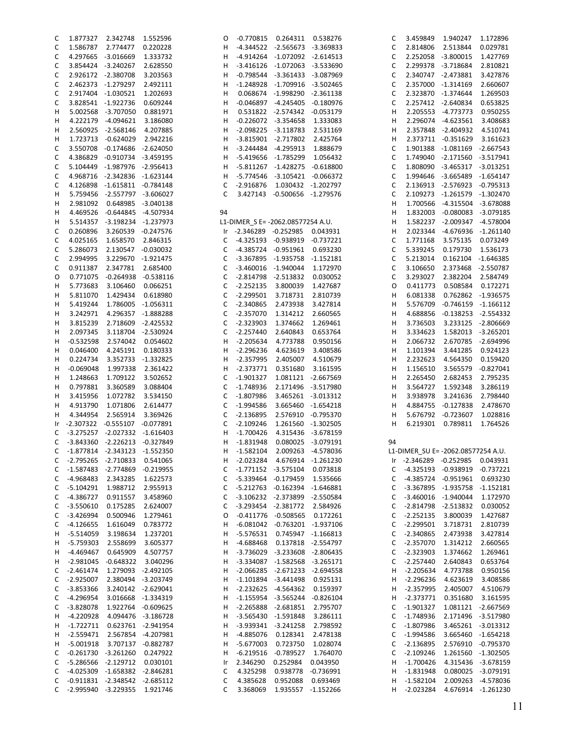| С            | 1.877327    | 2.342748    | 1.552596    | O           | $-0.770815$                       | 0.264311    | 0.538276    |
|--------------|-------------|-------------|-------------|-------------|-----------------------------------|-------------|-------------|
|              |             |             |             |             |                                   |             |             |
| C            | 1.586787    | 2.774477    | 0.220228    | н           | -4.344522                         | $-2.565673$ | $-3.369833$ |
| C            | 4.297665    | $-3.016669$ | 1.333732    | н           | -4.914264                         | -1.072092   | $-2.614513$ |
| C            | 3.854424    | $-3.240267$ | 2.628550    | н           | -3.416126                         | $-1.072063$ | $-3.533690$ |
| C            | 2.926172    | $-2.380708$ | 3.203563    | н           | $-0.798544$                       | $-3.361433$ | $-3.087969$ |
|              |             |             |             |             |                                   |             |             |
| C            | 2.462373    | $-1.279297$ | 2.492111    | н           | $-1.248928$                       | $-1.709916$ | $-3.502465$ |
| $\mathsf C$  | 2.917404    | $-1.030521$ | 1.202693    | н           | 0.068674                          | $-1.998290$ | -2.361138   |
| C            | 3.828541    | $-1.922736$ | 0.609244    | Н           | $-0.046897$                       | $-4.245405$ | $-0.180976$ |
|              |             |             |             |             |                                   |             |             |
| н            | 5.002568    | $-3.707050$ | 0.881971    | н           | 0.531822                          | $-2.574342$ | $-0.053179$ |
| н            | 4.222179    | $-4.094621$ | 3.186080    | н           | -0.226072                         | $-3.354658$ | 1.333083    |
| н            | 2.560925    | $-2.568146$ | 4.207885    | н           | -2.098225                         | $-3.118783$ | 2.531169    |
| н            | 1.723713    | $-0.624029$ | 2.942216    | н           | $-3.815901$                       | $-2.717802$ | 2.425764    |
|              |             |             |             |             |                                   |             |             |
| С            | 3.550708    | $-0.174686$ | $-2.624050$ | н           | -3.244484                         | $-4.295913$ | 1.888679    |
| C            | 4.386829    | $-0.910734$ | -3.459195   | н           | -5.419656                         | $-1.785299$ | 1.056432    |
| $\mathsf C$  | 5.104449    | -1.987976   | $-2.956413$ | н           | -5.811267                         | $-1.428275$ | $-0.618800$ |
| C            | 4.968716    | $-2.342836$ | $-1.623144$ | н           | -5.774546                         | $-3.105421$ | $-0.066372$ |
|              |             |             |             |             |                                   |             |             |
| C            | 4.126898    | $-1.615811$ | $-0.784148$ | С           | $-2.916876$                       | 1.030432    | $-1.202797$ |
| н            | 5.759456    | $-2.557797$ | $-3.606027$ | C           | 3.427143                          | $-0.500656$ | -1.279576   |
| Н            | 2.981092    | 0.648985    | -3.040138   |             |                                   |             |             |
|              |             |             |             |             |                                   |             |             |
| н            | 4.469526    | $-0.644845$ | $-4.507934$ | 94          |                                   |             |             |
| н            | 5.514357    | $-3.198234$ | $-1.237973$ |             | L1-DIMER_S E= -2062.08577254 A.U. |             |             |
| C            | 0.260896    | 3.260539    | $-0.247576$ | Ir          | -2.346289                         | $-0.252985$ | 0.043931    |
|              |             |             |             |             |                                   |             |             |
| C            | 4.025165    | 1.658570    | 2.846315    | С           | -4.325193                         | $-0.938919$ | $-0.737221$ |
| C            | 5.286073    | 2.130547    | $-0.030032$ | $\mathsf C$ | -4.385724                         | $-0.951961$ | 0.693230    |
| C            | 2.994995    | 3.229670    | $-1.921475$ | $\mathsf C$ | -3.367895                         | $-1.935758$ | $-1.152181$ |
| C            | 0.911387    | 2.347781    | 2.685400    | $\mathsf C$ | -3.460016                         | $-1.940044$ | 1.172970    |
|              |             |             |             |             |                                   |             |             |
| O            | 0.771075    | $-0.264938$ | $-0.538116$ | $\mathsf C$ | $-2.814798$                       | $-2.513832$ | 0.030052    |
| н            | 5.773683    | 3.106460    | 0.066251    | $\mathsf C$ | $-2.252135$                       | 3.800039    | 1.427687    |
| н            | 5.811070    | 1.429434    | 0.618980    | $\mathsf C$ | $-2.299501$                       | 3.718731    | 2.810739    |
|              |             |             |             |             |                                   |             |             |
| Н            | 5.419244    | 1.786005    | $-1.056311$ | $\mathsf C$ | -2.340865                         | 2.473938    | 3.427814    |
| н            | 3.242971    | 4.296357    | -1.888288   | $\mathsf C$ | -2.357070                         | 1.314212    | 2.660565    |
| н            | 3.815239    | 2.718609    | $-2.425532$ | $\mathsf C$ | $-2.323903$                       | 1.374662    | 1.269461    |
| н            | 2.097345    | 3.118704    | $-2.530924$ | $\mathsf C$ | $-2.257440$                       | 2.640843    | 0.653764    |
|              |             |             |             |             |                                   |             |             |
| н            | $-0.532598$ | 2.574042    | 0.054602    | н           | $-2.205634$                       | 4.773788    | 0.950156    |
| Н            | 0.046400    | 4.245191    | 0.180333    | н           | $-2.296236$                       | 4.623619    | 3.408586    |
| н            | 0.224734    | 3.352733    | -1.332825   | н           | $-2.357995$                       | 2.405007    | 4.510679    |
|              |             |             |             |             |                                   |             |             |
| н            | $-0.069048$ | 1.997338    | 2.361422    | н           | $-2.373771$                       | 0.351680    | 3.161595    |
| н            | 1.248663    | 1.709122    | 3.502652    | $\mathsf C$ | -1.901327                         | 1.081121    | -2.667569   |
| н            | 0.797881    | 3.360589    | 3.088404    | $\mathsf C$ | -1.748936                         | 2.171496    | $-3.517980$ |
| н            | 3.415956    | 1.072782    | 3.534150    | $\mathsf C$ | -1.807986                         | 3.465261    | $-3.013312$ |
|              |             |             |             |             |                                   |             |             |
| н            | 4.913790    | 1.071806    | 2.614477    | $\mathsf C$ | $-1.994586$                       | 3.665460    | $-1.654218$ |
| н            | 4.344954    | 2.565914    | 3.369426    | $\mathsf C$ | -2.136895                         | 2.576910    | $-0.795370$ |
| Ir           | -2.307322   | $-0.555107$ | $-0.077891$ | $\mathsf C$ | $-2.109246$                       | 1.261560    | $-1.302505$ |
|              |             |             |             |             |                                   |             |             |
| C            | $-3.275257$ | $-2.027332$ | $-1.616403$ | н           | $-1.700426$                       | 4.315436    | $-3.678159$ |
| C            | -3.843360   | $-2.226213$ | $-0.327849$ | н           | $-1.831948$                       | 0.080025    | $-3.079191$ |
| $\mathsf{C}$ | $-1.877814$ | $-2.343123$ | $-1.552350$ | Н           | $-1.582104$                       | 2.009263    | $-4.578036$ |
| С            | $-2.795265$ | $-2.710833$ | 0.541065    | н           | $-2.023284$                       | 4.676914    | $-1.261230$ |
|              |             |             |             |             |                                   |             |             |
| С            | $-1.587483$ | $-2.774869$ | $-0.219955$ | $\mathsf C$ | -1.771152                         | $-3.575104$ | 0.073818    |
| С            | -4.968483   | 2.343285    | 1.622573    | С           | -5.339464                         | $-0.179459$ | 1.535666    |
| $\mathsf C$  | $-5.104291$ | 1.988712    | 2.955913    | C           | $-5.212763$                       | $-0.162394$ | $-1.646881$ |
| С            | -4.386727   | 0.911557    | 3.458960    | С           | $-3.106232$                       | $-2.373899$ | $-2.550584$ |
|              |             |             |             |             |                                   |             |             |
| C            | $-3.550610$ | 0.175285    | 2.624007    | $\mathsf C$ | $-3.293454$                       | $-2.381772$ | 2.584926    |
| C            | $-3.426994$ | 0.500946    | 1.279461    | O           | $-0.411776$                       | $-0.508565$ | 0.172261    |
| C            | $-4.126655$ | 1.616049    | 0.783772    | н           | $-6.081042$                       | $-0.763201$ | $-1.937106$ |
|              |             |             |             |             |                                   |             |             |
| Н            | $-5.514059$ | 3.198634    | 1.237201    | н           | $-5.576531$                       | 0.745947    | $-1.166813$ |
| Н            | $-5.759303$ | 2.558699    | 3.605377    | н           | $-4.688468$                       | 0.137818    | $-2.554797$ |
| Н            | $-4.469467$ | 0.645909    | 4.507757    | н           | -3.736029                         | $-3.233608$ | $-2.806435$ |
| н            | $-2.981045$ | $-0.648322$ | 3.040296    | н           | -3.334087                         | $-1.582568$ | $-3.265171$ |
|              |             |             |             |             |                                   |             |             |
| С            | $-2.461474$ | 1.279093    | $-2.492105$ | н           | $-2.066285$                       | $-2.671233$ | $-2.694558$ |
| С            | $-2.925007$ | 2.380494    | $-3.203749$ | н           | $-1.101894$                       | $-3.441498$ | 0.925131    |
| С            | $-3.853366$ | 3.240142    | $-2.629041$ | н           | $-2.232625$                       | $-4.564362$ | 0.159397    |
|              |             |             |             |             |                                   |             |             |
| C            | -4.296954   | 3.016668    | $-1.334319$ | н           | $-1.155954$                       | $-3.565244$ | $-0.826104$ |
| С            | $-3.828078$ | 1.922764    | $-0.609625$ | н           | $-2.265888$                       | $-2.681851$ | 2.795707    |
| Н            | $-4.220928$ | 4.094476    | $-3.186728$ | н           | $-3.565430$                       | $-1.591848$ | 3.286111    |
| Н            | $-1.722711$ | 0.623761    | $-2.941954$ |             | $-3.939341$                       | $-3.241258$ | 2.798592    |
|              |             |             |             | н           |                                   |             |             |
| н            | $-2.559471$ | 2.567854    | $-4.207981$ | н           | -4.885076                         | 0.128341    | 2.478138    |
| Н            | $-5.001918$ | 3.707137    | $-0.882787$ | н           | $-5.677003$                       | 0.723750    | 1.028074    |
| С            | $-0.261730$ | $-3.261260$ | 0.247922    | н           | $-6.219516$                       | $-0.789527$ | 1.764070    |
|              |             |             |             |             |                                   |             |             |
| C            | -5.286566   | $-2.129712$ | 0.030101    | Ir          | 2.346290                          | 0.252984    | 0.043950    |
| С            | $-4.025309$ | $-1.658382$ | $-2.846281$ | С           | 4.325298                          | 0.938778    | $-0.736991$ |
| С            | $-0.911831$ | $-2.348542$ | $-2.685112$ | C           | 4.385628                          | 0.952088    | 0.693469    |
| C            | $-2.995940$ | $-3.229355$ | 1.921746    | C           | 3.368069                          | 1.935557    | $-1.152266$ |
|              |             |             |             |             |                                   |             |             |

| C                            | 3.459849                           | 1.940247                   | 1.172896                   |
|------------------------------|------------------------------------|----------------------------|----------------------------|
| C                            | 2.814806                           | 2.513844                   | 0.029781                   |
| C<br>C                       | 2.252058<br>2.299378               | $-3.800015$<br>$-3.718684$ | 1.427769<br>2.810821       |
| C                            | 2.340747                           | $-2.473881$                | 3.427876                   |
| C                            | 2.357000                           | $-1.314169$                | 2.660607                   |
| C                            | 2.323870                           | $-1.374644$                | 1.269503                   |
| C                            | 2.257412                           | $-2.640834$                | 0.653825                   |
| н                            | 2.205553                           | $-4.773773$                | 0.950255                   |
| н                            | 2.296074                           | $-4.623561$                | 3.408683                   |
| н                            | 2.357848                           | $-2.404932$                | 4.510741                   |
| н                            | 2.373711                           | $-0.351629$                | 3.161623                   |
| C                            | 1.901388<br>1.749040               | $-1.081169$                | $-2.667543$<br>$-3.517941$ |
| C<br>C                       | 1.808090                           | $-2.171560$<br>$-3.465317$ | $-3.013251$                |
| C                            | 1.994646                           | $-3.665489$                | $-1.654147$                |
| C                            | 2.136913                           | $-2.576923$                | $-0.795313$                |
| C                            | 2.109273                           | $-1.261579$                | $-1.302470$                |
| н                            | 1.700566                           | $-4.315504$                | $-3.678088$                |
| н                            | 1.832003                           | $-0.080083$                | $-3.079185$                |
| н                            | 1.582237                           | $-2.009347$                | $-4.578004$                |
| н                            | 2.023344                           | $-4.676936$                | $-1.261140$                |
| C                            | 1.771168                           | 3.575135                   | 0.073249                   |
| C<br>C                       | 5.339245<br>5.213014               | 0.179730<br>0.162104       | 1.536173<br>$-1.646385$    |
| C                            | 3.106650                           | 2.373468                   | $-2.550787$                |
| C                            | 3.293027                           | 2.382204                   | 2.584749                   |
| O                            | 0.411773                           | 0.508584                   | 0.172271                   |
| н                            | 6.081338                           | 0.762862                   | $-1.936575$                |
| н                            | 5.576709                           | $-0.746159$                | $-1.166112$                |
| Н                            | 4.688856                           | $-0.138253$                | $-2.554332$                |
| н                            | 3.736503                           | 3.233125                   | $-2.806669$                |
| н                            | 3.334623                           | 1.582013                   | $-3.265201$                |
| н                            | 2.066732                           | 2.670785                   | $-2.694996$                |
| н<br>Н                       | 1.101394<br>2.232623               | 3.441285<br>4.564350       | 0.924123<br>0.159420       |
| н                            | 1.156510                           | 3.565579                   | $-0.827041$                |
| н                            | 2.265450                           | 2.682453                   | 2.795235                   |
| Н                            | 3.564727                           | 1.592348                   | 3.286119                   |
| н                            | 3.938978                           | 3.241636                   | 2.798440                   |
| н                            | 4.884755                           | $-0.127838$                | 2.478670                   |
| н                            | 5.676792                           | $-0.723607$                | 1.028816                   |
| н                            | 6.219301                           | 0.789811                   | 1.764526                   |
| 94                           |                                    |                            |                            |
|                              | L1-DIMER_SU E= -2062.08577254 A.U. |                            |                            |
| Ir                           | -2.346289                          | -0.252985                  | 0.043931                   |
| С                            | $-4.325193$                        | $-0.938919$                | $-0.737221$                |
| C                            | $-4.385724$                        | $-0.951961$                | 0.693230                   |
| C                            | -3.367895                          | $-1.935758$                | $-1.152181$                |
| $\mathsf{C}$                 | $-3.460016$                        | $-1.940044$                | 1.172970                   |
| $\mathsf{C}$                 | $-2.814798$                        | $-2.513832$                | 0.030052                   |
| $\mathsf{C}$<br>$\mathsf{C}$ | $-2.252135$<br>$-2.299501$         | 3.800039<br>3.718731       | 1.427687<br>2.810739       |
| $\mathsf{C}$                 | $-2.340865$                        | 2.473938                   | 3.427814                   |
| C                            | $-2.357070$                        | 1.314212                   | 2.660565                   |
| C                            | $-2.323903$                        | 1.374662                   | 1.269461                   |
| C                            | $-2.257440$                        | 2.640843                   | 0.653764                   |
| Н                            | $-2.205634$                        | 4.773788                   | 0.950156                   |
| Н                            | $-2.296236$                        | 4.623619                   | 3.408586                   |
| H                            | $-2.357995$                        | 2.405007                   | 4.510679                   |
| н                            | $-2.373771$                        | 0.351680                   | 3.161595                   |
| C                            | -1.901327                          | 1.081121                   | -2.667569                  |
| C<br>C                       | -1.748936<br>$-1.807986$           | 2.171496<br>3.465261       | -3.517980<br>$-3.013312$   |
| C                            | $-1.994586$                        | 3.665460                   | $-1.654218$                |
| C                            | $-2.136895$                        | 2.576910                   | $-0.795370$                |
| C                            | $-2.109246$                        | 1.261560                   | $-1.302505$                |
| Н                            | $-1.700426$                        | 4.315436                   | $-3.678159$                |
| н                            | $-1.831948$                        | 0.080025                   | $-3.079191$                |
| Н                            | $-1.582104$                        | 2.009263                   | -4.578036                  |
| н                            | $-2.023284$                        | 4.676914                   | -1.261230                  |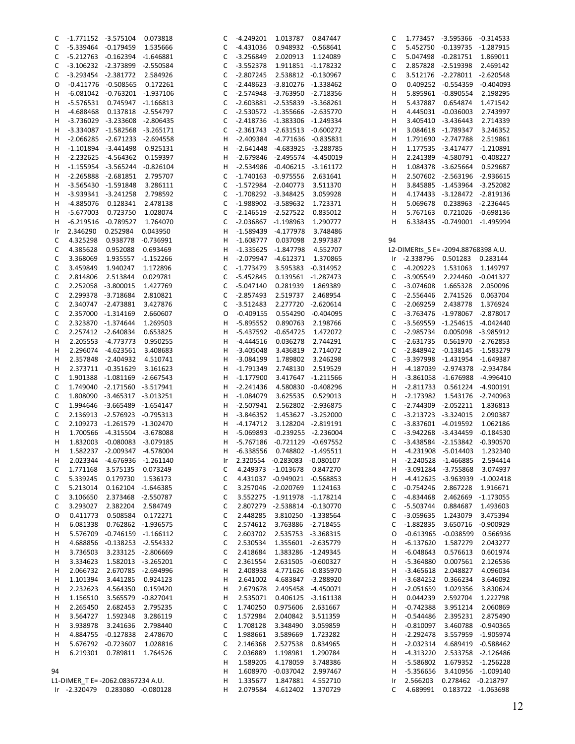| C  | -1.771152 -3.575104 0.073818      |                                     |                    | C  |                               | -4.249201 1.013787 0.847447         |                    | C  |                                     | 1.773457 -3.595366 -0.314533   |                               |
|----|-----------------------------------|-------------------------------------|--------------------|----|-------------------------------|-------------------------------------|--------------------|----|-------------------------------------|--------------------------------|-------------------------------|
| C  |                                   | -5.339464 -0.179459                 | 1.535666           | C  | -4.431036                     |                                     | 0.948932 -0.568641 | C  |                                     | 5.452750 -0.139735 -1.287915   |                               |
| C  |                                   | -5.212763 -0.162394 -1.646881       |                    | C  | -3.256849  2.020913  1.124089 |                                     |                    | C  |                                     | 5.047498 -0.281751             | 1.869011                      |
| C  |                                   | -3.106232 -2.373899 -2.550584       |                    | C  |                               | -3.552378  1.911851  -1.178232      |                    | C  |                                     | 2.857828 -2.519398             | 2.469142                      |
| C  |                                   | -3.293454 -2.381772 2.584926        |                    | C  |                               | -2.807245  2.538812  -0.130967      |                    | C  |                                     | 3.512176 -2.278011 -2.620548   |                               |
| 0  |                                   | -0.411776 -0.508565                 | 0.172261           | C  |                               | -2.448623 -3.810276 -1.338462       |                    | 0  |                                     | 0.409252 -0.554359 -0.404093   |                               |
| н  |                                   | -6.081042 -0.763201 -1.937106       |                    | C  |                               | -2.574948 -3.763950 -2.718356       |                    | H  |                                     | 5.895961 -0.890554             | 2.198295                      |
|    |                                   |                                     |                    |    |                               |                                     |                    |    |                                     |                                |                               |
| н  |                                   | -5.576531  0.745947  -1.166813      |                    | C  |                               | $-2.603881$ $-2.535839$ $-3.368261$ |                    | н  | 5.437887                            | 0.654874                       | 1.471542                      |
| н  |                                   | -4.688468  0.137818  -2.554797      |                    | C  |                               | -2.530572 -1.355666 -2.635770       |                    | н  |                                     | 4.445031 -0.036003             | 2.743997                      |
| н  |                                   | -3.736029 -3.233608 -2.806435       |                    | C  |                               | -2.418736 -1.383306 -1.249334       |                    | н  |                                     | 3.405410 -3.436443             | 2.714339                      |
| н  |                                   | -3.334087 -1.582568 -3.265171       |                    | C  |                               | $-2.361743$ $-2.631513$ $-0.600272$ |                    | н  |                                     | 3.084618 -1.789347             | 3.246352                      |
| н  |                                   | -2.066285 -2.671233 -2.694558       |                    | н  |                               | -2.409384 -4.771636 -0.835831       |                    | н  |                                     | 1.791690 -2.747788             | 2.519861                      |
| н  |                                   | $-1.101894$ $-3.441498$             | 0.925131           | H  |                               | -2.641448 -4.683925 -3.288785       |                    | н  |                                     | 1.177535 -3.417477 -1.210891   |                               |
| н  |                                   | -2.232625 -4.564362 0.159397        |                    | н  |                               | -2.679846 -2.495574 -4.450019       |                    | н  |                                     | 2.241389 -4.580791 -0.408227   |                               |
|    |                                   |                                     |                    |    |                               | -2.534986 -0.406215 -3.161172       |                    |    |                                     |                                |                               |
| н  |                                   | $-1.155954$ $-3.565244$ $-0.826104$ |                    | н  |                               |                                     |                    | н  |                                     | 1.084378 -3.625664             | 0.529687                      |
| н  |                                   | -2.265888 -2.681851                 | 2.795707           | C  |                               | -1.740163 -0.975556                 | 2.631641           | н  |                                     | 2.507602 -2.563196 -2.936615   |                               |
| н  |                                   | -3.565430 -1.591848                 | 3.286111           | C  |                               | -1.572984 -2.040773 3.511370        |                    | н  |                                     | 3.845885 -1.453964 -3.252082   |                               |
| н  |                                   | -3.939341 -3.241258                 | 2.798592           | C  |                               | -1.708292 -3.348425                 | 3.059928           | н  |                                     | 4.174433 -3.128472 -2.819136   |                               |
| н  |                                   | -4.885076  0.128341                 | 2.478138           | C  | -1.988902 -3.589632 1.723371  |                                     |                    | н  | 5.069678                            |                                | 0.238963 -2.236445            |
| н  |                                   | -5.677003 0.723750                  | 1.028074           | С  |                               | -2.146519 -2.527522 0.835012        |                    | н  | 5.767163                            |                                | 0.721026 -0.698136            |
| н  | $-6.219516$                       | -0.789527                           | 1.764070           | C  |                               | -2.036867 -1.198963 1.290777        |                    | н  |                                     | 6.338435 -0.749001 -1.495994   |                               |
| Ir | 2.346290                          | 0.252984                            | 0.043950           | н  |                               | -1.589439 -4.177978 3.748486        |                    |    |                                     |                                |                               |
|    |                                   |                                     |                    |    |                               |                                     |                    |    |                                     |                                |                               |
| C  | 4.325298                          | 0.938778 -0.736991                  |                    | н  |                               | -1.608777  0.037098  2.997387       |                    | 94 |                                     |                                |                               |
| C  | 4.385628                          | 0.952088                            | 0.693469           | н  |                               | -1.335625 -1.847798 4.552707        |                    |    | L2-DIMERts_S E= -2094.88768398 A.U. |                                |                               |
| C  | 3.368069                          | 1.935557 -1.152266                  |                    | н  |                               | -2.079947 -4.612371 1.370865        |                    |    | Ir -2.338796 0.501283 0.283144      |                                |                               |
| C  | 3.459849                          | 1.940247                            | 1.172896           | C  |                               | -1.773479 3.595383 -0.314952        |                    | C  | -4.209223                           | 1.531063                       | 1.149797                      |
| C  | 2.814806                          | 2.513844                            | 0.029781           | C  |                               | -5.452845  0.139561  -1.287473      |                    | C  | -3.905549                           |                                | 2.224460 -0.041327            |
| C  |                                   | 2.252058 -3.800015                  | 1.427769           | C  |                               | -5.047140  0.281939  1.869389       |                    | C  | $-3.074608$                         | 1.665328                       | 2.050096                      |
| C  |                                   | 2.299378 -3.718684                  | 2.810821           | C  |                               | -2.857493 2.519737                  | 2.468954           | C  | $-2.556446$                         | 2.741526                       | 0.063704                      |
| C  |                                   | 2.340747 -2.473881                  | 3.427876           | С  | -3.512483                     |                                     | 2.277720 -2.620614 | C  | $-2.069259$                         | 2.438778                       | 1.376924                      |
|    |                                   |                                     |                    |    |                               |                                     |                    |    |                                     |                                |                               |
| C  |                                   | 2.357000 -1.314169                  | 2.660607           | 0  |                               | $-0.409155$ $0.554290$ $-0.404095$  |                    | C  |                                     | -3.763476 -1.978067 -2.878017  |                               |
| C  |                                   | 2.323870 -1.374644                  | 1.269503           | H  | -5.895552                     |                                     | 0.890763 2.198766  | C  |                                     | -3.569559 -1.254615 -4.042440  |                               |
| C  |                                   | 2.257412 -2.640834                  | 0.653825           | н  |                               | -5.437592 -0.654725 1.472072        |                    | C  | -2.985734                           |                                | 0.005098 -3.985912            |
| н  |                                   | 2.205553 -4.773773 0.950255         |                    | н  | -4.444516                     |                                     | 0.036278 2.744291  | C  | -2.631735                           |                                | 0.561970 -2.762853            |
| н  |                                   | 2.296074 -4.623561                  | 3.408683           | H  | $-3.405048$                   |                                     | 3.436819 2.714072  | C  |                                     | -2.848942 -0.138145 -1.583279  |                               |
| н  |                                   | 2.357848 -2.404932 4.510741         |                    | н  |                               | -3.084199 1.789802 3.246298         |                    | C  |                                     | -3.397998 -1.431954 -1.649387  |                               |
| н  |                                   | 2.373711 -0.351629                  | 3.161623           | H  | $-1.791349$                   |                                     | 2.748130 2.519529  | н  |                                     | -4.187039 -2.974378 -2.934784  |                               |
|    |                                   |                                     |                    |    |                               |                                     |                    |    |                                     |                                |                               |
| C  |                                   | 1.901388 -1.081169 -2.667543        |                    | н  | $-1.177900$                   |                                     | 3.417647 -1.211566 | H  |                                     |                                | -3.861058 -1.676988 -4.996410 |
| C  |                                   | 1.749040 -2.171560 -3.517941        |                    | н  |                               | -2.241436  4.580830  -0.408296      |                    | H  |                                     | -2.811733  0.561224  -4.900191 |                               |
| C  |                                   | 1.808090 -3.465317 -3.013251        |                    | H  | $-1.084079$                   |                                     | 3.625535 0.529013  | H  |                                     | -2.173982 1.543176 -2.740963   |                               |
| C  |                                   | 1.994646 -3.665489 -1.654147        |                    | н  |                               | -2.507941  2.562802  -2.936875      |                    | C  |                                     | -2.744309 -2.052211            | 1.836813                      |
| C  |                                   | 2.136913 -2.576923 -0.795313        |                    | н  |                               | -3.846352 1.453627 -3.252000        |                    | C  |                                     | -3.213723 -3.324015            | 2.090387                      |
| C  |                                   | 2.109273 -1.261579 -1.302470        |                    | H  |                               | -4.174712  3.128204  -2.819191      |                    | C  |                                     | -3.837601 -4.019592            | 1.062186                      |
| н  |                                   | 1.700566 -4.315504 -3.678088        |                    | н  |                               | -5.069893 -0.239255 -2.236004       |                    | C  |                                     | -3.942268 -3.434459            | $-0.184530$                   |
| H  |                                   | 1.832003 -0.080083 -3.079185        |                    | н  |                               | -5.767186 -0.721129 -0.697552       |                    | C  |                                     | -3.438584 -2.153842 -0.390570  |                               |
|    |                                   |                                     |                    |    |                               | 0.748802 -1.495511                  |                    |    |                                     |                                |                               |
| н  |                                   | 1.582237 -2.009347 -4.578004        |                    | H  | $-6.338556$                   |                                     |                    | H  | -4.231908 -5.014403                 |                                | 1.232340                      |
| н  | 2.023344                          | -4.676936 -1.261140                 |                    | Ir |                               | 2.320554 -0.283083 -0.080107        |                    | H. |                                     | -2.240528 -1.466885            | 2.594414                      |
| C  | 1.771168                          | 3.575135                            | 0.073249           | C  |                               | 4.249373 -1.013678 0.847270         |                    | H  |                                     | -3.091284 -3.755868            | 3.074937                      |
| C  | 5.339245                          | 0.179730 1.536173                   |                    | C  |                               | 4.431037 -0.949021 -0.568853        |                    | H  |                                     |                                | -4.412625 -3.963939 -1.002418 |
| C  | 5.213014                          |                                     | 0.162104 -1.646385 | С  |                               | 3.257046 -2.020769 1.124163         |                    | C  | $-0.754246$                         | 2.867228                       | 1.916671                      |
| C  | 3.106650                          |                                     | 2.373468 -2.550787 | С  |                               | 3.552275 -1.911978 -1.178214        |                    | C  | -4.834468                           | 2.462669                       | $-1.173055$                   |
| C  | 3.293027                          | 2.382204 2.584749                   |                    | C  |                               | 2.807279 -2.538814 -0.130770        |                    | C  | -5.503744                           | 0.884687                       | 1.493603                      |
| O  | 0.411773                          |                                     | 0.508584 0.172271  | С  | 2.448285                      | 3.810250 -1.338564                  |                    | C  | $-3.059635$                         | 1.243079                       | 3.475394                      |
|    |                                   |                                     |                    |    |                               |                                     |                    |    |                                     |                                |                               |
| н  | 6.081338                          |                                     | 0.762862 -1.936575 | C  |                               | 2.574612 3.763886 -2.718455         |                    | C  | $-1.882835$                         |                                | 3.650716 -0.900929            |
| Н  | 5.576709                          | $-0.746159 -1.166112$               |                    | C  |                               | 2.603702 2.535753 -3.368315         |                    | 0  | $-0.613965$                         | $-0.038599$                    | 0.566936                      |
| н  | 4.688856                          | $-0.138253 -2.554332$               |                    | C  | 2.530534                      | 1.355601 -2.635779                  |                    | H  | $-6.137620$                         | 1.587279                       | 2.043277                      |
| Н  | 3.736503                          |                                     | 3.233125 -2.806669 | C  |                               | 2.418684 1.383286 -1.249345         |                    | H  | $-6.048643$                         | 0.576613                       | 0.601974                      |
| Н  | 3.334623                          |                                     | 1.582013 -3.265201 | C  |                               | 2.361554 2.631505 -0.600327         |                    | H  | $-5.364880$                         | 0.007561                       | 2.126536                      |
| Н  | 2.066732                          |                                     | 2.670785 -2.694996 | н  | 2.408938                      |                                     | 4.771626 -0.835970 | H  | $-3.465618$                         | 2.048827                       | 4.096034                      |
| н  | 1.101394                          | 3.441285                            | 0.924123           | н  |                               | 2.641002 4.683847 -3.288920         |                    | H  | -3.684252                           | 0.366234                       | 3.646092                      |
|    |                                   |                                     |                    |    |                               |                                     |                    |    |                                     |                                |                               |
| н  | 2.232623                          | 4.564350                            | 0.159420           | н  | 2.679678                      |                                     | 2.495458 -4.450071 | H  | $-2.051659$                         | 1.029356                       | 3.830624                      |
| н  | 1.156510                          |                                     | 3.565579 -0.827041 | н  | 2.535071                      |                                     | 0.406125 -3.161138 | H  | 0.044239                            | 2.592704                       | 1.222798                      |
| н  | 2.265450                          | 2.682453                            | 2.795235           | C  | 1.740250                      | 0.975606                            | 2.631667           | H  | $-0.742388$                         | 3.951214                       | 2.060869                      |
| н  | 3.564727                          | 1.592348                            | 3.286119           | C  | 1.572984                      | 2.040842                            | 3.511359           | H  | $-0.544486$                         | 2.395231                       | 2.875490                      |
| н  | 3.938978                          | 3.241636                            | 2.798440           | C  | 1.708128                      | 3.348490                            | 3.059859           | H  | $-0.810097$                         |                                | 3.460788 -0.940365            |
| н  |                                   | 4.884755 -0.127838 2.478670         |                    | С  | 1.988661                      | 3.589669                            | 1.723282           | H  | $-2.292478$                         |                                | 3.557959 -1.905974            |
| н  |                                   | 5.676792 -0.723607                  | 1.028816           | С  | 2.146368                      | 2.527538                            | 0.834965           | H  | $-2.032314$                         |                                | 4.689419 -0.588462            |
| н  |                                   |                                     |                    |    |                               |                                     |                    |    | $-4.313220$                         |                                | 2.533758 -2.126486            |
|    |                                   | 6.219301  0.789811                  | 1.764526           | C  | 2.036889                      | 1.198981                            | 1.290784           | H  |                                     |                                |                               |
|    |                                   |                                     |                    | н  | 1.589205                      | 4.178059                            | 3.748386           | H  | -5.586802                           |                                | 1.679352 -1.256228            |
| 94 |                                   |                                     |                    | н  |                               | 1.608970 -0.037042 2.997467         |                    | H  | -5.356656                           |                                | 3.410956 -1.009140            |
|    | L1-DIMER T E= -2062.08367234 A.U. |                                     |                    | H  | 1.335677                      | 1.847881                            | 4.552710           | Ir | 2.566203                            |                                | 0.278462 -0.218797            |
|    | Ir -2.320479 0.283080 -0.080128   |                                     |                    | н  | 2.079584                      | 4.612402                            | 1.370729           | C  | 4.689991                            |                                | 0.183722 -1.063698            |
|    |                                   |                                     |                    |    |                               |                                     |                    |    |                                     |                                |                               |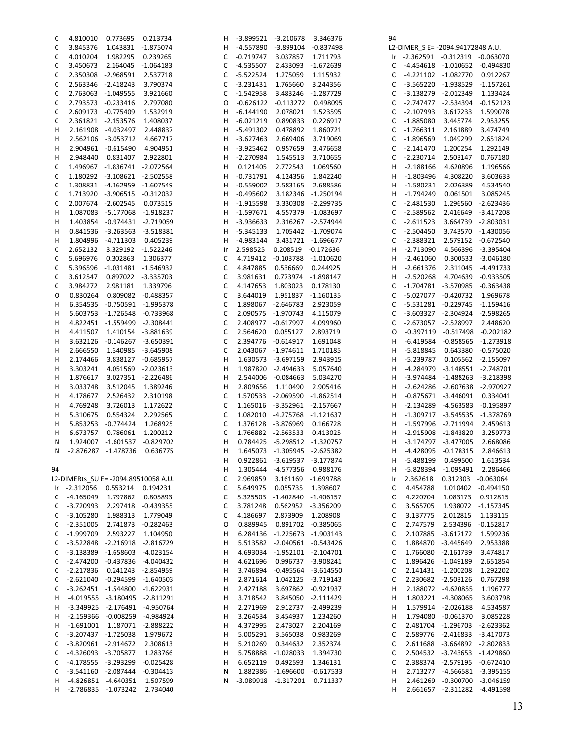| C  | 4.810010                             | 0.773695                            | 0.213734           | н  | -3.899521   | $-3.210678$                  | 3.346376                | 94 |                                   |                                   |                     |
|----|--------------------------------------|-------------------------------------|--------------------|----|-------------|------------------------------|-------------------------|----|-----------------------------------|-----------------------------------|---------------------|
| C  | 3.845376                             | 1.043831                            | -1.875074          | н  | $-4.557890$ | $-3.899104$                  | $-0.837498$             |    | L2-DIMER S E= -2094.94172848 A.U. |                                   |                     |
| C  | 4.010204                             | 1.982295                            | 0.239265           | С  | $-0.719747$ | 3.037857                     | 1.711793                |    | Ir -2.362591 -0.312319 -0.063070  |                                   |                     |
|    |                                      |                                     |                    |    |             |                              |                         |    |                                   |                                   |                     |
| C  | 3.450673                             | 2.164045                            | $-1.064183$        | С  | $-4.535507$ | 2.433093                     | $-1.672639$             | С  |                                   | -4.454618 -1.010652 -0.494830     |                     |
| C  |                                      | 2.350308 -2.968591                  | 2.537718           | С  | $-5.522524$ | 1.275059                     | 1.115932                | С  |                                   | -4.221102 -1.082770               | 0.912267            |
| C  |                                      | 2.563346 -2.418243                  | 3.790374           | С  | $-3.231431$ | 1.765660                     | 3.244356                | С  |                                   | -3.565220 -1.938529 -1.157261     |                     |
| C  |                                      | 2.763063 -1.049555                  | 3.921660           | С  | $-1.542958$ | 3.483246                     | $-1.287729$             | С  |                                   | -3.138279 -2.012349               | 1.133424            |
| С  |                                      | 2.793573 -0.233416                  | 2.797080           | O  | $-0.626122$ | -0.113272                    | 0.498095                | С  |                                   | $-2.747477 - 2.534394 - 0.152123$ |                     |
|    |                                      |                                     |                    |    |             |                              |                         |    |                                   |                                   |                     |
| C  |                                      | 2.609173 -0.775409                  | 1.532919           | н  | $-6.144190$ | 2.078021                     | 1.523595                | С  | $-2.107993$                       | 3.617233                          | 1.599078            |
| C  |                                      | 2.361821 -2.153576                  | 1.408037           | н  | $-6.021219$ | 0.890833                     | 0.226917                | С  | $-1.885080$                       | 3.445774                          | 2.953255            |
| н  |                                      | 2.161908 -4.032497                  | 2.448837           | н  | $-5.491302$ | 0.478892                     | 1.860721                | С  | $-1.766311$                       | 2.161889                          | 3.474749            |
| н  |                                      | 2.562106 -3.053712                  | 4.667717           | н  | $-3.627463$ | 2.669406                     | 3.719069                | С  | $-1.896569$                       | 1.049299                          | 2.651824            |
|    |                                      |                                     |                    |    |             |                              |                         |    |                                   |                                   |                     |
| н  |                                      | 2.904961 -0.615490                  | 4.904951           | н  | $-3.925462$ | 0.957659                     | 3.476658                | С  | $-2.141470$                       | 1.200254                          | 1.292149            |
| н  | 2.948440                             | 0.831407                            | 2.922801           | н  | $-2.270984$ | 1.545513                     | 3.710655                | С  | $-2.230714$                       | 2.503147                          | 0.767180            |
| C  |                                      | 1.496967 -1.836741 -2.072564        |                    | н  | 0.121405    | 2.772543                     | 1.069560                | н  | $-2.188166$                       | 4.620896                          | 1.196566            |
| С  |                                      | 1.180292 -3.108621 -2.502558        |                    | н  | $-0.731791$ | 4.124356                     | 1.842240                | н  | $-1.803496$                       | 4.308220                          | 3.603633            |
|    |                                      |                                     |                    |    |             |                              |                         |    |                                   |                                   |                     |
| C  |                                      | 1.308831 -4.162959 -1.607549        |                    | н  | $-0.559002$ | 2.583165                     | 2.688586                | н  | $-1.580231$                       | 2.026389                          | 4.534540            |
| C  |                                      | 1.713920 -3.906515 -0.312032        |                    | н  | $-0.495602$ | 3.182346                     | -1.250194               | н  | $-1.794249$                       | 0.061501                          | 3.085245            |
| C  |                                      | 2.007674 -2.602545                  | 0.073515           | н  | $-1.915598$ | 3.330308                     | -2.299735               | С  | $-2.481530$                       |                                   | 1.296560 -2.623436  |
| н  |                                      | 1.087083 -5.177068 -1.918237        |                    | н  | $-1.597671$ |                              | 4.557379 -1.083697      | С  | $-2.589562$                       |                                   | 2.416649 -3.417208  |
|    |                                      |                                     |                    |    |             |                              |                         |    |                                   |                                   |                     |
| H  |                                      | 1.403854 -0.974431 -2.719059        |                    | н  | $-3.936633$ |                              | 2.316267 -2.574944      | С  | $-2.611523$                       |                                   | 3.664739 -2.803031  |
| н  |                                      | 0.841536 -3.263563 -3.518381        |                    | н  | $-5.345133$ |                              | 1.705442 -1.709074      | С  | $-2.504450$                       |                                   | 3.743570 -1.430056  |
| H  |                                      | 1.804996 -4.711303 0.405239         |                    | н  | $-4.983144$ |                              | 3.431721 -1.696677      | С  | $-2.388321$                       |                                   | 2.579152 -0.672540  |
| C  | 2.652132                             |                                     | 3.329192 -1.522246 | Ir | 2.598525    | 0.208519 -0.172636           |                         | н  | $-2.713090$                       |                                   | 4.566396 -3.395404  |
| C  | 5.696976                             | 0.302863                            | 1.306377           | С  | 4.719412    | $-0.103788$                  | $-1.010620$             | н  | $-2.461060$                       |                                   | 0.300533 -3.046180  |
|    |                                      |                                     |                    |    |             |                              |                         |    |                                   |                                   |                     |
| C  | 5.396596                             | $-1.031481$ $-1.546932$             |                    | C  | 4.847885    | 0.536669                     | 0.244925                | н  | $-2.661376$                       |                                   | 2.311045 -4.491733  |
| C  | 3.612547                             |                                     | 0.897022 -3.335703 | С  | 3.981631    | 0.773974 -1.898147           |                         | н  | $-2.520268$                       |                                   | 4.704639 -0.933505  |
| C  | 3.984272                             | 2.981181                            | 1.339796           | С  | 4.147653    | 1.803023                     | 0.178130                | С  |                                   | -1.704781 -3.570985 -0.363438     |                     |
|    | 0.830264                             |                                     | 0.809082 -0.488357 | С  | 3.644019    | 1.951837                     |                         |    |                                   | -5.027077 -0.420732               | 1.969678            |
| O  |                                      |                                     |                    |    |             |                              | $-1.160135$             | С  |                                   |                                   |                     |
| н  |                                      | 6.354535 -0.750591 -1.995378        |                    | С  |             | 1.898067 -2.646783           | 2.923059                | С  |                                   | -5.531281 -0.229745 -1.159416     |                     |
| н  |                                      | 5.603753 -1.726548 -0.733968        |                    | С  |             | 2.090575 -1.970743           | 4.115079                | С  |                                   | -3.603327 -2.304924 -2.598265     |                     |
| н  |                                      | 4.822451 -1.559499                  | $-2.308441$        | C  | 2.408977    | $-0.617997$                  | 4.099960                | С  |                                   | -2.673057 -2.528997               | 2.448620            |
| н  | 4.411507                             |                                     | 1.410154 -3.881639 | С  | 2.564620    | 0.055127                     | 2.893719                | O  |                                   | -0.397119 -0.517498               | $-0.202182$         |
|    |                                      |                                     |                    |    |             |                              |                         |    |                                   |                                   |                     |
| н  | 3.632126                             | $-0.146267 -3.650391$               |                    | C  | 2.394776    | $-0.614917$                  | 1.691048                | н  |                                   | -6.419584 -0.858565               | $-1.273918$         |
| н  | 2.666550                             |                                     | 1.340985 -3.645908 | С  |             | 2.043067 -1.974611           | 1.710185                | н  | $-5.818845$                       |                                   | 0.643380 -0.575020  |
| H  | 2.174466                             |                                     | 3.838127 -0.685957 | н  | 1.630573    | $-3.697159$                  | 2.943915                | н  | -5.239787                         |                                   | 0.105562 -2.155097  |
| н  | 3.303241                             |                                     | 4.051569 -2.023613 | н  | 1.987820    | $-2.494633$                  | 5.057640                | н  | -4.284979                         |                                   | -3.148551 -2.748701 |
|    |                                      |                                     |                    |    |             |                              |                         |    |                                   |                                   |                     |
| н  | 1.876617                             |                                     | 3.027351 -2.226486 | н  | 2.544006    | $-0.084663$                  | 5.034270                | н  |                                   | -3.974484 -1.488263 -3.218398     |                     |
| н  | 3.033748                             | 3.512045                            | 1.389246           | н  | 2.809656    | 1.110490                     | 2.905416                | н  |                                   | -2.624286 -2.607638 -2.970927     |                     |
| н  | 4.178677                             | 2.526432                            | 2.310198           | С  | 1.570533    | -2.069590                    | $-1.862514$             | н  |                                   | $-0.875671 -3.446091$             | 0.334041            |
| H  | 4.769248                             | 3.726013                            | 1.172622           | С  |             | 1.165016 -3.352961           | -2.157667               | н  |                                   | $-2.134289$ $-4.563583$           | $-0.195897$         |
|    |                                      |                                     |                    |    |             |                              |                         |    |                                   |                                   |                     |
| н  | 5.310675                             | 0.554324                            | 2.292565           | С  |             | 1.082010 -4.275768           | $-1.121637$             | н  |                                   | $-1.309717 -3.545535$             | -1.378769           |
| н  | 5.853253                             | $-0.774424$                         | 1.268925           | С  |             | 1.376128 -3.876969           | 0.166728                | н  |                                   | -1.597996 -2.711994               | 2.459613            |
| H  | 6.673757                             | 0.786061                            | 1.200212           | С  |             | 1.766882 -2.563533           | 0.413025                | н  |                                   | -2.915908 -1.843820               | 3.259773            |
| N  | 1.924007                             | $-1.601537$                         | $-0.829702$        | Н  | 0.784425    | $-5.298512$                  | -1.320757               | н  |                                   | -3.174797 -3.477005               | 2.668086            |
|    |                                      | $-2.876287 - 1.478736$              |                    |    |             |                              |                         |    |                                   |                                   |                     |
| N  |                                      |                                     | 0.636775           | н  |             | 1.645073 -1.305945 -2.625382 |                         | н  |                                   | -4.428095 -0.178315               | 2.846613            |
|    |                                      |                                     |                    | н  |             | 0.922861 -3.619537 -3.177874 |                         | H, | $-5.488199$                       | 0.499500                          | 1.613534            |
| 94 |                                      |                                     |                    | н  | 1.305444    | $-4.577356$                  | 0.988176                | н  |                                   | -5.828394 -1.095491               | 2.286466            |
|    | L2-DIMERts_SU E= -2094.89510058 A.U. |                                     |                    | С  | 2.969859    | 3.161169 -1.699788           |                         | Ir | 2.362618                          | 0.312303 -0.063064                |                     |
|    | Ir -2.312056                         | 0.553214                            | 0.194231           | C  | 5.649975    | 0.055735                     | 1.398607                |    | 4.454788                          |                                   | 1.010402 -0.494150  |
|    |                                      |                                     |                    |    |             |                              |                         | С  |                                   |                                   |                     |
| C  | $-4.165049$                          | 1.797862 0.805893                   |                    | С  | 5.325503    | -1.402840 -1.406157          |                         | С  | 4.220704                          |                                   | 1.083173  0.912815  |
| C  | -3.720993                            |                                     | 2.297418 -0.439355 | С  | 3.781248    | 0.562952 -3.356209           |                         | С  | 3.565705                          | 1.938072 -1.157345                |                     |
| C  | $-3.105280$                          | 1.988313                            | 1.779049           | С  | 4.186697    | 2.873909                     | 1.208908                | С  | 3.137775                          | 2.012815                          | 1.133115            |
| C  | $-2.351005$                          | 2.741873 -0.282463                  |                    | O  | 0.889945    |                              | 0.891702 -0.385065      | С  |                                   | 2.747579 2.534396 -0.152817       |                     |
|    |                                      |                                     |                    |    |             |                              |                         |    |                                   |                                   |                     |
| C  | -1.999709                            |                                     | 2.593227 1.104950  | н  |             | 6.284136 -1.225673 -1.903143 |                         | С  |                                   | 2.107885 -3.617172 1.599236       |                     |
| C  |                                      | -3.522848 -2.216918 -2.816729       |                    | н  | 5.513582    | -2.040561 -0.543426          |                         | С  |                                   | 1.884870 -3.445649                | 2.953388            |
| C  | -3.138389 -1.658603 -4.023154        |                                     |                    | н  | 4.693034    | -1.952101 -2.104701          |                         | С  |                                   | 1.766080 -2.161739                | 3.474817            |
| C  |                                      | -2.474200 -0.437836 -4.040432       |                    | Н  | 4.621696    |                              | 0.996737 -3.908241      | C  |                                   | 1.896426 -1.049189                | 2.651854            |
|    |                                      |                                     |                    |    |             |                              |                         |    |                                   |                                   |                     |
| C  |                                      | -2.217836  0.241243  -2.854959      |                    | н  | 3.746894    |                              | $-0.495564$ $-3.614550$ | С  |                                   | 2.141431 -1.200208                | 1.292202            |
| C  |                                      | -2.621040 -0.294599 -1.640503       |                    | н  | 2.871614    |                              | 1.042125 -3.719143      | С  |                                   | 2.230682 -2.503126                | 0.767298            |
| C  |                                      | $-3.262451$ $-1.544800$ $-1.622931$ |                    | н  | 2.427188    |                              | 3.697862 -0.921937      | Н  |                                   | 2.188072 -4.620855                | 1.196777            |
| H  |                                      | -4.019555 -3.180495 -2.811291       |                    | н  | 3.718542    |                              | 3.845050 -2.111429      | н  |                                   | 1.803221 -4.308065                | 3.603798            |
|    |                                      |                                     |                    |    |             |                              |                         |    |                                   |                                   |                     |
| H  |                                      | -3.349925 -2.176491 -4.950764       |                    | н  | 2.271969    |                              | 2.912737 -2.499239      | н  |                                   | 1.579914 -2.026188                | 4.534587            |
| H  |                                      | -2.159366 -0.008259 -4.984924       |                    | н  | 3.264534    | 3.454937                     | 1.234260                | Н  |                                   | 1.794080 -0.061370                | 3.085228            |
| H  | -1.691001                            | 1.187071 -2.888222                  |                    | н  | 4.372995    | 2.473027                     | 2.204169                | C  |                                   | 2.481704 -1.296703 -2.623362      |                     |
| C  |                                      | -3.207437 -1.725038 1.979672        |                    | Н  | 5.005291    | 3.565038                     | 0.983269                | С  |                                   | 2.589776 -2.416833 -3.417073      |                     |
|    |                                      |                                     |                    |    |             |                              |                         |    |                                   |                                   |                     |
| C  |                                      | -3.820961 -2.914672 2.308613        |                    | н  | 5.210269    | 0.344632                     | 2.352374                | С  |                                   | 2.611688 -3.664892 -2.802833      |                     |
| C  |                                      | -4.326093 -3.705877                 | 1.283766           | н  | 5.758888    | $-1.028033$                  | 1.394730                | С  |                                   | 2.504532 -3.743653 -1.429860      |                     |
| C  |                                      | -4.178555 -3.293299                 | $-0.025428$        | н  | 6.652119    | 0.492593                     | 1.346131                | С  |                                   | 2.388374 -2.579195 -0.672410      |                     |
| C  |                                      | -3.541160 -2.087444 -0.304413       |                    | Ν  |             | 1.882386 -1.696600 -0.617533 |                         | н  |                                   | 2.713277 -4.566581 -3.395155      |                     |
| H  |                                      | -4.826851 -4.640351                 | 1.507599           | Ν  |             | -3.089918 -1.317201 0.711337 |                         | н  |                                   | 2.461269 -0.300700 -3.046159      |                     |
|    |                                      |                                     |                    |    |             |                              |                         |    |                                   |                                   |                     |
| H. |                                      | -2.786835 -1.073242 2.734040        |                    |    |             |                              |                         | н  |                                   | 2.661657 -2.311282 -4.491598      |                     |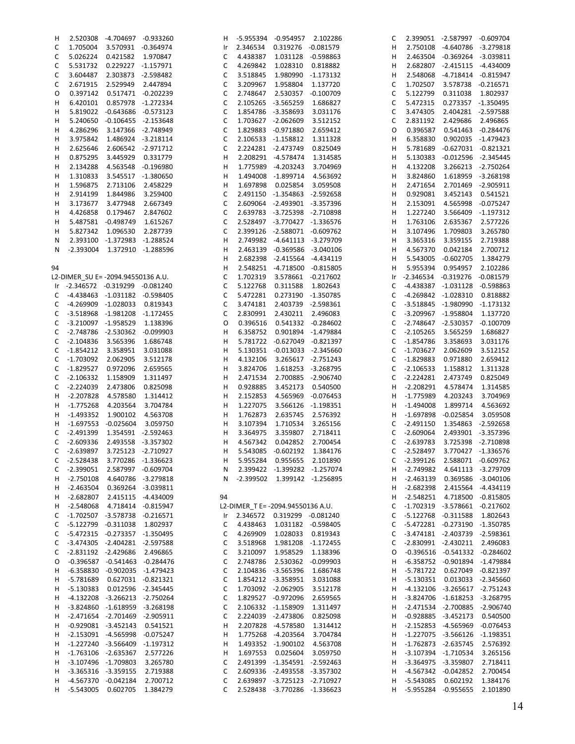| н  |                                     | 2.520308 -4.704697 -0.933260  |                    | H.           |                                   | -5.955394 -0.954957 2.102286  |                    | C  |                                | 2.399051 -2.587997 -0.609704        |                    |
|----|-------------------------------------|-------------------------------|--------------------|--------------|-----------------------------------|-------------------------------|--------------------|----|--------------------------------|-------------------------------------|--------------------|
| C  | 1.705004                            | 3.570931 -0.364974            |                    | Ir           | 2.346534                          | 0.319276 -0.081579            |                    | н  |                                | 2.750108 -4.640786 -3.279818        |                    |
| C  | 5.026224                            | 0.421582 1.970847             |                    | C            | 4.438387                          | 1.031128 -0.598863            |                    | н  |                                | 2.463504 -0.369264 -3.039811        |                    |
|    |                                     |                               |                    |              |                                   |                               |                    |    |                                |                                     |                    |
| C  | 5.531732                            | 0.229227 -1.157971            |                    | C            | 4.269842                          | 1.028310                      | 0.818882           | н  |                                | 2.682807 -2.415115 -4.434009        |                    |
| C  | 3.604487                            | 2.303873 -2.598482            |                    | C            | 3.518845                          | 1.980990                      | -1.173132          | н  |                                | 2.548068 -4.718414 -0.815947        |                    |
|    |                                     |                               |                    |              |                                   |                               |                    |    |                                |                                     |                    |
| C  | 2.671915                            | 2.529949 2.447894             |                    | С            | 3.209967                          | 1.958804                      | 1.137720           | C  | 1.702507                       |                                     | 3.578738 -0.216571 |
| 0  |                                     | 0.397142  0.517471  -0.202239 |                    | С            | 2.748647                          | 2.530357                      | $-0.100709$        | C  | 5.122799                       | 0.311038                            | 1.802937           |
|    |                                     |                               |                    |              |                                   |                               |                    |    |                                |                                     |                    |
| н  | 6.420101                            | 0.857978 -1.272334            |                    | C            |                                   | 2.105265 -3.565259            | 1.686827           | С  | 5.472315                       |                                     | 0.273357 -1.350495 |
| н  |                                     | 5.819022 -0.643686 -0.573123  |                    | C            |                                   | 1.854786 -3.358693            | 3.031176           | C  | 3.474305                       |                                     | 2.404281 -2.597588 |
|    |                                     |                               |                    |              |                                   |                               |                    |    |                                |                                     |                    |
| H  |                                     | 5.240650 -0.106455 -2.153648  |                    | С            |                                   | 1.703627 -2.062609            | 3.512152           | C  | 2.831192                       | 2.429686                            | 2.496865           |
| н  | 4.286296                            | 3.147366 -2.748949            |                    | C            |                                   | 1.829883 -0.971880            | 2.659412           | O  | 0.396587                       |                                     | 0.541463 -0.284476 |
|    |                                     |                               |                    |              |                                   |                               |                    |    |                                |                                     |                    |
| н  | 3.975842                            | 1.486924 -3.218114            |                    | C            |                                   | 2.106533 -1.158812            | 1.311328           | н  | 6.358830                       |                                     | 0.902035 -1.479423 |
| н  | 2.625646                            | 2.606542 -2.971712            |                    | C            |                                   | 2.224281 -2.473749            | 0.825049           | н  | 5.781689                       | $-0.627031 - 0.821321$              |                    |
|    |                                     |                               | 0.331779           | н            |                                   | 2.208291 -4.578474            | 1.314585           |    |                                | $-0.012596 -2.345445$               |                    |
| н  | 0.875295                            | 3.445929                      |                    |              |                                   |                               |                    | н  | 5.130383                       |                                     |                    |
| H  | 2.134288                            | 4.563548 -0.196980            |                    | Н            |                                   | 1.775989 -4.203243            | 3.704969           | н  | 4.132208                       |                                     | 3.266213 -2.750264 |
| н  | 1.310833                            | 3.545517 -1.380650            |                    | Н            |                                   | 1.494008 -1.899714            | 4.563692           | н  | 3.824860                       |                                     | 1.618959 -3.268198 |
|    |                                     |                               |                    |              |                                   |                               |                    |    |                                |                                     |                    |
| н  | 1.596875                            | 2.713106                      | 2.458229           | н            | 1.697898                          | 0.025854                      | 3.059508           | н  | 2.471654                       |                                     | 2.701469 -2.905911 |
| н  | 2.914199                            | 1.844986                      | 3.259400           | C            |                                   | 2.491150 -1.354863 -2.592658  |                    | н  | 0.929081                       | 3.452143                            | 0.541521           |
|    |                                     |                               |                    |              |                                   |                               |                    |    |                                |                                     |                    |
| н  | 3.173677                            | 3.477948                      | 2.667349           | С            |                                   | 2.609064 -2.493901 -3.357396  |                    | н  | 2.153091                       | 4.565998                            | $-0.075247$        |
| н  | 4.426858                            | 0.179467                      | 2.847602           | C            |                                   | 2.639783 -3.725398 -2.710898  |                    | н  | 1.227240                       | 3.566409                            | $-1.197312$        |
|    |                                     |                               |                    |              |                                   |                               |                    |    |                                |                                     |                    |
| н  | 5.487581                            | -0.498749                     | 1.615267           | C            |                                   | 2.528497 -3.770427 -1.336576  |                    | н  | 1.763106                       | 2.635367                            | 2.577226           |
| н  | 5.827342                            | 1.096530                      | 2.287739           | C            |                                   | 2.399126 -2.588071 -0.609762  |                    | н  | 3.107496                       | 1.709803                            | 3.265780           |
|    |                                     |                               |                    |              |                                   |                               |                    |    |                                |                                     |                    |
| N  | 2.393100                            | -1.372983                     | -1.288524          | Н            |                                   | 2.749982 -4.641113 -3.279709  |                    | H  | 3.365316                       | 3.359155                            | 2.719388           |
| N  | -2.393004 1.372910 -1.288596        |                               |                    | Н            |                                   | 2.463139 -0.369586 -3.040106  |                    | н  | 4.567370                       | 0.042184                            | 2.700712           |
|    |                                     |                               |                    |              |                                   |                               |                    |    |                                |                                     |                    |
|    |                                     |                               |                    | Н            |                                   | 2.682398 -2.415564 -4.434119  |                    | H  | 5.543005                       | $-0.602705$                         | 1.384279           |
| 94 |                                     |                               |                    | Н            |                                   | 2.548251 -4.718500 -0.815805  |                    | н  | 5.955394                       | 0.954957                            | 2.102286           |
|    |                                     |                               |                    |              |                                   |                               |                    |    |                                |                                     |                    |
|    | L2-DIMER SU E= -2094.94550136 A.U.  |                               |                    | С            | 1.702319                          | 3.578661 -0.217602            |                    | Ir | -2.346534 -0.319276            |                                     | $-0.081579$        |
|    | Ir -2.346572 -0.319299 -0.081240    |                               |                    | C            | 5.122768                          | 0.311588                      | 1.802643           | C  |                                | -4.438387 -1.031128                 | $-0.598863$        |
|    |                                     |                               |                    |              |                                   |                               |                    |    |                                |                                     |                    |
| C  | -4.438463 -1.031182 -0.598405       |                               |                    | C            | 5.472281                          | 0.273190 -1.350785            |                    | C  |                                | -4.269842 -1.028310                 | 0.818882           |
| C  | -4.269909 -1.028033 0.819343        |                               |                    | С            |                                   | 3.474181 2.403739 -2.598361   |                    | С  |                                | -3.518845 -1.980990                 | $-1.173132$        |
| C  | -3.518968 -1.981208 -1.172455       |                               |                    | С            | 2.830991                          | 2.430211                      | 2.496083           | С  |                                | -3.209967 -1.958804                 | 1.137720           |
|    |                                     |                               |                    |              |                                   |                               |                    |    |                                |                                     |                    |
| C  | -3.210097 -1.958529                 |                               | 1.138396           | O            | 0.396516                          |                               | 0.541332 -0.284602 | C  |                                | -2.748647 -2.530357                 | $-0.100709$        |
| C  | -2.748786 -2.530362 -0.099903       |                               |                    | н            | 6.358752                          |                               | 0.901894 -1.479884 | С  | $-2.105265$                    | 3.565259                            | 1.686827           |
|    |                                     |                               |                    |              |                                   |                               |                    |    |                                |                                     |                    |
| C  | $-2.104836$                         | 3.565396                      | 1.686748           | Н            |                                   | 5.781722 -0.627049 -0.821397  |                    | С  | $-1.854786$                    | 3.358693                            | 3.031176           |
| C  | -1.854212                           | 3.358951                      | 3.031088           | н            |                                   | 5.130351 -0.013033 -2.345660  |                    | C  | -1.703627                      | 2.062609                            | 3.512152           |
|    |                                     |                               |                    |              |                                   |                               |                    |    |                                |                                     |                    |
| C  | $-1.703092$                         | 2.062905                      | 3.512178           | Н            | 4.132106                          |                               | 3.265617 -2.751243 | C  | $-1.829883$                    | 0.971880                            | 2.659412           |
| C  | $-1.829527$                         | 0.972096                      | 2.659565           | Н            | 3.824706                          | 1.618253 -3.268795            |                    | C  | $-2.106533$                    | 1.158812                            | 1.311328           |
|    |                                     |                               |                    |              |                                   |                               |                    |    |                                |                                     |                    |
| C  | $-2.106332$                         | 1.158909                      | 1.311497           | н            | 2.471534                          |                               | 2.700885 -2.906740 | C  | $-2.224281$                    | 2.473749                            | 0.825049           |
| C  | $-2.224039$                         | 2.473806                      | 0.825098           | Н            | 0.928885                          | 3.452173                      | 0.540500           | н  | $-2.208291$                    | 4.578474                            | 1.314585           |
|    |                                     |                               |                    |              |                                   |                               |                    |    |                                |                                     |                    |
| H  | $-2.207828$                         | 4.578580                      | 1.314412           | н            | 2.152853                          |                               | 4.565969 -0.076453 | н  | $-1.775989$                    | 4.203243                            | 3.704969           |
| H  | $-1.775268$                         | 4.203564                      | 3.704784           | Н            | 1.227075                          |                               | 3.566126 -1.198351 | н  | $-1.494008$                    | 1.899714                            | 4.563692           |
|    |                                     |                               |                    |              |                                   |                               |                    |    |                                |                                     |                    |
| H  | $-1.493352$                         | 1.900102                      | 4.563708           | н            | 1.762873                          | 2.635745                      | 2.576392           | H  | $-1.697898$                    | $-0.025854$                         | 3.059508           |
| H  | -1.697553 -0.025604                 |                               | 3.059750           | н            | 3.107394                          | 1.710534                      | 3.265156           | С  | -2.491150                      |                                     | 1.354863 -2.592658 |
|    |                                     |                               |                    |              |                                   |                               |                    |    |                                |                                     |                    |
| C  | $-2.491399$                         |                               | 1.354591 -2.592463 | н            | 3.364975                          | 3.359807                      | 2.718411           | С  | $-2.609064$                    |                                     | 2.493901 -3.357396 |
| C  | $-2.609336$                         | 2.493558 -3.357302            |                    | н            | 4.567342                          | 0.042852                      | 2.700454           | C  | $-2.639783$                    |                                     | 3.725398 -2.710898 |
|    | C -2.639897 3.725123 -2.710927      |                               |                    | H            |                                   | 5.543085 -0.602192 1.384176   |                    |    | C -2.528497 3.770427 -1.336576 |                                     |                    |
|    |                                     |                               |                    |              |                                   |                               |                    |    |                                |                                     |                    |
| C  | -2.528438 3.770286 -1.336623        |                               |                    | H            |                                   | 5.955284  0.955655  2.101890  |                    |    | C -2.399126 2.588071 -0.609762 |                                     |                    |
| C  | -2.399051 2.587997 -0.609704        |                               |                    |              | N 2.399422 -1.399282 -1.257074    |                               |                    |    | H -2.749982                    |                                     | 4.641113 -3.279709 |
|    |                                     |                               |                    |              |                                   |                               |                    |    |                                |                                     |                    |
| H, | -2.750108 4.640786 -3.279818        |                               |                    |              | N -2.399502 1.399142 -1.256895    |                               |                    | H  | -2.463139                      |                                     | 0.369586 -3.040106 |
| Н. | -2.463504  0.369264  -3.039811      |                               |                    |              |                                   |                               |                    | H  | $-2.682398$                    |                                     | 2.415564 -4.434119 |
|    |                                     |                               |                    |              |                                   |                               |                    |    |                                |                                     |                    |
| H  | -2.682807  2.415115  -4.434009      |                               |                    | 94           |                                   |                               |                    | H  | -2.548251                      |                                     | 4.718500 -0.815805 |
| H, | -2.548068 4.718414 -0.815947        |                               |                    |              | L2-DIMER_T E= -2094.94550136 A.U. |                               |                    | C  |                                | -1.702319 -3.578661 -0.217602       |                    |
|    | $-1.702507 -3.578738 -0.216571$     |                               |                    |              | Ir 2.346572 0.319299 -0.081240    |                               |                    |    |                                | -5.122768 -0.311588 1.802643        |                    |
| C  |                                     |                               |                    |              |                                   |                               |                    | C  |                                |                                     |                    |
| C  | -5.122799 -0.311038 1.802937        |                               |                    | C            | 4.438463  1.031182  -0.598405     |                               |                    | C  |                                | -5.472281 -0.273190 -1.350785       |                    |
| C  | -5.472315 -0.273357 -1.350495       |                               |                    | C            |                                   | 4.269909 1.028033 0.819343    |                    | C  |                                | -3.474181 -2.403739 -2.598361       |                    |
|    |                                     |                               |                    |              |                                   |                               |                    |    |                                |                                     |                    |
| C  | -3.474305 -2.404281 -2.597588       |                               |                    | C            |                                   | 3.518968  1.981208  -1.172455 |                    | С  |                                | -2.830991 -2.430211 2.496083        |                    |
| C  | -2.831192 -2.429686 2.496865        |                               |                    | C            |                                   | 3.210097 1.958529 1.138396    |                    | O  |                                | $-0.396516 -0.541332 -0.284602$     |                    |
|    |                                     |                               |                    |              |                                   |                               |                    |    |                                |                                     |                    |
| O  | -0.396587 -0.541463 -0.284476       |                               |                    | C            |                                   | 2.748786 2.530362 -0.099903   |                    | H  |                                | -6.358752 -0.901894 -1.479884       |                    |
| Н, | -6.358830 -0.902035 -1.479423       |                               |                    | C            |                                   | 2.104836 -3.565396 1.686748   |                    | H  |                                | -5.781722  0.627049  -0.821397      |                    |
|    |                                     |                               |                    |              |                                   |                               |                    |    |                                |                                     |                    |
| Н. | -5.781689  0.627031  -0.821321      |                               |                    | C            |                                   | 1.854212 -3.358951 3.031088   |                    | H  | -5.130351                      |                                     | 0.013033 -2.345660 |
| H, | -5.130383  0.012596  -2.345445      |                               |                    | C            | 1.703092 -2.062905 3.512178       |                               |                    | H  |                                | -4.132106 -3.265617 -2.751243       |                    |
|    | -4.132208 -3.266213 -2.750264       |                               |                    | C            |                                   | 1.829527 -0.972096 2.659565   |                    |    |                                | -3.824706 -1.618253 -3.268795       |                    |
| H, |                                     |                               |                    |              |                                   |                               |                    | H  |                                |                                     |                    |
| Н. | $-3.824860$ $-1.618959$ $-3.268198$ |                               |                    | C            |                                   | 2.106332 -1.158909 1.311497   |                    | H  |                                | -2.471534 -2.700885 -2.906740       |                    |
| Н. | -2.471654 -2.701469 -2.905911       |                               |                    | C            |                                   | 2.224039 -2.473806 0.825098   |                    | H  |                                | -0.928885 -3.452173 0.540500        |                    |
|    |                                     |                               |                    |              |                                   |                               |                    |    |                                |                                     |                    |
| H, | -0.929081 -3.452143 0.541521        |                               |                    | H            |                                   | 2.207828 -4.578580 1.314412   |                    | H  |                                | -2.152853 -4.565969                 | $-0.076453$        |
| H, | -2.153091 -4.565998 -0.075247       |                               |                    | н            |                                   | 1.775268 -4.203564 3.704784   |                    | H  |                                | $-1.227075$ $-3.566126$ $-1.198351$ |                    |
|    |                                     |                               |                    |              |                                   |                               |                    |    |                                |                                     |                    |
| H. | $-1.227240$ $-3.566409$ $-1.197312$ |                               |                    | H            |                                   | 1.493352 -1.900102 4.563708   |                    | H  |                                | -1.762873 -2.635745                 | 2.576392           |
| H  | -1.763106 -2.635367 2.577226        |                               |                    | H            |                                   | 1.697553  0.025604  3.059750  |                    | H  |                                | -3.107394 -1.710534                 | 3.265156           |
|    |                                     |                               |                    |              |                                   |                               |                    |    |                                |                                     |                    |
| Н. | -3.107496 -1.709803 3.265780        |                               |                    | C            |                                   | 2.491399 -1.354591 -2.592463  |                    | н  |                                | -3.364975 -3.359807                 | 2.718411           |
| Н, | -3.365316 -3.359155 2.719388        |                               |                    | $\mathsf{C}$ |                                   | 2.609336 -2.493558 -3.357302  |                    |    | H -4.567342 -0.042852          |                                     | 2.700454           |
| H  | -4.567370 -0.042184 2.700712        |                               |                    | C            |                                   | 2.639897 -3.725123 -2.710927  |                    | H  | -5.543085                      | 0.602192                            | 1.384176           |
|    |                                     |                               |                    |              |                                   |                               |                    |    |                                |                                     |                    |
|    | H -5.543005 0.602705 1.384279       |                               |                    | $\mathsf{C}$ |                                   | 2.528438 -3.770286 -1.336623  |                    |    | H -5.955284 -0.955655          |                                     | 2.101890           |
|    |                                     |                               |                    |              |                                   |                               |                    |    |                                |                                     |                    |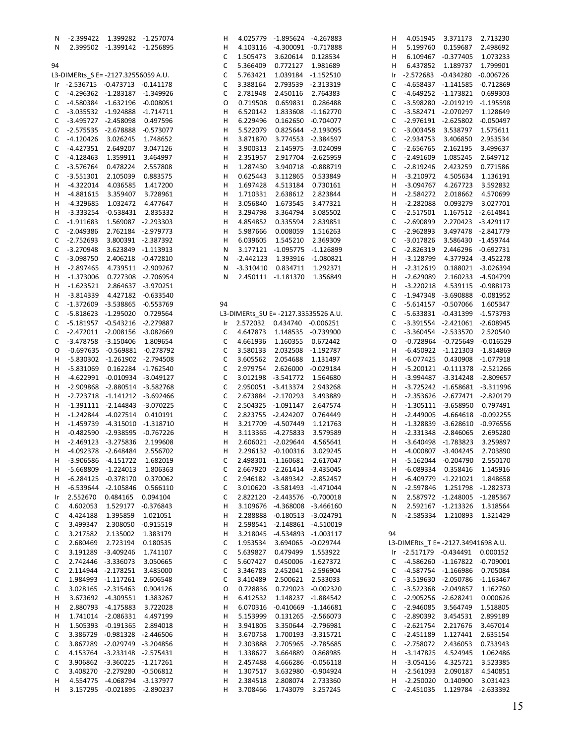| N           | -2.399422                           |                               | 1.399282 -1.257074      | н  | 4.025779    | -1.895624 -4.267883                  |                         | н                                   |
|-------------|-------------------------------------|-------------------------------|-------------------------|----|-------------|--------------------------------------|-------------------------|-------------------------------------|
| Ν           |                                     | 2.399502 -1.399142 -1.256895  |                         | н  | 4.103116    | -4.300091                            | $-0.717888$             | Н                                   |
|             |                                     |                               |                         | С  | 1.505473    | 3.620614                             | 0.128534                | н                                   |
|             |                                     |                               |                         |    |             |                                      |                         |                                     |
| 94          |                                     |                               |                         | С  | 5.366409    | 0.772127                             | 1.981689                | н<br>Е                              |
|             | L3-DIMERts_S E= -2127.32556059 A.U. |                               |                         | С  | 5.763421    | 1.039184                             | -1.152510               | $-2$<br>Ir                          |
| Ir          | -2.536715 -0.473713 -0.141178       |                               |                         | С  | 3.388164    | 2.793539                             | $-2.313319$             | $-4$<br>С                           |
| С           |                                     | -4.296362 -1.283187 -1.349926 |                         | С  | 2.781948    | 2.450116                             | 2.764383                | $\mathsf C$<br>$-4$                 |
|             |                                     |                               |                         |    |             |                                      |                         |                                     |
| С           |                                     | -4.580384 -1.632196 -0.008051 |                         | O  | 0.719508    | 0.659831                             | 0.286488                | -3<br>С                             |
| С           |                                     | -3.035532 -1.924888 -1.714711 |                         | н  | 6.520142    | 1.833608                             | $-1.162770$             | -á<br>$\mathsf C$                   |
| С           |                                     | -3.495727 -2.458098           | 0.497596                | н  | 6.229496    | 0.162650                             | $-0.704077$             | -2<br>С                             |
|             |                                     |                               |                         |    |             |                                      |                         |                                     |
| С           |                                     | -2.575535 -2.678888           | $-0.573077$             | н  | 5.522079    | 0.825644                             | -2.193095               | -ś<br>$\mathsf C$                   |
| С           | $-4.120426$                         | 3.026245                      | 1.748652                | н  | 3.871870    | 3.774553                             | $-2.384597$             | $\ddot{\phantom{a}}$<br>$\mathsf C$ |
| С           | -4.427351                           | 2.649207                      | 3.047126                | н  | 3.900313    | 2.145975                             | -3.024099               | -2<br>С                             |
| С           | $-4.128463$                         | 1.359911                      | 3.464997                | н  | 2.351957    | 2.917704                             | $-2.625959$             | -2<br>С                             |
|             |                                     |                               |                         |    |             |                                      |                         |                                     |
| С           | -3.576764                           | 0.478224                      | 2.557808                | н  | 1.287430    | 3.940718                             | $-0.888719$             | -2<br>$\mathsf C$                   |
| С           | $-3.551301$                         | 2.105039                      | 0.883575                | н  | 0.625443    | 3.112865                             | 0.533849                | Ŕ<br>н                              |
| н           | -4.322014                           | 4.036585                      | 1.417200                | н  | 1.697428    | 4.513184                             | 0.730161                | Ŕ<br>н                              |
|             |                                     |                               |                         |    |             |                                      |                         |                                     |
| н           | -4.881615                           | 3.359407                      | 3.728961                | н  | 1.710331    | 2.638612                             | 2.823844                | É,<br>н                             |
| н           | -4.329685                           | 1.032472                      | 4.477647                | н  | 3.056840    | 1.673545                             | 3.477321                | ÷,<br>н                             |
| н           | -3.333254                           | -0.538431                     | 2.835332                | н  | 3.294798    | 3.364794                             | 3.085502                | -2<br>С                             |
|             | $-1.911683$                         |                               | 1.569087 -2.293303      | н  | 4.854852    | 0.335594                             |                         | -2<br>С                             |
| С           |                                     |                               |                         |    |             |                                      | 2.839851                |                                     |
| С           | $-2.049386$                         |                               | 2.762184 -2.979773      | н  | 5.987666    | 0.008059                             | 1.516263                | -2<br>С                             |
| С           | $-2.752693$                         |                               | 3.800391 -2.387392      | н  | 6.039605    | 1.545210                             | 2.369309                | Ŕ<br>$\mathsf C$                    |
| С           | $-3.270948$                         |                               | 3.623849 -1.113913      | Ν  |             | 3.177121 -1.095775                   | $-1.126899$             | -2<br>С                             |
|             |                                     |                               |                         |    |             |                                      |                         |                                     |
| С           | $-3.098750$                         |                               | 2.406218 -0.472810      | Ν  | -2.442123   |                                      | 1.393916 -1.080821      | Ŕ<br>н                              |
| н           | -2.897465                           |                               | 4.739511 -2.909267      | Ν  | $-3.310410$ | 0.834711                             | 1.292371                | É,<br>н                             |
| н           | -1.373006                           |                               | 0.727308 -2.706954      | Ν  | 2.450111    | $-1.181370$                          | 1.356849                | ÷,<br>н                             |
|             |                                     |                               |                         |    |             |                                      |                         | Ŕ<br>н                              |
| н           | -1.623521                           |                               | 2.864637 -3.970251      |    |             |                                      |                         |                                     |
| н           | -3.814339                           |                               | 4.427182 -0.633540      |    |             |                                      |                         | $\mathsf C$<br>$-1$                 |
| С           | -1.372609                           |                               | -3.538865 -0.553769     | 94 |             |                                      |                         | -5<br>С                             |
| С           |                                     | -5.818623 -1.295020 0.729564  |                         |    |             | L3-DIMERts_SU E= -2127.33535526 A.U. |                         | -5<br>$\mathsf C$                   |
|             |                                     |                               |                         |    |             |                                      |                         |                                     |
| С           |                                     | -5.181957 -0.543216 -2.279887 |                         | Ir | 2.572032    | 0.434740 -0.006251                   |                         | Ę<br>С                              |
| С           |                                     | -2.472011 -2.008156 -3.082669 |                         | С  | 4.647873    | 1.148535                             | $-0.739900$             | Ę.<br>С                             |
| С           |                                     | -3.478758 -3.150406           | 1.809654                | С  | 4.661936    | 1.160355                             | 0.672442                | $-$ (<br>O                          |
|             |                                     |                               |                         |    |             |                                      |                         |                                     |
| O           | -0.697635                           |                               | -0.569881 -0.278792     | C  | 3.580133    | 2.032508                             | $-1.192787$             | н<br>-6                             |
| н           |                                     | -5.830302 -1.261902 -2.794508 |                         | С  | 3.605562    | 2.054688                             | 1.131497                | $-6$<br>н                           |
| н           | -5.831069                           |                               | 0.162284 -1.762540      | С  | 2.979754    | 2.626000                             | $-0.029184$             | Ķ<br>н                              |
| H           | -4.622991                           |                               | $-0.010934 -3.049127$   | С  |             | 3.012198 -3.541772                   | 1.564680                | Ŕ<br>н                              |
|             |                                     |                               |                         |    |             |                                      |                         |                                     |
| н           | -2.909868                           |                               | -2.880514 -3.582768     | С  |             | 2.950051 -3.413374                   | 2.943268                | Ŕ<br>н                              |
| H           | -2.723718                           |                               | $-1.141212$ $-3.692466$ | С  |             | 2.673884 -2.170293                   | 3.493889                | É,<br>н                             |
| Н           | -1.391111                           |                               | -2.144843 -3.070225     | С  |             | 2.504325 -1.091147                   | 2.647574                | Ŀ,<br>н                             |
|             |                                     |                               |                         |    |             |                                      |                         |                                     |
| H           | -1.242844                           | -4.027514                     | 0.410191                | С  |             | 2.823755 -2.424207                   | 0.764449                | Ŀ,<br>н                             |
| н           | -1.459739                           |                               | -4.315010 -1.318710     | н  |             | 3.217709 -4.507449                   | 1.121763                | f.<br>н                             |
| н           | -0.482590                           | $-2.938595$                   | $-0.767226$             | н  |             | 3.113365 -4.275833                   | 3.579589                | Ŀ,<br>н                             |
|             |                                     |                               |                         |    |             |                                      |                         | Ŕ                                   |
| н           | $-2.469123$                         | $-3.275836$                   | 2.199608                | н  |             | 2.606021 -2.029644                   | 4.565641                | н                                   |
| н           | -4.092378                           | $-2.648484$                   | 2.556702                | н  | 2.296132    | $-0.100316$                          | 3.029245                | н<br>$-4$                           |
| H           | -3.906586                           | $-4.151722$                   | 1.682019                | С  |             | 2.498301 -1.160681 -2.617047         |                         | $\frac{1}{2}$<br>н                  |
| H           | -5.668809                           | $-1.224013$                   | 1.806363                | С  |             | 2.667920 -2.261414                   | $-3.435045$             | н<br>-6                             |
|             |                                     |                               |                         |    |             |                                      |                         |                                     |
| н           | -6.284125                           | $-0.378170$                   | 0.370062                | С  |             | 2.946182 -3.489342                   | $-2.852457$             | $-6$<br>н                           |
| н           | -6.539644                           | $-2.105846$                   | 0.566110                | C  |             | 3.010620 -3.581493                   | $-1.471044$             | ÷,<br>Ν                             |
| Ir          | 2.552670                            | 0.484165                      | 0.094104                | С  |             | 2.822120 -2.443576                   | $-0.700018$             | N                                   |
|             |                                     |                               |                         |    |             |                                      |                         |                                     |
| С           | 4.602053                            | 1.529177                      | $-0.376843$             | н  | 3.109676    |                                      | -4.368008 -3.466160     | Ν                                   |
| С           | 4.424188                            | 1.395859                      | 1.021051                | н  | 2.288888    |                                      | $-0.180513 -3.024791$   | É,<br>Ν                             |
| С           | 3.499347                            | 2.308050                      | $-0.915519$             | н  | 2.598541    |                                      | $-2.148861 - 4.510019$  |                                     |
|             |                                     |                               |                         |    |             |                                      |                         | 94                                  |
| С           | 3.217582                            | 2.135002                      | 1.383179                | н  | 3.218045    | $-4.534893$                          | $-1.003117$             |                                     |
| С           | 2.680469                            | 2.723194                      | 0.180535                | С  | 1.953534    | 3.694065                             | $-0.029744$             | L3-DIN                              |
| С           |                                     | 3.191289 -3.409246            | 1.741107                | С  | 5.639827    | 0.479499                             | 1.553922                | $-2$<br>Ir                          |
| $\mathsf C$ |                                     | 2.742446 -3.336073            | 3.050665                | C  | 5.607427    | 0.450006                             | -1.627372               | $-4$<br>С                           |
|             |                                     |                               |                         |    |             |                                      |                         |                                     |
| С           |                                     | 2.114944 -2.178251            | 3.485000                | С  | 3.346783    | 2.452041                             | $-2.596904$             | С<br>$-4$                           |
| С           |                                     | 1.984993 -1.117261            | 2.606548                | С  | 3.410489    | 2.500621                             | 2.533033                | <sub>-3</sub><br>$\mathsf C$        |
| C           |                                     | 3.028165 -2.315463            | 0.904126                | 0  | 0.728836    | 0.729023                             | $-0.002320$             | Ŕ<br>C                              |
|             |                                     |                               |                         |    |             |                                      |                         |                                     |
| н           |                                     | 3.673692 -4.309551            | 1.383267                | н  | 6.412532    | 1.148237                             | $-1.884542$             | $\mathsf C$<br>-2                   |
| н           |                                     | 2.880793 -4.175883            | 3.722028                | н  | 6.070316    |                                      | $-0.410669$ $-1.146681$ | $\ddot{\phantom{a}}$<br>$\mathsf C$ |
| н           |                                     | 1.741014 -2.086331            | 4.497199                | н  | 5.153999    | 0.131265                             | $-2.566073$             | -2<br>С                             |
|             |                                     |                               |                         |    |             |                                      |                         | -2                                  |
| н           |                                     | 1.505393 -0.191365            | 2.894018                | н  | 3.941805    | 3.350644                             | $-2.796981$             | С                                   |
| C           |                                     | 3.386729 -0.981328 -2.446506  |                         | н  | 3.670758    | 1.700193                             | $-3.315721$             | -2<br>$\mathsf C$                   |
| С           |                                     | 3.867289 -2.029749            | $-3.204856$             | н  | 2.303888    | 2.705965                             | $-2.785685$             | -2<br>С                             |
| С           |                                     | 4.153764 -3.233148 -2.575431  |                         |    | 1.338627    |                                      |                         | Ŕ                                   |
|             |                                     |                               |                         | н  |             | 3.664889                             | 0.868985                | н                                   |
| С           |                                     | 3.906862 -3.360225 -1.217261  |                         | н  | 2.457488    | 4.666286                             | $-0.056118$             | Ŕ<br>н                              |
| С           |                                     | 3.408270 -2.279280 -0.506812  |                         | н  | 1.307517    | 3.632980                             | $-0.904924$             | ÷,<br>н                             |
| н           |                                     | 4.554775 -4.068794 -3.137977  |                         | н  | 2.384518    |                                      |                         | Ŀ,<br>н                             |
|             |                                     |                               |                         |    |             | 2.808074                             | 2.733360                |                                     |
| н           |                                     | 3.157295 -0.021895 -2.890237  |                         | н  | 3.708466    | 1.743079                             | 3.257245                | $-2$<br>C                           |

| н      | 4.051945                            | 3.371173             | 2.713230                |
|--------|-------------------------------------|----------------------|-------------------------|
| н      | 5.199760                            | 0.159687             | 2.498692                |
| н      | 6.109467                            | $-0.377405$          | 1.073233                |
| н      | 6.437852                            | 1.189737             | 1.799901                |
| Ir     | $-2.572683$                         | $-0.434280$          | $-0.006726$             |
| C      | -4.658437                           | $-1.141585$          | $-0.712869$             |
| C      | $-4.649252$                         | $-1.173821$          | 0.699303                |
| C      | $-3.598280$                         | $-2.019219$          | $-1.195598$             |
| C      | $-3.582471$                         | $-2.070297$          | 1.128649                |
| C      | -2.976191                           | $-2.625802$          | $-0.050497$             |
| C      | $-3.003458$                         | 3.538797             | 1.575611                |
|        | $-2.934753$                         |                      |                         |
| C      |                                     | 3.406850             | 2.953534                |
| C      | $-2.656765$                         | 2.162195             | 3.499637                |
| C      | $-2.491609$                         | 1.085245             | 2.649712                |
| C      | $-2.819246$                         | 2.423259             | 0.771586                |
| H      | $-3.210972$                         | 4.505634             | 1.136191                |
| Н      | $-3.094767$                         | 4.267723             | 3.592832                |
| Н      | -2.584272                           | 2.018662             | 4.570699                |
| Н      | $-2.282088$                         | 0.093279             | 3.027701                |
| C      | $-2.517501$                         | 1.167512             | $-2.614841$             |
| C      | $-2.690899$                         | 2.270423             | -3.429117               |
| C      | $-2.962893$                         | 3.497478             | $-2.841779$             |
| C      | $-3.017826$                         | 3.586430             | $-1.459744$             |
| C      | $-2.826319$                         | 2.446296             | $-0.692731$             |
|        |                                     |                      |                         |
| Н      | $-3.128799$                         | 4.377924             | $-3.452278$             |
| Н      | -2.312619                           | 0.188021             | $-3.026394$             |
| Н      | -2.629089                           | 2.160233             | -4.504799               |
| Н      | $-3.220218$                         | 4.539115             | $-0.988173$             |
| C      | $-1.947348$                         | -3.690888            | $-0.081952$             |
| C      | $-5.614157$                         | $-0.507066$          | 1.605347                |
| C      | $-5.633831$                         | $-0.431399$          | $-1.573793$             |
| C      | $-3.391554$                         | $-2.421061$          | $-2.608945$             |
| C      | $-3.360454$                         | $-2.533570$          | 2.520540                |
| O      | $-0.728964$                         | $-0.725649$          | $-0.016529$             |
|        |                                     |                      |                         |
| Н      | $-6.450922$                         | $-1.121303$          | $-1.814869$             |
| Н      | $-6.077425$                         | 0.430908             | $-1.077918$             |
| Н      | $-5.200121$                         | $-0.111378$          | $-2.521266$             |
| Н      | -3.994487                           | $-3.314248$          | $-2.809657$             |
| Н      | $-3.725242$                         | $-1.658681$          | $-3.311996$             |
| Н      | $-2.353626$                         | $-2.677471$          | $-2.820179$             |
| н      | $-1.305111$                         | $-3.658950$          | 0.797491                |
| Н      | $-2.449005$                         | $-4.664618$          | $-0.092255$             |
| H      | $-1.328839$                         | $-3.628610$          | $-0.976556$             |
| Н      | $-2.331348$                         | $-2.846065$          | 2.695280                |
| H      | $-3.640498$                         | $-1.783823$          | 3.259897                |
| н      | $-4.000807$                         | $-3.404245$          | 2.703890                |
|        |                                     |                      |                         |
| н      | $-5.162044$                         | $-0.204790$          | 2.550170                |
| н      | $-6.089334$                         | 0.358416             | 1.145916                |
| Н      | $-6.409779$                         | $-1.221021$          | 1.848658                |
| N      | $-2.597846$                         | 1.251798             | $-1.282373$             |
| Ν      | 2.587972                            | $-1.248005$          | $-1.285367$             |
| Ν      | 2.592167                            | $-1.213326$          | 1.318564                |
| N      | $-2.585334$                         | 1.210893             | 1.321429                |
|        |                                     |                      |                         |
| 94     |                                     |                      |                         |
|        | L3-DIMERts T E= -2127.34941698 A.U. |                      |                         |
| Ir     | $-2.517179$                         | $-0.434491$          | 0.000152                |
|        | $-4.586260$                         | $-1.167822$          | $-0.709001$             |
| С      |                                     |                      |                         |
| C      | $-4.587754$                         | $-1.166986$          | 0.705084                |
| C      | $-3.519630$                         | $-2.050786$          | $-1.163467$             |
| C      | $-3.522368$                         | $-2.049857$          | 1.162760                |
| C      | $-2.905256$                         | $-2.628241$          | 0.000626                |
| C      | $-2.946085$                         | 3.564749             | 1.518805                |
| C      | $-2.890392$                         | 3.454531             | 2.899189                |
| C      | $-2.621754$                         | 2.217676             | 3.467014                |
| C      | $-2.451189$                         | 1.127441             | 2.635154                |
| C      | $-2.758072$                         | 2.436053             | 0.733943                |
| Н      | $-3.147825$                         | 4.524945             | 1.062486                |
|        |                                     |                      |                         |
| Н      | $-3.054156$                         | 4.325721             | 3.523385                |
| н      | $-2.561093$                         | 2.090187             | 4.540851                |
|        |                                     |                      |                         |
| н<br>C | $-2.250020$<br>$-2.451035$          | 0.140900<br>1.129784 | 3.031423<br>$-2.633392$ |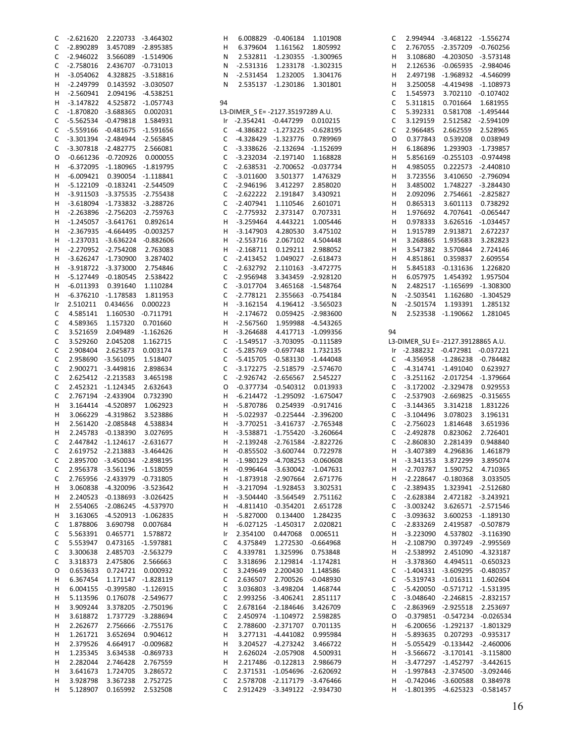| С           | $-2.621620$ | 2.220733    | $-3.464302$ | н           | 6.008829                          | $-0.406184$ | 1.101908    |
|-------------|-------------|-------------|-------------|-------------|-----------------------------------|-------------|-------------|
| C           | $-2.890289$ | 3.457089    | $-2.895385$ | н           | 6.379604                          | 1.161562    | 1.805992    |
| C           | $-2.946022$ | 3.566089    | $-1.514906$ | Ν           | 2.532811                          | $-1.230355$ | $-1.300965$ |
|             |             |             |             |             |                                   |             |             |
| C           | $-2.758016$ | 2.436707    | $-0.731013$ | Ν           | $-2.531316$                       | 1.233178    | $-1.302315$ |
| н           | $-3.054062$ | 4.328825    | $-3.518816$ | Ν           | $-2.531454$                       | 1.232005    | 1.304176    |
|             |             |             | $-3.030507$ |             |                                   |             | 1.301801    |
| н           | $-2.249799$ | 0.143592    |             | N           | 2.535137                          | $-1.230186$ |             |
| Н           | $-2.560941$ | 2.094196    | $-4.538251$ |             |                                   |             |             |
| н           | $-3.147822$ | 4.525872    | $-1.057743$ | 94          |                                   |             |             |
|             |             |             |             |             |                                   |             |             |
| С           | $-1.870820$ | $-3.688365$ | 0.002031    |             | L3-DIMER S E= -2127.35197289 A.U. |             |             |
| C           | $-5.562534$ | $-0.479818$ | 1.584931    | Ir          | $-2.354241$                       | $-0.447299$ | 0.010215    |
|             |             |             |             |             |                                   |             |             |
| C           | $-5.559166$ | $-0.481675$ | $-1.591656$ | С           | -4.386822                         | $-1.273225$ | $-0.628195$ |
| C           | $-3.301394$ | $-2.484944$ | $-2.565845$ | С           | -4.328429                         | $-1.323776$ | 0.789969    |
| $\mathsf C$ | $-3.307818$ | $-2.482775$ | 2.566081    | $\mathsf C$ | $-3.338626$                       | $-2.132694$ | $-1.152699$ |
|             |             |             |             |             |                                   |             |             |
| 0           | $-0.661236$ | $-0.720926$ | 0.000055    | $\mathsf C$ | $-3.232034$                       | $-2.197140$ | 1.168828    |
| Н           | $-6.372095$ | $-1.180965$ | $-1.819795$ | $\mathsf C$ | $-2.638531$                       | $-2.700652$ | $-0.037734$ |
|             |             |             |             |             |                                   |             |             |
| Н           | $-6.009421$ | 0.390054    | $-1.118841$ | $\mathsf C$ | $-3.011600$                       | 3.501377    | 1.476329    |
| Н           | $-5.122109$ | $-0.183241$ | $-2.544509$ | $\mathsf C$ | $-2.946196$                       | 3.412297    | 2.858020    |
|             |             |             |             |             |                                   |             |             |
| н           | $-3.911503$ | $-3.375535$ | $-2.755438$ | $\mathsf C$ | $-2.622222$                       | 2.191847    | 3.430921    |
| Н           | $-3.618094$ | $-1.733832$ | $-3.288726$ | $\mathsf C$ | $-2.407941$                       | 1.110546    | 2.601071    |
| Η           | $-2.263896$ | $-2.756203$ | $-2.759763$ | $\mathsf C$ | $-2.775932$                       | 2.373147    | 0.707331    |
|             |             |             |             |             |                                   |             |             |
| н           | $-1.245057$ | $-3.641761$ | 0.892614    | н           | $-3.259464$                       | 4.443221    | 1.005446    |
| Н           | $-2.367935$ | $-4.664495$ | $-0.003257$ | н           | $-3.147903$                       | 4.280530    | 3.475102    |
|             |             |             | $-0.882606$ |             |                                   |             |             |
| Η           | $-1.237031$ | $-3.636224$ |             | н           | $-2.553716$                       | 2.067102    | 4.504448    |
| Н           | -2.270952   | $-2.754208$ | 2.763083    | н           | $-2.168711$                       | 0.129211    | 2.988052    |
| Н           | $-3.626247$ | -1.730900   | 3.287402    | С           | $-2.413452$                       | 1.049027    | $-2.618473$ |
|             |             |             |             |             |                                   |             |             |
| н           | $-3.918722$ | $-3.373000$ | 2.754846    | $\mathsf C$ | $-2.632792$                       | 2.110163    | $-3.472775$ |
| Н           | $-5.127449$ | $-0.180545$ | 2.538422    | С           | $-2.956948$                       | 3.343459    | $-2.928120$ |
|             |             |             |             |             |                                   |             |             |
| Η           | $-6.011393$ | 0.391640    | 1.110284    | С           | $-3.017704$                       | 3.465168    | $-1.548764$ |
| н           | $-6.376210$ | $-1.178583$ | 1.811953    | $\mathsf C$ | $-2.778121$                       | 2.355663    | $-0.754184$ |
| Ir          | 2.510211    | 0.434656    | 0.000223    | н           | $-3.162154$                       | 4.196412    | $-3.565023$ |
|             |             |             |             |             |                                   |             |             |
| С           | 4.585141    | 1.160530    | $-0.711791$ | н           | $-2.174672$                       | 0.059425    | $-2.983600$ |
| $\mathsf C$ | 4.589365    | 1.157320    | 0.701660    | н           | $-2.567560$                       | 1.959988    | $-4.543265$ |
|             |             |             |             |             |                                   |             |             |
| C           | 3.521659    | 2.049489    | $-1.162626$ | н           | $-3.264688$                       | 4.417713    | $-1.099356$ |
| $\mathsf C$ | 3.529260    | 2.045208    | 1.162715    | $\mathsf C$ | -1.549517                         | $-3.703095$ | $-0.111589$ |
| C           | 2.908404    | 2.625873    | 0.003174    | $\mathsf C$ | $-5.285769$                       | $-0.697748$ | 1.732135    |
|             |             |             |             |             |                                   |             |             |
| $\mathsf C$ | 2.958690    | $-3.561095$ | 1.518407    | $\mathsf C$ | $-5.415705$                       | $-0.583130$ | $-1.444048$ |
| C           | 2.900271    | $-3.449816$ | 2.898634    | $\mathsf C$ | $-3.172275$                       | $-2.518579$ | $-2.574670$ |
|             |             |             |             |             |                                   |             |             |
| C           | 2.625412    | $-2.213583$ | 3.465198    | $\mathsf C$ | $-2.926742$                       | $-2.656567$ | 2.545227    |
| C           | 2.452321    | $-1.124345$ | 2.632643    | O           | $-0.377734$                       | $-0.540312$ | 0.013933    |
| $\mathsf C$ | 2.767194    | $-2.433904$ | 0.732390    | н           | $-6.214472$                       | $-1.295092$ | $-1.675047$ |
|             |             |             |             |             |                                   |             |             |
| н           | 3.164414    | -4.520897   | 1.062923    | н           | $-5.870786$                       | 0.254939    | $-0.917416$ |
| Н           | 3.066229    | -4.319862   | 3.523886    | н           | -5.022937                         | $-0.225444$ | $-2.396200$ |
|             |             |             |             |             |                                   |             |             |
| Н           | 2.561420    | $-2.085848$ | 4.538834    | н           | -3.770251                         | $-3.416737$ | $-2.765348$ |
| н           | 2.245783    | $-0.138390$ | 3.027695    | н           | $-3.538871$                       | $-1.755420$ | $-3.260664$ |
| $\mathsf C$ | 2.447842    | $-1.124617$ | $-2.631677$ | н           | $-2.139248$                       | $-2.761584$ | $-2.822726$ |
|             |             |             |             |             |                                   |             |             |
| C           | 2.619752    | $-2.213883$ | $-3.464426$ | H           | $-0.855502$                       | $-3.600744$ | 0.722978    |
| С           | 2.895700    | $-3.450034$ | $-2.898195$ | н           | $-1.980129$                       | $-4.708253$ | $-0.060608$ |
|             |             |             |             |             |                                   |             |             |
| C           | 2.956378    | $-3.561196$ | $-1.518059$ | н           | $-0.996464$                       | $-3.630042$ | $-1.047631$ |
| С           | 2.765956    | $-2.433979$ | $-0.731805$ | Н           | $-1.873918$                       | $-2.907664$ | 2.671776    |
| Н           | 3.060838    | $-4.320096$ | $-3.523642$ | н           | $-3.217094$                       | $-1.928453$ | 3.302531    |
|             |             |             |             |             |                                   |             |             |
| Н           | 2.240523    | $-0.138693$ | $-3.026425$ | н           | $-3.504440$                       | $-3.564549$ | 2.751162    |
| Н           | 2.554065    | -2.086245   | -4.537970   | н           | -4.811410                         | $-0.354201$ | 2.651728    |
|             |             |             |             |             |                                   |             |             |
| Н           | 3.163065    | $-4.520913$ | $-1.062835$ | н           | $-5.827000$                       | 0.134400    | 1.284235    |
| С           | 1.878806    | 3.690798    | 0.007684    | н           | $-6.027125$                       | $-1.450317$ | 2.020821    |
| С           | 5.563391    | 0.465771    | 1.578872    | Ir          | 2.354100                          | 0.447068    | 0.006511    |
|             |             |             |             |             |                                   |             |             |
| С           | 5.553947    | 0.473165    | $-1.597881$ | С           | 4.375849                          | 1.272530    | $-0.664968$ |
| $\mathsf C$ | 3.300638    | 2.485703    | $-2.563279$ | С           | 4.339781                          | 1.325996    | 0.753848    |
|             |             |             |             |             |                                   |             |             |
| С           | 3.318373    | 2.475806    | 2.566663    | $\mathsf C$ | 3.318696                          | 2.129814    | $-1.174281$ |
| O           | 0.653633    | 0.724721    | 0.000932    | $\mathsf C$ | 3.249649                          | 2.200430    | 1.148586    |
| Н           | 6.367454    | 1.171147    | $-1.828119$ | $\mathsf C$ | 2.636507                          | 2.700526    | $-0.048930$ |
|             |             |             |             |             |                                   |             |             |
| н           | 6.004155    | $-0.399580$ | $-1.126915$ | $\mathsf C$ | 3.036803                          | $-3.498204$ | 1.468744    |
| Н           | 5.113596    | 0.176078    | $-2.549677$ | $\mathsf C$ | 2.993256                          | $-3.406241$ | 2.851117    |
|             |             |             |             |             |                                   |             |             |
| н           | 3.909244    | 3.378205    | $-2.750196$ | $\mathsf C$ | 2.678164                          | $-2.184646$ | 3.426709    |
| н           | 3.618872    | 1.737729    | $-3.288694$ | $\mathsf C$ | 2.450974                          | $-1.104972$ | 2.598285    |
|             |             |             |             |             |                                   |             |             |
| н           | 2.262677    | 2.756666    | $-2.755176$ | $\mathsf C$ | 2.788600                          | $-2.371707$ | 0.701135    |
| н           | 1.261721    | 3.652694    | 0.904612    | н           | 3.277131                          | $-4.441082$ | 0.995984    |
| н           | 2.379526    | 4.664917    | $-0.009682$ | н           | 3.204527                          | $-4.273242$ | 3.466722    |
|             |             |             |             |             |                                   |             |             |
| н           | 1.235345    | 3.634538    | -0.869733   | н           | 2.626024                          | $-2.057908$ | 4.500931    |
| н           | 2.282044    | 2.746428    | 2.767559    | н           | 2.217486                          | $-0.122813$ | 2.986679    |
|             |             |             |             |             |                                   |             |             |
| н           | 3.641673    | 1.724705    | 3.286572    | С           | 2.371531                          | $-1.054696$ | $-2.620692$ |
| н           | 3.928798    | 3.367238    | 2.752725    | С           | 2.578708                          | $-2.117179$ | -3.476466   |
| н           | 5.128907    | 0.165992    | 2.532508    | $\mathsf C$ | 2.912429                          | $-3.349122$ | -2.934730   |
|             |             |             |             |             |                                   |             |             |

| C            | 2.994944                           | -3.468122   | $-1.556274$ |
|--------------|------------------------------------|-------------|-------------|
| C            | 2.767055                           | -2.357209   | $-0.760256$ |
| н            | 3.108680                           | $-4.203050$ | $-3.573148$ |
| н            | 2.126536                           | $-0.065935$ | $-2.984046$ |
| н            | 2.497198                           | $-1.968932$ | -4.546099   |
| н            | 3.250058                           | -4.419498   | $-1.108973$ |
| С            | 1.545973                           | 3.702110    | $-0.107402$ |
| C            | 5.311815                           | 0.701664    | 1.681955    |
| C            | 5.392331                           | 0.581708    | $-1.495444$ |
| C            | 3.129159                           | 2.512582    | -2.594109   |
| C            | 2.966485                           | 2.662559    | 2.528965    |
| O            | 0.377843                           | 0.539208    | 0.038949    |
| н            | 6.186896                           | 1.293903    | $-1.739857$ |
| н            | 5.856169                           | $-0.255103$ | $-0.974498$ |
| н            | 4.985055                           | 0.222573    | $-2.440810$ |
| н            | 3.723556                           | 3.410650    | -2.796094   |
| н            | 3.485002                           | 1.748227    | $-3.284430$ |
| н            | 2.092096                           | 2.754661    | $-2.825827$ |
| н            | 0.865313                           | 3.601113    | 0.738292    |
| н            | 1.976692                           | 4.707641    | $-0.065447$ |
| н            | 0.978333                           | 3.626516    | $-1.034457$ |
| н            | 1.915789                           | 2.913871    | 2.672237    |
| н            | 3.268865                           | 1.935683    | 3.282823    |
| н            | 3.547382                           | 3.570844    | 2.724146    |
| н            | 4.851861                           | 0.359837    | 2.609554    |
| н            | 5.845183                           | $-0.131636$ | 1.226820    |
| н            | 6.057975                           | 1.454392    | 1.957504    |
| N            | 2.482517                           | $-1.165699$ | $-1.308300$ |
| N            | $-2.503541$                        | 1.162680    | $-1.304529$ |
| N            | $-2.501574$                        | 1.193391    | 1.285132    |
| N            | 2.523538                           | $-1.190662$ | 1.281045    |
|              |                                    |             |             |
| 94           |                                    |             |             |
|              | L3-DIMER SU E= -2127.39128865 A.U. |             |             |
| Ir           | $-2.388232$                        | $-0.472981$ | $-0.037221$ |
| C            | $-4.356958$                        | $-1.286238$ | $-0.784482$ |
|              |                                    |             |             |
| $\mathsf{C}$ | -4.314741                          | $-1.491040$ | 0.623927    |
| C            | $-3.251162$                        | $-2.017254$ | $-1.379664$ |
| C            | $-3.172002$                        | $-2.329478$ | 0.929553    |
| C            | $-2.537903$                        | $-2.669825$ | $-0.315655$ |
| C            | $-3.144365$                        | 3.314218    | 1.831226    |
| C            | $-3.104496$                        | 3.078023    | 3.196131    |
| C            | $-2.756023$                        | 1.814648    | 3.651936    |
| C            | $-2.492878$                        | 0.823062    | 2.726401    |
| C            | $-2.860830$                        | 2.281439    | 0.948840    |
| Н            | $-3.407389$                        | 4.296836    | 1.461879    |
| н            | $-3.341353$                        | 3.872299    | 3.895074    |
| н            | $-2.703787$                        | 1.590752    | 4.710365    |
| н            | $-2.228647$                        | $-0.180368$ | 3.033505    |
| C            | $-2.389435$                        | 1.323941    | $-2.512680$ |
| C            | $-2.628384$                        | 2.472182    | $-3.243921$ |
| C            | $-3.003242$                        | 3.626571    | $-2.571546$ |
| C            | -3.093632                          | 3.600253    | $-1.189130$ |
| C            | -2.833269                          | 2.419587    | $-0.507879$ |
| н            | $-3.223090$                        | 4.537802    | $-3.116390$ |
| н            | $-2.108790$                        | 0.397249    | -2.995569   |
| н            | $-2.538992$                        | 2.451090    | $-4.323187$ |
| н            | -3.378360                          | 4.494511    | $-0.650323$ |
| C            | $-1.404331$                        | $-3.609295$ | $-0.480357$ |
| C            | $-5.319743$                        | $-1.016311$ | 1.602604    |
| C            | $-5.420050$                        | $-0.571712$ | $-1.531395$ |
| C            | $-3.048640$                        | $-2.246815$ | $-2.832157$ |
| C            | -2.863969                          | $-2.925518$ | 2.253697    |
| O            | $-0.379851$                        | $-0.547234$ | $-0.026534$ |
| н            | $-6.200656$                        | $-1.292137$ | $-1.801329$ |
| н            | -5.893635                          | 0.207293    | $-0.935317$ |
| н            | $-5.055429$                        | $-0.133442$ | $-2.460006$ |
| н            | $-3.566672$                        | $-3.170141$ | $-3.115800$ |
| н            | $-3.477297$                        | $-1.452797$ | $-3.442615$ |
| н            | $-1.997843$                        | $-2.374500$ | $-3.092446$ |
| н            | $-0.742046$                        | $-3.600588$ | 0.384978    |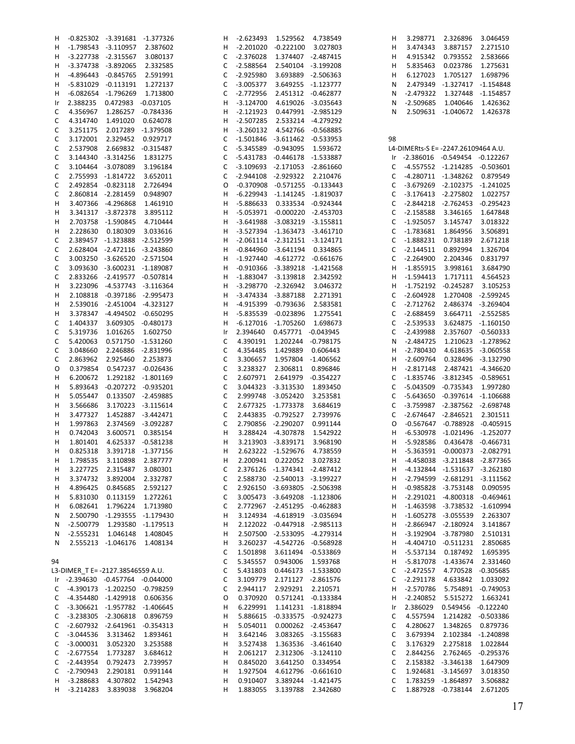| H  |                                   | -0.825302 -3.391681 -1.377326 |                    | H  |                                |                                     |                    | H  |                                     | 3.298771 2.326896             | 3.046459           |
|----|-----------------------------------|-------------------------------|--------------------|----|--------------------------------|-------------------------------------|--------------------|----|-------------------------------------|-------------------------------|--------------------|
| н  |                                   | -1.798543 -3.110957 2.387602  |                    | н  |                                | -2.201020 -0.222100 3.027803        |                    | н  | 3.474343                            | 3.887157                      | 2.271510           |
| н  |                                   | -3.227738 -2.315567 3.080137  |                    |    | C -2.376028 1.374407 -2.487415 |                                     |                    | н  | 4.915342                            | 0.793552                      | 2.583666           |
|    |                                   |                               |                    |    |                                |                                     |                    |    |                                     |                               |                    |
| H  |                                   | -3.374738 -3.892065 2.332585  |                    | C  |                                | -2.588564  2.540104  -3.199208      |                    | н  | 5.835463                            | 0.023786                      | 1.275631           |
| н  |                                   | -4.896443 -0.845765           | 2.591991           | C  | $-2.925980$                    |                                     | 3.693889 -2.506363 | н  | 6.127023                            | 1.705127                      | 1.698796           |
| н  |                                   | -5.831029 -0.113191           | 1.272137           | С  | -3.005377                      |                                     | 3.649255 -1.123777 | N  |                                     | 2.479349 -1.327417 -1.154848  |                    |
| н  |                                   | -6.082654 -1.796269 1.713800  |                    | С  | -2.772956                      |                                     | 2.451312 -0.462877 | N  |                                     | -2.479322 1.327448 -1.154857  |                    |
| Ir | 2.388235                          | 0.472983 -0.037105            |                    | н  | $-3.124700$                    | 4.619026 -3.035643                  |                    | N  |                                     | -2.509685 1.040646            | 1.426362           |
|    |                                   |                               |                    |    |                                |                                     |                    |    |                                     |                               |                    |
| C  | 4.356967                          | 1.286257 -0.784336            |                    | н  |                                | -2.121923  0.447991  -2.985129      |                    | N  |                                     | 2.509631 -1.040672            | 1.426378           |
| C  | 4.314740                          | 1.491020                      | 0.624078           | н  |                                | -2.507285  2.533214  -4.279292      |                    |    |                                     |                               |                    |
| C  | 3.251175                          | 2.017289 -1.379508            |                    | н  |                                | -3.260132  4.542766  -0.568885      |                    |    |                                     |                               |                    |
| C  | 3.172001                          | 2.329452 0.929717             |                    | C  |                                | $-1.501846 -3.611462 -0.533953$     |                    | 98 |                                     |                               |                    |
|    |                                   |                               |                    |    |                                |                                     |                    |    |                                     |                               |                    |
| C  | 2.537908                          | 2.669832 -0.315487            |                    | C  |                                | -5.345589 -0.943095 1.593672        |                    |    | L4-DIMERts-S E= -2247.26109464 A.U. |                               |                    |
| C  |                                   | 3.144340 -3.314256            | 1.831275           | С  |                                | -5.431783 -0.446178 -1.533887       |                    |    | Ir -2.386016 -0.549454 -0.122267    |                               |                    |
| C  |                                   | 3.104464 -3.078089 3.196184   |                    | C  |                                | $-3.109693$ $-2.171053$ $-2.861660$ |                    | C  | -4.557552 -1.214285 -0.503601       |                               |                    |
| C  |                                   | 2.755993 -1.814722            | 3.652011           | C  |                                | -2.944108 -2.929322 2.210476        |                    | C  |                                     | -4.280711 -1.348262 0.879549  |                    |
| C  |                                   | 2.492854 -0.823118            | 2.726494           | 0  |                                | $-0.370908$ $-0.571255$ $-0.133443$ |                    | C  |                                     | -3.679269 -2.102375 -1.241025 |                    |
|    |                                   |                               |                    |    |                                |                                     |                    |    |                                     |                               |                    |
| C  |                                   | 2.860814 -2.281459 0.948907   |                    | н  |                                | -6.229943 -1.141245 -1.819037       |                    | C  |                                     | -3.176413 -2.275802           | 1.022757           |
| н  |                                   | 3.407366 -4.296868            | 1.461910           | H  |                                | -5.886633  0.333534  -0.924344      |                    | C  |                                     | -2.844218 -2.762453 -0.295423 |                    |
| н  |                                   | 3.341317 -3.872378 3.895112   |                    | н  |                                | -5.053971 -0.000220 -2.453703       |                    | C  | -2.158588                           | 3.346165                      | 1.647848           |
| н  |                                   | 2.703758 -1.590845 4.710444   |                    | н  |                                | -3.641988 -3.083219 -3.155811       |                    | C  | $-1.925057$                         | 3.145747                      | 3.018322           |
| н  |                                   | 2.228630  0.180309  3.033616  |                    | н  |                                | -3.527394 -1.363473 -3.461710       |                    | C  | -1.783681                           | 1.864956                      | 3.506891           |
|    |                                   |                               |                    |    |                                |                                     |                    |    |                                     |                               |                    |
| C  |                                   | 2.389457 -1.323888 -2.512599  |                    | н  |                                | $-2.061114$ $-2.312151$ $-3.124171$ |                    | C  | $-1.888231$                         | 0.738189                      | 2.671218           |
| C  |                                   | 2.628404 -2.472116 -3.243860  |                    | H  |                                | $-0.844960 -3.641194 0.334865$      |                    | C  | -2.144511                           | 0.892994                      | 1.326704           |
| C  |                                   | 3.003250 -3.626520 -2.571504  |                    | H  |                                | $-1.927440$ $-4.612772$ $-0.661676$ |                    | C  | $-2.264900$                         | 2.204346                      | 0.831797           |
| C  |                                   | 3.093630 -3.600231 -1.189087  |                    | н  |                                | $-0.910366$ $-3.389218$ $-1.421568$ |                    | H  | $-1.855915$                         | 3.998161                      | 3.684790           |
|    |                                   |                               |                    |    |                                |                                     |                    |    |                                     |                               |                    |
| C  |                                   | 2.833266 -2.419577 -0.507814  |                    | H  |                                | -1.883047 -3.139818 2.342592        |                    | н  | $-1.594413$                         | 1.717111                      | 4.564523           |
| н  |                                   | 3.223096 -4.537743 -3.116364  |                    | н  |                                | -3.298770 -2.326942 3.046372        |                    | H  |                                     | -1.752192 -0.245287           | 3.105253           |
| н  |                                   | 2.108818 -0.397186 -2.995473  |                    | н  |                                | -3.474334 -3.887188 2.271391        |                    | C  | $-2.604928$                         |                               | 1.270408 -2.599245 |
| н  |                                   | 2.539016 -2.451004 -4.323127  |                    | н  |                                | -4.915399 -0.793636 2.583581        |                    | C  | -2.712762                           |                               | 2.486374 -3.269404 |
| н  |                                   | 3.378347 -4.494502 -0.650295  |                    | H  |                                | -5.835539 -0.023896 1.275541        |                    | C  | -2.688459                           |                               | 3.664711 -2.552585 |
|    |                                   |                               |                    |    |                                |                                     |                    |    |                                     |                               |                    |
| C  | 1.404337                          | 3.609305 -0.480173            |                    | н  |                                | -6.127016 -1.705260 1.698673        |                    | C  | $-2.539533$                         |                               | 3.624875 -1.160150 |
| C  | 5.319736                          | 1.016265 1.602750             |                    | Ir | 2.394640                       | 0.457771 -0.043945                  |                    | C  | $-2.439988$                         |                               | 2.357607 -0.560333 |
| C  | 5.420063                          | 0.571750 -1.531260            |                    | C  |                                | 4.390191  1.202244  -0.798175       |                    | N  | $-2.484725$                         |                               | 1.210623 -1.278962 |
| C  | 3.048660                          | 2.246886 -2.831996            |                    | C  |                                | 4.354485 1.429889                   | 0.606443           | н  | -2.780430                           |                               | 4.618635 -3.060558 |
|    |                                   |                               |                    |    |                                |                                     |                    |    |                                     |                               |                    |
| C  | 2.863962                          | 2.925460 2.253873             |                    | C  |                                | 3.306657 1.957804 -1.406562         |                    | H  | -2.609764                           |                               | 0.328496 -3.132790 |
| O  | 0.379854                          | 0.547237 -0.026436            |                    | C  |                                | 3.238327 2.306811                   | 0.896846           | H  | $-2.817148$                         |                               | 2.487421 -4.346620 |
| н  | 6.200672                          | 1.292182 -1.801169            |                    | C  |                                | 2.607971 2.641979 -0.354227         |                    | C  |                                     | -1.835746 -3.812345 -0.589651 |                    |
| н  | 5.893643                          | -0.207272 -0.935201           |                    | C  |                                | 3.044323 -3.313530 1.893450         |                    | C  |                                     | -5.043509 -0.735343           | 1.997280           |
| н  | 5.055447                          |                               | 0.133507 -2.459885 | C  |                                | 2.999748 -3.052420 3.253581         |                    | C  |                                     | -5.643650 -0.397614 -1.106688 |                    |
|    |                                   |                               |                    |    |                                |                                     |                    |    |                                     |                               |                    |
| н  | 3.566686                          |                               | 3.170223 -3.115614 | C  |                                | 2.677325 -1.773378 3.684619         |                    | C  |                                     | -3.759987 -2.387562 -2.698748 |                    |
| н  | 3.477327                          |                               | 1.452887 -3.442471 | C  |                                | 2.443835 -0.792527                  | 2.739976           | C  |                                     | -2.674647 -2.846521 2.301511  |                    |
| н  | 1.997863                          |                               | 2.374569 -3.092287 | C  |                                | 2.790856 -2.290207                  | 0.991144           | 0  |                                     | -0.567647 -0.788928 -0.405915 |                    |
| н  | 0.742043                          |                               | 3.600571 0.385154  | н  |                                | 3.288424 -4.307878 1.542922         |                    | H  |                                     | -6.530978 -1.021496 -1.252077 |                    |
| н  | 1.801401                          |                               | 4.625337 -0.581238 | н  |                                | 3.213903 -3.839171                  | 3.968190           | H  | -5.928586                           |                               | 0.436478 -0.466731 |
|    |                                   |                               |                    |    |                                |                                     |                    |    |                                     |                               |                    |
| н  | 0.825318                          |                               | 3.391718 -1.377156 | H  |                                | 2.623222 -1.529676                  | 4.738559           | H  |                                     | -5.363591 -0.000373 -2.082791 |                    |
| н  | 1.798535                          | 3.110898                      | 2.387777           | H  |                                | 2.200941  0.222052  3.027832        |                    | H. |                                     | -4.458038 -3.211848 -2.877365 |                    |
| н  | 3.227725                          | 2.315487                      | 3.080301           | C  |                                | 2.376126 -1.374341 -2.487412        |                    | H  |                                     | -4.132844 -1.531637 -3.262180 |                    |
| Н  | 3.374732                          | 3.892004                      | 2.332787           | С  |                                | 2.588730 -2.540013 -3.199227        |                    |    | H -2.794599 -2.681291 -3.111562     |                               |                    |
|    | 4.896425                          | 0.845685                      | 2.592127           | С  |                                | 2.926150 -3.693805 -2.506398        |                    |    |                                     | -0.985828 -3.753148           | 0.090595           |
| Н  |                                   |                               |                    |    |                                |                                     |                    | H  |                                     |                               |                    |
| н  | 5.831030                          | 0.113159                      | 1.272261           | С  |                                | 3.005473 -3.649208 -1.123806        |                    | H  |                                     | -2.291021 -4.800318 -0.469461 |                    |
| н  | 6.082641                          | 1.796224                      | 1.713980           | C  |                                | 2.772967 -2.451295 -0.462883        |                    | H  |                                     | -1.463598 -3.738532 -1.610994 |                    |
| N  | 2.500790                          | -1.293555 -1.179430           |                    | н  |                                | 3.124934 -4.618919 -3.035694        |                    | H  |                                     | -1.605278 -3.055539           | 2.263307           |
| N  | $-2.500779$                       | 1.293580                      | -1.179513          | н  |                                | 2.122022 -0.447918 -2.985113        |                    | н  |                                     | -2.866947 -2.180924           | 3.141867           |
| N  | $-2.555231$                       | 1.046148                      | 1.408045           | н  |                                | 2.507500 -2.533095 -4.279314        |                    | H  |                                     | -3.192904 -3.787980           | 2.510131           |
|    |                                   |                               |                    |    |                                |                                     |                    |    |                                     |                               |                    |
| N  |                                   | 2.555213 -1.046176            | 1.408134           | н  |                                | 3.260237 -4.542726 -0.568928        |                    | H  |                                     | -4.404710 -0.511231           | 2.850685           |
|    |                                   |                               |                    | C  |                                | 1.501898 3.611494 -0.533869         |                    | H  | -5.537134                           | 0.187492                      | 1.695395           |
| 94 |                                   |                               |                    | C  |                                | 5.345557  0.943006  1.593768        |                    | H  |                                     | -5.817078 -1.433674 2.331460  |                    |
|    | L3-DIMER T E= -2127.38546559 A.U. |                               |                    | C  |                                | 5.431803  0.446173  -1.533800       |                    | C  | $-2.472557$                         |                               | 4.770528 -0.305685 |
|    |                                   |                               |                    |    |                                |                                     |                    |    |                                     |                               |                    |
|    | Ir -2.394630 -0.457764 -0.044000  |                               |                    | C  |                                | 3.109779 2.171127 -2.861576         |                    | C  | $-2.291178$                         | 4.633842                      | 1.033092           |
| C  | -4.390173 -1.202250 -0.798259     |                               |                    | C  | 2.944117                       |                                     | 2.929291 2.210571  | H  | $-2.570786$                         |                               | 5.754891 -0.749053 |
| C  |                                   | -4.354480 -1.429918 0.606356  |                    | 0  |                                | 0.370920  0.571241  -0.133384       |                    | H  | -2.240852                           | 5.515272 1.663241             |                    |
| C  |                                   | -3.306621 -1.957782 -1.406645 |                    | н  |                                | 6.229991  1.141231  -1.818894       |                    | Ir | 2.386029                            | 0.549456 -0.122240            |                    |
| C  |                                   | -3.238305 -2.306818           | 0.896759           | н  |                                | 5.886615 -0.333575 -0.924273        |                    | C  | 4.557594                            |                               | 1.214282 -0.503386 |
|    |                                   |                               |                    |    |                                |                                     |                    |    |                                     |                               |                    |
| C  |                                   | -2.607932 -2.641961 -0.354313 |                    | н  |                                | 5.054011  0.000262  -2.453647       |                    | C  | 4.280627                            | 1.348265 0.879736             |                    |
| C  | -3.044536 3.313462                |                               | 1.893461           | н  | 3.642146                       |                                     | 3.083265 -3.155683 | C  | 3.679394                            |                               | 2.102384 -1.240898 |
| C  | $-3.000031$                       | 3.052320                      | 3.253588           | H  |                                | 3.527438  1.363536  -3.461640       |                    | C  | 3.176329                            | 2.275818                      | 1.022844           |
| C  | $-2.677554$                       | 1.773287                      | 3.684612           | H  |                                | 2.061217  2.312306  -3.124110       |                    | C  | 2.844256                            |                               | 2.762465 -0.295376 |
| С  | $-2.443954$                       | 0.792473                      | 2.739957           | H  | 0.845020                       |                                     | 3.641250 0.334954  | C  |                                     | 2.158382 -3.346138            | 1.647909           |
|    |                                   |                               |                    |    |                                |                                     |                    |    |                                     |                               |                    |
| C  | $-2.790943$                       | 2.290181                      | 0.991144           | H  |                                | 1.927504  4.612796  -0.661610       |                    | C  |                                     | 1.924681 -3.145697            | 3.018350           |
| н  | $-3.288683$                       | 4.307802                      | 1.542943           | H  | 0.910407                       |                                     | 3.389244 -1.421475 | C  |                                     | 1.783259 -1.864897            | 3.506882           |
| н  | $-3.214283$                       | 3.839038                      | 3.968204           | H  | 1.883055                       |                                     | 3.139788 2.342680  | С  |                                     | 1.887928 -0.738144            | 2.671205           |
|    |                                   |                               |                    |    |                                |                                     |                    |    |                                     |                               |                    |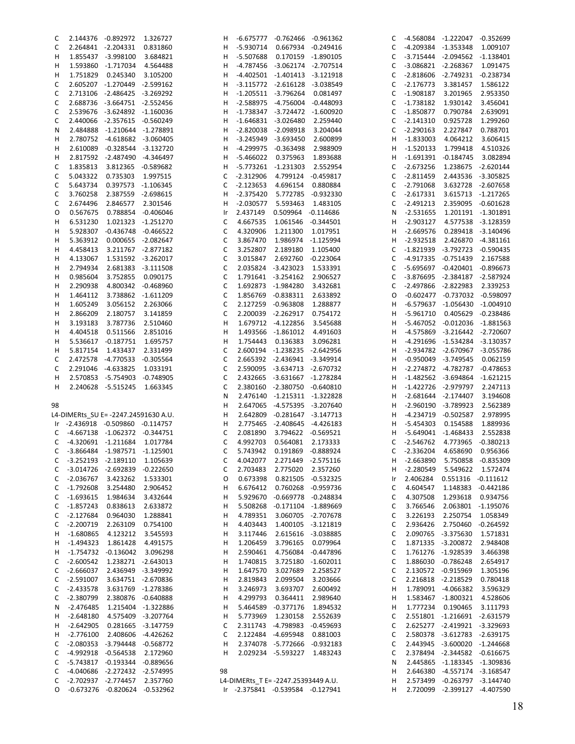| C      |                               | 2.144376 -0.892972                                            | 1.326727           | H  |             | -6.675777 -0.762466 -0.961362                                           |             | C      |             | -4.568084 -1.222047 -0.352699                                |                    |
|--------|-------------------------------|---------------------------------------------------------------|--------------------|----|-------------|-------------------------------------------------------------------------|-------------|--------|-------------|--------------------------------------------------------------|--------------------|
| C      |                               | 2.264841 -2.204331                                            | 0.831860           | н  | $-5.930714$ | 0.667934 -0.249416                                                      |             | С      |             | -4.209384 -1.353348                                          | 1.009107           |
| н      |                               | 1.855437 -3.998100                                            | 3.684821           | н  |             | -5.507688  0.170159  -1.890105                                          |             | C      |             | $-3.715444$ $-2.094562$ $-1.138401$                          |                    |
| H      |                               | 1.593860 -1.717034 4.564488                                   |                    | н  |             | -4.787456 -3.062174 -2.707514                                           |             | C      |             | -3.086821 -2.268367                                          | 1.091475           |
| н      | 1.751829                      | 0.245340                                                      | 3.105200           | н  |             | -4.402501 -1.401413 -3.121918                                           |             | С      |             | -2.818606 -2.749231 -0.238734                                |                    |
| C      |                               | 2.605207 -1.270449 -2.599162                                  |                    | н  |             | -3.115772 -2.616128 -3.038549                                           |             | С      | $-2.176773$ | 3.381457                                                     | 1.586122           |
| C      |                               | 2.713106 -2.486425 -3.269292                                  |                    | н  |             | $-1.205511$ $-3.796264$ 0.081497                                        |             | С      | -1.908187   | 3.201965                                                     | 2.953350           |
|        |                               |                                                               |                    |    |             |                                                                         |             |        |             |                                                              |                    |
| С      |                               | 2.688736 -3.664751 -2.552456                                  |                    | н  |             | -2.588975 -4.756004 -0.448093                                           |             | C      | $-1.738182$ | 1.930142                                                     | 3.456041           |
| С      |                               | 2.539676 -3.624892 -1.160036                                  |                    | н  |             | -1.738347 -3.724472 -1.600920                                           |             | C      | $-1.850877$ | 0.790784                                                     | 2.639091           |
| C      |                               | 2.440066 -2.357615 -0.560249                                  |                    | н  |             | $-1.646831 - 3.026480$                                                  | 2.259440    | C      | $-2.141310$ | 0.925728                                                     | 1.299260           |
| N      |                               | 2.484888 -1.210644 -1.278891                                  |                    | н  |             | -2.820038 -2.098918                                                     | 3.204044    | C      | $-2.290163$ | 2.227847                                                     | 0.788701           |
| н      |                               | 2.780752 -4.618682 -3.060405                                  |                    | н  |             | -3.245949 -3.693450 2.600899                                            |             | н      | $-1.833003$ | 4.064212                                                     | 3.606415           |
| н      |                               | 2.610089 -0.328544 -3.132720                                  |                    | н  |             | -4.299975 -0.363498                                                     | 2.988909    | н      | $-1.520133$ | 1.799418                                                     | 4.510326           |
| н      |                               | 2.817592 -2.487490 -4.346497                                  |                    | н  |             | -5.466022  0.375963  1.893688                                           |             | н      | $-1.691391$ | $-0.184745$                                                  | 3.082894           |
| C      | 1.835813                      | 3.812365 -0.589682                                            |                    | н  |             | -5.773261 -1.231303                                                     | 2.552954    | C      | $-2.673256$ |                                                              | 1.238675 -2.620144 |
| С      | 5.043322                      | 0.735303                                                      | 1.997515           | C  | $-2.312906$ | 4.799124 -0.459817                                                      |             | C      | $-2.811459$ |                                                              | 2.443536 -3.305825 |
| С      | 5.643734                      | 0.397573 -1.106345                                            |                    | C  | $-2.123653$ | 4.696154                                                                | 0.880884    | C      | $-2.791068$ |                                                              | 3.632728 -2.607658 |
|        |                               | 2.387559 -2.698615                                            |                    | н  | $-2.375420$ | 5.772785 -0.932330                                                      |             |        | $-2.617331$ |                                                              | 3.615713 -1.217265 |
| C      | 3.760258                      |                                                               |                    |    |             |                                                                         |             | С      |             |                                                              |                    |
| С      | 2.674496                      | 2.846577 2.301546                                             |                    | н  | $-2.030577$ | 5.593463                                                                | 1.483105    | C      | $-2.491213$ |                                                              | 2.359095 -0.601628 |
| O      | 0.567675                      | 0.788854 -0.406046                                            |                    | Ir | 2.437149    | 0.509964 -0.114686                                                      |             | N      | $-2.531655$ |                                                              | 1.201191 -1.301891 |
| н      | 6.531230                      | 1.021323 -1.251270                                            |                    | C  | 4.667535    | 1.061546                                                                | $-0.344501$ | н      | $-2.903127$ |                                                              | 4.577538 -3.128359 |
| н      | 5.928307                      | $-0.436748$ $-0.466522$                                       |                    | C  | 4.320906    | 1.211300                                                                | 1.017951    | н      | $-2.669576$ |                                                              | 0.289418 -3.140496 |
| н      | 5.363912                      | 0.000655 -2.082647                                            |                    | C  | 3.867470    | 1.986974                                                                | -1.125994   | н      | $-2.932518$ |                                                              | 2.426870 -4.381161 |
| н      | 4.458413                      | 3.211767 -2.877182                                            |                    | C  | 3.252807    | 2.189180                                                                | 1.105400    | С      |             | -1.821939 -3.792723 -0.590435                                |                    |
| H      | 4.133067                      | 1.531592 -3.262017                                            |                    | C  | 3.015847    | 2.692760                                                                | $-0.223064$ | C      |             | -4.917335 -0.751439                                          | 2.167588           |
| н      | 2.794934                      | 2.681383 -3.111508                                            |                    | C  |             | 2.035824 -3.423023                                                      | 1.533391    | С      |             | -5.695697 -0.420401 -0.896673                                |                    |
| н      | 0.985604                      | 3.752855 0.090175                                             |                    | C  |             | 1.791641 -3.254162                                                      | 2.906527    | C      |             | -3.876695 -2.384187 -2.587924                                |                    |
|        |                               |                                                               |                    |    |             |                                                                         |             |        |             |                                                              | 2.339253           |
| н      | 2.290938                      | 4.800342 -0.468960                                            |                    | C  |             | 1.692873 -1.984280                                                      | 3.432681    | C      |             | -2.497866 -2.822983                                          |                    |
| н      | 1.464112                      | 3.738862 -1.611209                                            |                    | C  |             | 1.856769 -0.838311                                                      | 2.633892    | O      |             | $-0.602477 -0.737032 -0.598097$                              |                    |
| н      | 1.605249                      | 3.056152 2.263066                                             |                    | C  |             | 2.127259 -0.963808                                                      | 1.288877    | н      |             | -6.579637 -1.056430 -1.004910                                |                    |
| н      | 2.866209                      | 2.180757                                                      | 3.141859           | C  |             | 2.200039 -2.262917                                                      | 0.754172    | н      | $-5.961710$ |                                                              | 0.405629 -0.238486 |
| н      | 3.193183                      | 3.787736                                                      | 2.510460           | н  |             | 1.679712 -4.122856                                                      | 3.545688    | н      |             | -5.467052 -0.012036 -1.881563                                |                    |
| H      | 4.404518                      | 0.511566                                                      | 2.851016           | н  |             | 1.493566 -1.861012 4.491603                                             |             | н      |             | -4.575869 -3.216442 -2.720607                                |                    |
| н      |                               | 5.536617 -0.187751                                            | 1.695757           | н  | 1.754443    | 0.136383                                                                | 3.096281    | н      |             | -4.291696 -1.534284 -3.130357                                |                    |
| н      | 5.817154                      | 1.433437                                                      | 2.331499           | C  |             | 2.600194 -1.238235 -2.642956                                            |             | н      |             | -2.934782 -2.670967 -3.055786                                |                    |
| C      |                               | 2.472578 -4.770533 -0.305564                                  |                    | C  |             | 2.665392 -2.436941 -3.349914                                            |             | н      |             | -0.950049 -3.749545                                          | 0.062159           |
| C      |                               | 2.291046 -4.633825                                            | 1.033191           | C  |             | 2.590095 -3.634713 -2.670732                                            |             | н      |             | -2.274872 -4.782787                                          | $-0.478653$        |
|        |                               | 2.570853 -5.754903 -0.748905                                  |                    | C  |             | 2.432665 -3.631667 -1.278284                                            |             | н      |             |                                                              | $-1.621215$        |
| н      |                               |                                                               |                    |    |             |                                                                         |             |        |             | -1.482562 -3.694864                                          |                    |
| н      |                               | 2.240628 -5.515245                                            | 1.663345           | C  |             | 2.380160 -2.380750 -0.640810                                            |             | н      |             | -1.422726 -2.979797                                          | 2.247113           |
|        |                               |                                                               |                    | N  |             | 2.476140 -1.215311 -1.322828                                            |             | н      |             | $-2.681644 -2.174407$                                        | 3.194608           |
| 98     |                               |                                                               |                    | н  |             | 2.647065 -4.575395 -3.207640                                            |             | н      |             | -2.960190 -3.789923                                          | 2.562389           |
|        |                               | L4-DIMERts_SU E= -2247.24591630 A.U.                          |                    | н  | 2.642809    | $-0.281647 -3.147713$                                                   |             | н      |             | -4.234719 -0.502587                                          | 2.978995           |
|        |                               | Ir -2.436918 -0.509860 -0.114757                              |                    | н  |             | 2.775465 -2.408645 -4.426183                                            |             | н      | -5.454303   | 0.154588                                                     | 1.889936           |
|        |                               | C -4.667138 -1.062372 -0.344751                               |                    | C  | 2.081890    | 3.794622 -0.569521                                                      |             | н      |             | -5.649041 -1.468433                                          | 2.552838           |
| C      | -4.320691 -1.211684           |                                                               | 1.017784           | C  | 4.992703    | 0.564081                                                                | 2.173333    | С      | $-2.546762$ | 4.773965                                                     | $-0.380213$        |
|        |                               | C -3.866484 -1.987571 -1.125901                               |                    | C  | 5.743942    | 0.191869 -0.888924                                                      |             | C      | $-2.336204$ | 4.658690                                                     | 0.956366           |
| C      | -3.252193 -2.189110           |                                                               | 1.105639           | С  | 4.042077    | 2.271449 -2.575116                                                      |             | H      | $-2.663890$ |                                                              | 5.750858 -0.835309 |
| C      | -3.014726 -2.692839           |                                                               | -0.222650          | C  | 2.703483    | 2.775020                                                                | 2.357260    | н      | $-2.280549$ |                                                              | 5.549622 1.572474  |
| C      | $-2.036767$                   | 3.423262                                                      | 1.533301           | O  | 0.673398    | 0.821505 -0.532325                                                      |             | Ir     | 2.406284    |                                                              | 0.551316 -0.111612 |
| C      | $-1.792608$                   | 3.254480                                                      | 2.906452           | н  | 6.676412    | 0.760268                                                                | -0.959736   | C      | 4.604547    |                                                              | 1.148383 -0.442186 |
| С      | $-1.693615$                   | 1.984634                                                      | 3.432644           | н  | 5.929670    | -0.669778 -0.248834                                                     |             | С      | 4.307508    |                                                              | 1.293618 0.934756  |
|        |                               |                                                               |                    |    |             |                                                                         |             |        |             |                                                              |                    |
| C      | $-1.857243$                   | 0.838613                                                      | 2.633872           | н  | 5.508268    | -0.171104 -1.889669                                                     |             | С      | 3.766546    |                                                              | 2.063801 -1.195076 |
| C      | $-2.127684$                   | 0.964030                                                      | 1.288841           | н  | 4.789351    | 3.060705 -2.707678                                                      |             | C      | 3.226193    | 2.250754                                                     | 1.058349           |
| C      | $-2.200719$                   | 2.263109 0.754100                                             |                    | н  | 4.403443    | 1.400105 -3.121819                                                      |             | C      | 2.936426    |                                                              | 2.750460 -0.264592 |
| H      | $-1.680865$                   |                                                               | 4.123212 3.545593  | н  | 3.117446    | 2.615616 -3.038885                                                      |             | С      |             | 2.090765 -3.375630                                           | 1.571831           |
| H      | $-1.494323$                   |                                                               | 1.861428 4.491575  | н  | 1.206459    | 3.796165                                                                | 0.079964    | С      |             | 1.871335 -3.200872                                           | 2.948408           |
| H.     |                               | -1.754732 -0.136042 3.096298                                  |                    | н  | 2.590461    | 4.756084 -0.447896                                                      |             | C      |             | 1.761276 -1.928539                                           | 3.466398           |
| C      | -2.600542                     | 1.238271 -2.643013                                            |                    | н  | 1.740815    | 3.725180 -1.602011                                                      |             | C      |             | 1.886030 -0.786248                                           | 2.654917           |
| C      | $-2.666037$                   | 2.436949 -3.349992                                            |                    | н  | 1.647570    | 3.027689                                                                | 2.258527    | С      |             | 2.130572 -0.915969                                           | 1.305196           |
| C      | $-2.591007$                   | 3.634751 -2.670836                                            |                    | н  | 2.819843    | 2.099504                                                                | 3.203666    | C      |             | 2.216818 -2.218529                                           | 0.780418           |
| C      | $-2.433578$                   |                                                               | 3.631769 -1.278386 | н  | 3.246973    | 3.693707                                                                | 2.600492    | н      |             | 1.789091 -4.066382                                           | 3.596329           |
|        | $-2.380799$                   | 2.380876 -0.640888                                            |                    | н  | 4.299793    |                                                                         |             |        |             |                                                              | 4.528606           |
| С      |                               |                                                               |                    |    |             | 0.364411                                                                | 2.989640    | н      |             | 1.583467 -1.800321                                           |                    |
| N      | $-2.476485$                   |                                                               | 1.215404 -1.322886 | н  | 5.464589    | -0.377176                                                               | 1.894532    | н      |             | 1.777234 0.190465                                            | 3.111793           |
| H      | $-2.648180$                   | 4.575409 -3.207764                                            |                    | н  | 5.773969    | 1.230158                                                                | 2.552639    | C      |             | 2.551801 -1.216691 -2.631579                                 |                    |
| H.     |                               | -2.642905  0.281665  -3.147759                                |                    | C  |             | 2.311743 -4.798983 -0.459693                                            |             | C      |             | 2.625277 -2.419921 -3.329693                                 |                    |
| H      | $-2.776100$                   |                                                               | 2.408606 -4.426262 | C  |             | 2.122484 -4.695948                                                      | 0.881003    | C      |             | 2.580378 -3.612783 -2.639175                                 |                    |
| C      |                               | -2.080353 -3.794448 -0.568772                                 |                    | н  |             | 2.374078 -5.772666 -0.932183                                            |             | С      |             | 2.443945 -3.600020 -1.244668                                 |                    |
| C      |                               | -4.992918 -0.564538 2.172960                                  |                    | н  |             | 2.029234 -5.593227 1.483243                                             |             | C      |             | 2.378494 -2.344582 -0.616675                                 |                    |
| C      |                               | -5.743817 -0.193344 -0.889656                                 |                    |    |             |                                                                         |             | N      |             | 2.445865 -1.183345 -1.309836                                 |                    |
|        |                               |                                                               |                    |    |             |                                                                         |             |        |             | 2.646380 -4.557174 -3.168547                                 |                    |
|        |                               |                                                               |                    | 98 |             |                                                                         |             |        |             |                                                              |                    |
| С      | -4.040686 -2.272432 -2.574995 |                                                               |                    |    |             |                                                                         |             | н      |             |                                                              |                    |
| C<br>O |                               | -2.702937 -2.774457 2.357760<br>-0.673276 -0.820624 -0.532962 |                    |    |             | L4-DIMERts T E= -2247.25393449 A.U.<br>Ir -2.375841 -0.539584 -0.127941 |             | н<br>H |             | 2.573499 -0.263797 -3.144740<br>2.720099 -2.399127 -4.407590 |                    |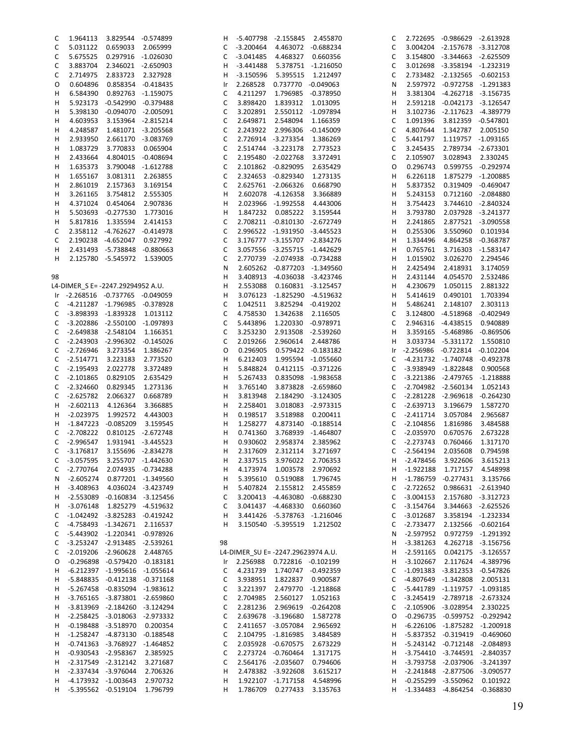| C  | 1.964113                          | 3.829544 -0.574899                  |                    | H  |             | -5.407798 -2.155845 2.455870       |                    | C  |   |             | 2.722695 -0.986629 -2.613928  |                    |
|----|-----------------------------------|-------------------------------------|--------------------|----|-------------|------------------------------------|--------------------|----|---|-------------|-------------------------------|--------------------|
| C  | 5.031122                          | 0.659033 2.065999                   |                    | C  | $-3.200464$ | 4.463072 -0.688234                 |                    | C  |   |             | 3.004204 -2.157678 -3.312708  |                    |
| C  | 5.675525                          | 0.297916 -1.026030                  |                    | C  | -3.041485   | 4.468327                           | 0.660356           | C  |   |             | 3.154800 -3.344663 -2.625509  |                    |
| C  | 3.883704                          | 2.346021 -2.650903                  |                    | н  | $-3.441488$ |                                    | 5.378751 -1.216050 | C  |   |             | 3.012698 -3.358194 -1.232319  |                    |
| C  | 2.714975                          | 2.833723 2.327928                   |                    |    | $-3.150596$ | 5.395515                           | 1.212497           | C  |   |             | 2.733482 -2.132565 -0.602153  |                    |
|    |                                   |                                     |                    | н  |             |                                    |                    |    |   |             |                               |                    |
| O  | 0.604896                          | 0.858354 -0.418435                  |                    | Ir | 2.268528    | 0.737770 -0.049063                 |                    | N  |   |             | 2.597972 -0.972758 -1.291383  |                    |
| н  | 6.584390                          | 0.892763 -1.159075                  |                    | С  | 4.211297    | 1.796985 -0.378950                 |                    | н  |   |             | 3.381304 -4.262718 -3.156735  |                    |
| н  |                                   | 5.923173 -0.542990 -0.379488        |                    | C  | 3.898420    | 1.839312                           | 1.013095           | н  |   |             | 2.591218 -0.042173 -3.126547  |                    |
| н  |                                   | 5.398130 -0.094070 -2.005091        |                    | C  | 3.202891    | 2.550112 -1.097894                 |                    | н  |   |             | 3.102736 -2.117623 -4.389779  |                    |
| н  | 4.603953                          | 3.153964 -2.815214                  |                    | С  | 2.649871    | 2.548094                           | 1.166359           | C  |   | 1.091396    | 3.812359 -0.547801            |                    |
| н  |                                   | 4.248587 1.481071 -3.205568         |                    | C  |             | 2.243922 2.996306 -0.145009        |                    | C  |   | 4.807644    | 1.342787                      | 2.005150           |
|    |                                   |                                     |                    |    |             |                                    |                    |    |   |             |                               |                    |
| н  | 2.933950                          | 2.661170 -3.083769                  |                    | C  |             | 2.726914 -3.273354                 | 1.386269           | C  |   | 5.441797    | 1.119757 -1.093165            |                    |
| н  | 1.083729                          | 3.770833 0.065904                   |                    | C  |             | 2.514744 -3.223178                 | 2.773523           | C  |   | 3.245435    | 2.789734 -2.673301            |                    |
| н  | 2.433664                          | 4.804015 -0.408694                  |                    | С  |             | 2.195480 -2.022768                 | 3.372491           | C  |   | 2.105907    | 3.028943                      | 2.330245           |
| н  | 1.635373                          | 3.790048 -1.612788                  |                    | C  |             | 2.101862 -0.829095                 | 2.635429           | 0  |   | 0.296743    | 0.599755                      | $-0.292974$        |
| н  | 1.655167                          | 3.081311 2.263855                   |                    | С  |             | 2.324653 -0.829340                 | 1.273135           | н  |   | 6.226118    | 1.875279 -1.200885            |                    |
| н  |                                   | 2.157363                            |                    | C  |             | 2.625761 -2.066326                 | 0.668790           | н  |   | 5.837352    | 0.319409                      | $-0.469047$        |
|    | 2.861019                          |                                     | 3.169154           |    |             |                                    |                    |    |   |             |                               |                    |
| н  | 3.261165                          | 3.754812 2.555305                   |                    | н  |             | 2.602078 -4.126358                 | 3.366889           | н  |   | 5.243153    |                               | 0.712160 -2.084880 |
| н  | 4.371024                          | 0.454064 2.907836                   |                    | Н  |             | 2.023966 -1.992558                 | 4.443006           | н  |   | 3.754423    |                               | 3.744610 -2.840324 |
| н  |                                   | 5.503693 -0.277530 1.773016         |                    | н  |             | 1.847232 0.085222                  | 3.159544           | н  |   | 3.793780    |                               | 2.037928 -3.241377 |
| н  |                                   | 5.817816  1.335594  2.414153        |                    | C  |             | 2.708211 -0.810130 -2.672749       |                    | н  |   | 2.241865    |                               | 2.877521 -3.090558 |
| C  |                                   | 2.358112 -4.762627 -0.414978        |                    | С  |             | 2.996522 -1.931950 -3.445523       |                    | н  |   | 0.255306    | 3.550960                      | 0.101934           |
|    |                                   | 2.190238 -4.652047                  |                    |    |             |                                    |                    |    |   |             | 4.864258                      |                    |
| C  |                                   |                                     | 0.927992           | C  |             | 3.176777 -3.155707 -2.834276       |                    | н  |   | 1.334496    |                               | $-0.368787$        |
| н  |                                   | 2.431493 -5.738848 -0.880663        |                    | С  |             | 3.057556 -3.255715 -1.442629       |                    | н  |   | 0.765761    | 3.716303                      | $-1.583147$        |
| н  |                                   | 2.125780 -5.545972 1.539005         |                    | C  |             | 2.770739 -2.074938 -0.734288       |                    | н  |   | 1.015902    | 3.026270                      | 2.294546           |
|    |                                   |                                     |                    | N  |             | 2.605262 -0.877203 -1.349560       |                    | н  |   | 2.425494    | 2.418931                      | 3.174059           |
| 98 |                                   |                                     |                    | Н  |             | 3.408913 -4.036038 -3.423746       |                    | н  |   | 2.431144    | 4.054570                      | 2.532486           |
|    | L4-DIMER S E= -2247.29294952 A.U. |                                     |                    | н  | 2.553088    | 0.160831 -3.125457                 |                    | н  |   | 4.230679    | 1.050115                      | 2.881322           |
|    |                                   |                                     |                    |    |             |                                    |                    |    |   |             |                               |                    |
|    | Ir -2.268516 -0.737765 -0.049059  |                                     |                    | н  |             | 3.076123 -1.825290 -4.519632       |                    | н  |   | 5.414619    | 0.490101                      | 1.703394           |
| C  |                                   | -4.211287 -1.796985 -0.378928       |                    | С  | 1.042511    | 3.825294 -0.419202                 |                    | н  |   | 5.486241    | 2.148107                      | 2.303113           |
| C  | -3.898393 -1.839328               |                                     | 1.013112           | С  | 4.758530    | 1.342638                           | 2.116505           | C  |   |             | 3.124800 -4.518968            | $-0.402949$        |
| C  |                                   | -3.202886 -2.550100 -1.097893       |                    | C  | 5.443896    | 1.220330 -0.978971                 |                    | C  |   |             | 2.946316 -4.438515            | 0.940889           |
| C  |                                   | -2.649838 -2.548104 1.166351        |                    | C  | 3.253230    | 2.913508 -2.539260                 |                    | н  |   |             | 3.359165 -5.468986            | $-0.869506$        |
| C  |                                   | -2.243903 -2.996302 -0.145026       |                    | С  | 2.019266    | 2.960614 2.448786                  |                    | н  |   |             | 3.033734 -5.331172            | 1.550810           |
|    |                                   |                                     |                    |    |             |                                    |                    |    |   |             |                               |                    |
| C  | -2.726946 3.273354                |                                     | 1.386267           | O  | 0.296905    |                                    | 0.579422 -0.183182 | Ir |   |             | -2.256986 -0.722814 -0.102204 |                    |
| C  | $-2.514771$                       | 3.223183                            | 2.773520           | н  | 6.212403    |                                    | 1.995594 -1.055660 | C  |   |             | -4.231732 -1.740748 -0.492378 |                    |
| C  | $-2.195493$                       | 2.022778                            | 3.372489           | Н  | 5.848824    |                                    | 0.412115 -0.371226 | C  |   |             | -3.938949 -1.822848           | 0.900568           |
| C  | $-2.101865$                       | 0.829105                            | 2.635429           | Н  | 5.267433    |                                    | 0.835098 -1.983658 | C  |   |             | -3.221386 -2.479765 -1.218888 |                    |
| С  | $-2.324660$                       | 0.829345                            | 1.273136           | н  | 3.765140    |                                    | 3.873828 -2.659860 | C  |   |             | -2.704982 -2.560134           | 1.052143           |
| C  |                                   | -2.625782 2.066327                  | 0.668789           | н  | 3.813948    |                                    | 2.184290 -3.124305 | C  |   |             | -2.281228 -2.969618           | $-0.264230$        |
|    |                                   |                                     |                    |    |             |                                    |                    |    |   |             |                               |                    |
| H  | $-2.602113$                       | 4.126364                            | 3.366885           | Н  | 2.258401    |                                    | 3.018083 -2.973315 | C  |   | $-2.639713$ | 3.196679                      | 1.587270           |
| H  | $-2.023975$                       | 1.992572                            | 4.443003           | Н  | 0.198517    |                                    | 3.518988  0.200411 | C  |   | $-2.411714$ | 3.057084                      | 2.965687           |
| H. | $-1.847223 - 0.085209$            |                                     | 3.159545           | н  | 1.258277    |                                    | 4.873140 -0.188514 | C  |   | $-2.104856$ | 1.816986                      | 3.484588           |
| C  | $-2.708222$                       | 0.810125 -2.672748                  |                    | н  | 0.741360    |                                    | 3.768939 -1.464807 | C  |   | $-2.035970$ | 0.670576                      | 2.673228           |
| C  |                                   | -2.996547  1.931941  -3.445523      |                    | н  | 0.930602    | 2.958374                           | 2.385962           | C  |   | $-2.273743$ | 0.760466                      | 1.317170           |
|    | C -3.176817 3.155696 -2.834278    |                                     |                    | H  | 2.317609    | 2.312114 3.271697                  |                    |    |   |             | C -2.564194 2.035608 0.794598 |                    |
|    |                                   |                                     |                    |    |             |                                    |                    |    |   |             |                               |                    |
| C  | $-3.057595$                       | 3.255707 -1.442630                  |                    | н  |             | 2.337515 3.976022                  | 2.706353           |    | H | $-2.478456$ | 3.922606                      | 3.615213           |
| C  |                                   | -2.770764 2.074935 -0.734288        |                    | н  | 4.173974    | 1.003578                           | 2.970692           |    | H | $-1.922188$ | 1.717157                      | 4.548998           |
| N  | $-2.605274$                       |                                     | 0.877201 -1.349560 | Н  | 5.395610    | 0.519088                           | 1.796745           |    | H | -1.786759   | $-0.277431$                   | 3.135766           |
| H  | $-3.408963$                       |                                     | 4.036024 -3.423749 | н  | 5.407824    | 2.155812                           | 2.455859           | C  |   | $-2.722652$ |                               | 0.986631 -2.613940 |
| H, |                                   | -2.553089 -0.160834 -3.125456       |                    | C  |             | 3.200413 -4.463080 -0.688230       |                    | C  |   | $-3.004153$ | 2.157680 -3.312723            |                    |
|    |                                   |                                     |                    |    |             |                                    |                    |    |   |             |                               |                    |
| H  | -3.076148                         | 1.825279 -4.519632                  |                    | С  |             | 3.041437 -4.468330 0.660360        |                    | C  |   | -3.154764   |                               | 3.344663 -2.625526 |
| C  |                                   | $-1.042492$ $-3.825283$ $-0.419242$ |                    | Н  |             | 3.441426 -5.378763 -1.216046       |                    | C  |   | $-3.012687$ | 3.358194 -1.232334            |                    |
| C  |                                   | -4.758493 -1.342671 2.116537        |                    | н  |             | 3.150540 -5.395519                 | 1.212502           | С  |   | $-2.733477$ |                               | 2.132566 -0.602164 |
| C  |                                   | -5.443902 -1.220341 -0.978926       |                    |    |             |                                    |                    | N  |   | $-2.597952$ |                               | 0.972759 -1.291392 |
| C  |                                   | -3.253247 -2.913485 -2.539261       |                    | 98 |             |                                    |                    | H  |   | $-3.381263$ |                               | 4.262718 -3.156756 |
| C  |                                   | -2.019206 -2.960628 2.448765        |                    |    |             | L4-DIMER SU E= -2247.29623974 A.U. |                    |    | H | $-2.591165$ |                               | 0.042175 -3.126557 |
|    |                                   |                                     |                    |    |             |                                    |                    |    |   |             |                               |                    |
| O  |                                   | $-0.296898$ $-0.579420$ $-0.183181$ |                    | Ir |             | 2.256988  0.722816  -0.102199      |                    | н  |   | $-3.102667$ |                               | 2.117624 -4.389796 |
| H  |                                   | -6.212397 -1.995616 -1.055614       |                    | C  |             | 4.231739 1.740747 -0.492359        |                    | C  |   |             | -1.091383 -3.812353 -0.547826 |                    |
| H  |                                   | -5.848835 -0.412138 -0.371168       |                    | С  |             | 3.938951 1.822837 0.900587         |                    | C  |   |             | -4.807649 -1.342808           | 2.005131           |
| H  |                                   | -5.267458 -0.835094 -1.983612       |                    | С  |             | 3.221397 2.479770 -1.218868        |                    | C  |   |             | -5.441789 -1.119757 -1.093185 |                    |
| Н. |                                   | -3.765165 -3.873801 -2.659860       |                    | С  | 2.704985    | 2.560127 1.052163                  |                    | C  |   |             | -3.245419 -2.789718 -2.673324 |                    |
|    |                                   | -3.813969 -2.184260 -3.124294       |                    | C  | 2.281236    | 2.969619 -0.264208                 |                    | C  |   |             | -2.105906 -3.028954           | 2.330225           |
| H  |                                   |                                     |                    |    |             |                                    |                    |    |   |             |                               |                    |
| H  |                                   | -2.258425 -3.018063 -2.973332       |                    | С  |             | 2.639678 -3.196680                 | 1.587278           | O  |   |             | -0.296735 -0.599752 -0.292942 |                    |
| H  |                                   | -0.198488 -3.518970 0.200354        |                    | С  |             | 2.411657 -3.057084 2.965692        |                    |    | H |             | -6.226106 -1.875282 -1.200918 |                    |
| H  |                                   | -1.258247 -4.873130 -0.188548       |                    | С  |             | 2.104795 -1.816985 3.484589        |                    | H  |   |             | -5.837352 -0.319419           | $-0.469060$        |
| H  |                                   | $-0.741363$ $-3.768927$ $-1.464852$ |                    | С  |             | 2.035928 -0.670575 2.673229        |                    |    | H |             | -5.243142 -0.712148 -2.084893 |                    |
| Н. |                                   | $-0.930543$ $-2.958367$             | 2.385925           | C  |             | 2.273724 -0.760464                 | 1.317175           |    | H |             | -3.754410 -3.744591 -2.840357 |                    |
|    |                                   | -2.317549 -2.312142                 | 3.271687           | С  |             | 2.564176 -2.035607 0.794606        |                    |    | H |             | -3.793758 -2.037906 -3.241397 |                    |
| H  |                                   |                                     |                    |    |             |                                    |                    |    |   |             |                               |                    |
| Н. |                                   | -2.337434 -3.976044                 | 2.706326           | н  |             | 2.478382 -3.922608                 | 3.615217           |    | H |             | -2.241848 -2.877506 -3.090577 |                    |
| н  |                                   | -4.173932 -1.003643 2.970732        |                    | н  |             | 1.922107 -1.717158 4.548996        |                    |    | H |             | $-0.255299$ $-3.550962$       | 0.101922           |
| H  |                                   | -5.395562 -0.519104 1.796799        |                    | н  |             | 1.786709 0.277433                  | 3.135763           |    | H |             | -1.334483 -4.864254 -0.368830 |                    |
|    |                                   |                                     |                    |    |             |                                    |                    |    |   |             |                               |                    |